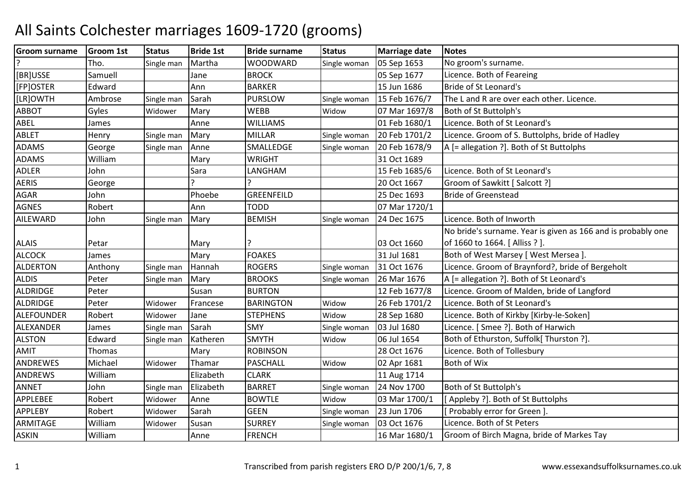| <b>Groom surname</b> | <b>Groom 1st</b> | <b>Status</b> | <b>Bride 1st</b> | <b>Bride surname</b> | <b>Status</b> | <b>Marriage date</b> | <b>Notes</b>                                                 |
|----------------------|------------------|---------------|------------------|----------------------|---------------|----------------------|--------------------------------------------------------------|
|                      | Tho.             | Single man    | Martha           | <b>WOODWARD</b>      | Single woman  | 05 Sep 1653          | No groom's surname.                                          |
| [BR]USSE             | Samuell          |               | Jane             | <b>BROCK</b>         |               | 05 Sep 1677          | Licence. Both of Feareing                                    |
| [FP]OSTER            | Edward           |               | Ann              | <b>BARKER</b>        |               | 15 Jun 1686          | Bride of St Leonard's                                        |
| [LR]OWTH             | Ambrose          | Single man    | Sarah            | <b>PURSLOW</b>       | Single woman  | 15 Feb 1676/7        | The L and R are over each other. Licence.                    |
| <b>ABBOT</b>         | Gyles            | Widower       | Mary             | <b>WEBB</b>          | Widow         | 07 Mar 1697/8        | Both of St Buttolph's                                        |
| ABEL                 | James            |               | Anne             | <b>WILLIAMS</b>      |               | 01 Feb 1680/1        | Licence. Both of St Leonard's                                |
| <b>ABLET</b>         | Henry            | Single man    | Mary             | <b>MILLAR</b>        | Single woman  | 20 Feb 1701/2        | Licence. Groom of S. Buttolphs, bride of Hadley              |
| <b>ADAMS</b>         | George           | Single man    | Anne             | SMALLEDGE            | Single woman  | 20 Feb 1678/9        | A [= allegation ?]. Both of St Buttolphs                     |
| <b>ADAMS</b>         | William          |               | Mary             | <b>WRIGHT</b>        |               | 31 Oct 1689          |                                                              |
| <b>ADLER</b>         | John             |               | Sara             | LANGHAM              |               | 15 Feb 1685/6        | Licence. Both of St Leonard's                                |
| <b>AERIS</b>         | George           |               |                  |                      |               | 20 Oct 1667          | Groom of Sawkitt [ Salcott ?]                                |
| AGAR                 | John             |               | Phoebe           | <b>GREENFEILD</b>    |               | 25 Dec 1693          | <b>Bride of Greenstead</b>                                   |
| <b>AGNES</b>         | Robert           |               | Ann              | <b>TODD</b>          |               | 07 Mar 1720/1        |                                                              |
| AILEWARD             | John             | Single man    | Mary             | <b>BEMISH</b>        | Single woman  | 24 Dec 1675          | Licence. Both of Inworth                                     |
|                      |                  |               |                  |                      |               |                      | No bride's surname. Year is given as 166 and is probably one |
| <b>ALAIS</b>         | Petar            |               | Mary             |                      |               | 03 Oct 1660          | of 1660 to 1664. [Alliss ?].                                 |
| <b>ALCOCK</b>        | James            |               | Mary             | <b>FOAKES</b>        |               | 31 Jul 1681          | Both of West Marsey [ West Mersea ].                         |
| <b>ALDERTON</b>      | Anthony          | Single man    | Hannah           | <b>ROGERS</b>        | Single woman  | 31 Oct 1676          | Licence. Groom of Braynford?, bride of Bergeholt             |
| <b>ALDIS</b>         | Peter            | Single man    | Mary             | <b>BROOKS</b>        | Single woman  | 26 Mar 1676          | A [= allegation ?]. Both of St Leonard's                     |
| ALDRIDGE             | Peter            |               | Susan            | <b>BURTON</b>        |               | 12 Feb 1677/8        | Licence. Groom of Malden, bride of Langford                  |
| ALDRIDGE             | Peter            | Widower       | Francese         | <b>BARINGTON</b>     | Widow         | 26 Feb 1701/2        | Licence. Both of St Leonard's                                |
| ALEFOUNDER           | Robert           | Widower       | Jane             | <b>STEPHENS</b>      | Widow         | 28 Sep 1680          | Licence. Both of Kirkby [Kirby-le-Soken]                     |
| ALEXANDER            | James            | Single man    | Sarah            | <b>SMY</b>           | Single woman  | 03 Jul 1680          | Licence. [ Smee ?]. Both of Harwich                          |
| <b>ALSTON</b>        | Edward           | Single man    | Katheren         | <b>SMYTH</b>         | Widow         | 06 Jul 1654          | Both of Ethurston, Suffolk[ Thurston ?].                     |
| AMIT                 | Thomas           |               | Mary             | <b>ROBINSON</b>      |               | 28 Oct 1676          | Licence. Both of Tollesbury                                  |
| ANDREWES             | Michael          | Widower       | Thamar           | <b>PASCHALL</b>      | Widow         | 02 Apr 1681          | Both of Wix                                                  |
| <b>ANDREWS</b>       | William          |               | Elizabeth        | <b>CLARK</b>         |               | 11 Aug 1714          |                                                              |
| <b>ANNET</b>         | John             | Single man    | Elizabeth        | <b>BARRET</b>        | Single woman  | 24 Nov 1700          | Both of St Buttolph's                                        |
| APPLEBEE             | Robert           | Widower       | Anne             | <b>BOWTLE</b>        | Widow         | 03 Mar 1700/1        | [Appleby ?]. Both of St Buttolphs                            |
| <b>APPLEBY</b>       | Robert           | Widower       | Sarah            | <b>GEEN</b>          | Single woman  | 23 Jun 1706          | [ Probably error for Green ].                                |
| ARMITAGE             | William          | Widower       | Susan            | <b>SURREY</b>        | Single woman  | 03 Oct 1676          | Licence. Both of St Peters                                   |
| <b>ASKIN</b>         | William          |               | Anne             | <b>FRENCH</b>        |               | 16 Mar 1680/1        | Groom of Birch Magna, bride of Markes Tay                    |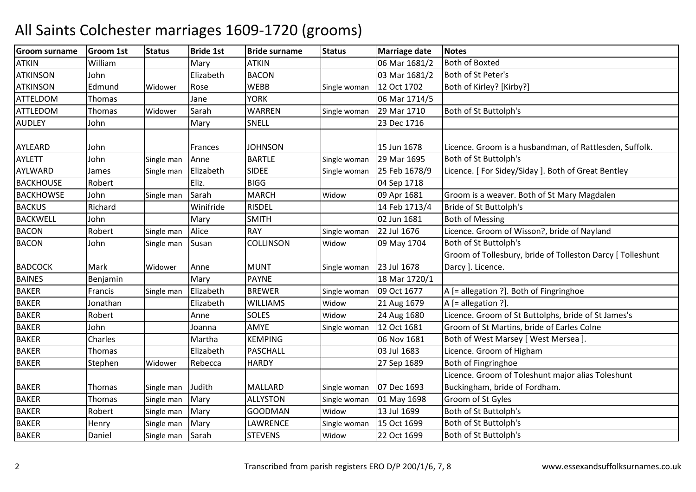| <b>Groom surname</b> | <b>Groom 1st</b> | <b>Status</b> | <b>Bride 1st</b> | <b>Bride surname</b> | <b>Status</b> | <b>Marriage date</b> | <b>Notes</b>                                               |
|----------------------|------------------|---------------|------------------|----------------------|---------------|----------------------|------------------------------------------------------------|
| <b>ATKIN</b>         | William          |               | Mary             | <b>ATKIN</b>         |               | 06 Mar 1681/2        | <b>Both of Boxted</b>                                      |
| <b>ATKINSON</b>      | John             |               | Elizabeth        | <b>BACON</b>         |               | 03 Mar 1681/2        | Both of St Peter's                                         |
| <b>ATKINSON</b>      | Edmund           | Widower       | Rose             | <b>WEBB</b>          | Single woman  | 12 Oct 1702          | Both of Kirley? [Kirby?]                                   |
| <b>ATTELDOM</b>      | Thomas           |               | Jane             | <b>YORK</b>          |               | 06 Mar 1714/5        |                                                            |
| <b>ATTLEDOM</b>      | <b>Thomas</b>    | Widower       | Sarah            | <b>WARREN</b>        | Single woman  | 29 Mar 1710          | Both of St Buttolph's                                      |
| <b>AUDLEY</b>        | John             |               | Mary             | SNELL                |               | 23 Dec 1716          |                                                            |
|                      |                  |               |                  |                      |               |                      |                                                            |
| AYLEARD              | John             |               | Frances          | <b>JOHNSON</b>       |               | 15 Jun 1678          | Licence. Groom is a husbandman, of Rattlesden, Suffolk.    |
| <b>AYLETT</b>        | John             | Single man    | Anne             | <b>BARTLE</b>        | Single woman  | 29 Mar 1695          | Both of St Buttolph's                                      |
| AYLWARD              | James            | Single man    | Elizabeth        | <b>SIDEE</b>         | Single woman  | 25 Feb 1678/9        | Licence. [For Sidey/Siday]. Both of Great Bentley          |
| <b>BACKHOUSE</b>     | Robert           |               | Eliz.            | <b>BIGG</b>          |               | 04 Sep 1718          |                                                            |
| <b>BACKHOWSE</b>     | John             | Single man    | Sarah            | <b>MARCH</b>         | Widow         | 09 Apr 1681          | Groom is a weaver. Both of St Mary Magdalen                |
| <b>BACKUS</b>        | Richard          |               | Winifride        | <b>RISDEL</b>        |               | 14 Feb 1713/4        | Bride of St Buttolph's                                     |
| <b>BACKWELL</b>      | John             |               | Mary             | <b>SMITH</b>         |               | 02 Jun 1681          | <b>Both of Messing</b>                                     |
| <b>BACON</b>         | Robert           | Single man    | Alice            | <b>RAY</b>           | Single woman  | 22 Jul 1676          | Licence. Groom of Wisson?, bride of Nayland                |
| <b>BACON</b>         | John             | Single man    | Susan            | <b>COLLINSON</b>     | Widow         | 09 May 1704          | Both of St Buttolph's                                      |
|                      |                  |               |                  |                      |               |                      | Groom of Tollesbury, bride of Tolleston Darcy [ Tolleshunt |
| <b>BADCOCK</b>       | Mark             | Widower       | Anne             | <b>MUNT</b>          | Single woman  | 23 Jul 1678          | Darcy ]. Licence.                                          |
| <b>BAINES</b>        | Benjamin         |               | Mary             | <b>PAYNE</b>         |               | 18 Mar 1720/1        |                                                            |
| <b>BAKER</b>         | Francis          | Single man    | Elizabeth        | <b>BREWER</b>        | Single woman  | 09 Oct 1677          | A [= allegation ?]. Both of Fingringhoe                    |
| <b>BAKER</b>         | Jonathan         |               | Elizabeth        | <b>WILLIAMS</b>      | Widow         | 21 Aug 1679          | $A$ [= allegation ?].                                      |
| <b>BAKER</b>         | Robert           |               | Anne             | <b>SOLES</b>         | Widow         | 24 Aug 1680          | Licence. Groom of St Buttolphs, bride of St James's        |
| <b>BAKER</b>         | John             |               | Joanna           | AMYE                 | Single woman  | 12 Oct 1681          | Groom of St Martins, bride of Earles Colne                 |
| <b>BAKER</b>         | Charles          |               | Martha           | <b>KEMPING</b>       |               | 06 Nov 1681          | Both of West Marsey [ West Mersea ]                        |
| <b>BAKER</b>         | Thomas           |               | Elizabeth        | <b>PASCHALL</b>      |               | 03 Jul 1683          | Licence. Groom of Higham                                   |
| <b>BAKER</b>         | Stephen          | Widower       | Rebecca          | <b>HARDY</b>         |               | 27 Sep 1689          | Both of Fingringhoe                                        |
|                      |                  |               |                  |                      |               |                      | Licence. Groom of Toleshunt major alias Toleshunt          |
| <b>BAKER</b>         | Thomas           | Single man    | Judith           | <b>MALLARD</b>       | Single woman  | 07 Dec 1693          | Buckingham, bride of Fordham.                              |
| <b>BAKER</b>         | <b>Thomas</b>    | Single man    | Mary             | <b>ALLYSTON</b>      | Single woman  | 01 May 1698          | Groom of St Gyles                                          |
| <b>BAKER</b>         | Robert           | Single man    | Mary             | <b>GOODMAN</b>       | Widow         | 13 Jul 1699          | Both of St Buttolph's                                      |
| <b>BAKER</b>         | Henry            | Single man    | Mary             | LAWRENCE             | Single woman  | 15 Oct 1699          | Both of St Buttolph's                                      |
| <b>BAKER</b>         | Daniel           | Single man    | Sarah            | <b>STEVENS</b>       | Widow         | 22 Oct 1699          | Both of St Buttolph's                                      |
|                      |                  |               |                  |                      |               |                      |                                                            |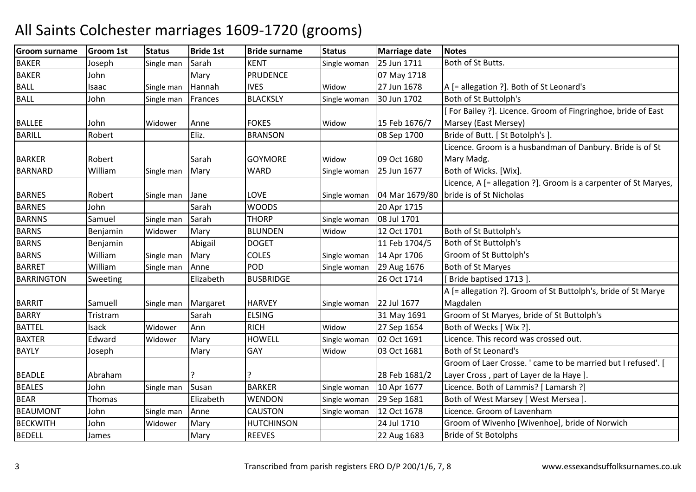| <b>Groom surname</b> | <b>Groom 1st</b> | <b>Status</b> | <b>Bride 1st</b> | <b>Bride surname</b> | <b>Status</b> | <b>Marriage date</b> | <b>Notes</b>                                                    |
|----------------------|------------------|---------------|------------------|----------------------|---------------|----------------------|-----------------------------------------------------------------|
| <b>BAKER</b>         | Joseph           | Single man    | Sarah            | <b>KENT</b>          | Single woman  | 25 Jun 1711          | Both of St Butts.                                               |
| <b>BAKER</b>         | John             |               | Mary             | <b>PRUDENCE</b>      |               | 07 May 1718          |                                                                 |
| <b>BALL</b>          | Isaac            | Single man    | Hannah           | <b>IVES</b>          | Widow         | 27 Jun 1678          | A [= allegation ?]. Both of St Leonard's                        |
| <b>BALL</b>          | John             | Single man    | Frances          | <b>BLACKSLY</b>      | Single woman  | 30 Jun 1702          | Both of St Buttolph's                                           |
|                      |                  |               |                  |                      |               |                      | For Bailey ?]. Licence. Groom of Fingringhoe, bride of East     |
| <b>BALLEE</b>        | John             | Widower       | Anne             | <b>FOKES</b>         | Widow         | 15 Feb 1676/7        | Marsey (East Mersey)                                            |
| <b>BARILL</b>        | Robert           |               | Eliz.            | <b>BRANSON</b>       |               | 08 Sep 1700          | Bride of Butt. [ St Botolph's ].                                |
|                      |                  |               |                  |                      |               |                      | Licence. Groom is a husbandman of Danbury. Bride is of St       |
| <b>BARKER</b>        | Robert           |               | Sarah            | <b>GOYMORE</b>       | Widow         | 09 Oct 1680          | Mary Madg.                                                      |
| <b>BARNARD</b>       | William          | Single man    | Mary             | <b>WARD</b>          | Single woman  | 25 Jun 1677          | Both of Wicks. [Wix].                                           |
|                      |                  |               |                  |                      |               |                      | Licence, A [= allegation ?]. Groom is a carpenter of St Maryes, |
| <b>BARNES</b>        | Robert           | Single man    | Jane             | <b>LOVE</b>          | Single woman  | 04 Mar 1679/80       | bride is of St Nicholas                                         |
| <b>BARNES</b>        | John             |               | Sarah            | <b>WOODS</b>         |               | 20 Apr 1715          |                                                                 |
| <b>BARNNS</b>        | Samuel           | Single man    | Sarah            | <b>THORP</b>         | Single woman  | 08 Jul 1701          |                                                                 |
| <b>BARNS</b>         | Benjamin         | Widower       | Mary             | <b>BLUNDEN</b>       | Widow         | 12 Oct 1701          | Both of St Buttolph's                                           |
| <b>BARNS</b>         | Benjamin         |               | Abigail          | <b>DOGET</b>         |               | 11 Feb 1704/5        | Both of St Buttolph's                                           |
| <b>BARNS</b>         | William          | Single man    | Mary             | <b>COLES</b>         | Single woman  | 14 Apr 1706          | Groom of St Buttolph's                                          |
| <b>BARRET</b>        | William          | Single man    | Anne             | POD                  | Single woman  | 29 Aug 1676          | <b>Both of St Maryes</b>                                        |
| <b>BARRINGTON</b>    | Sweeting         |               | Elizabeth        | <b>BUSBRIDGE</b>     |               | 26 Oct 1714          | Bride baptised 1713].                                           |
|                      |                  |               |                  |                      |               |                      | A [= allegation ?]. Groom of St Buttolph's, bride of St Marye   |
| <b>BARRIT</b>        | Samuell          | Single man    | Margaret         | <b>HARVEY</b>        | Single woman  | 22 Jul 1677          | Magdalen                                                        |
| <b>BARRY</b>         | Tristram         |               | Sarah            | <b>ELSING</b>        |               | 31 May 1691          | Groom of St Maryes, bride of St Buttolph's                      |
| <b>BATTEL</b>        | Isack            | Widower       | Ann              | <b>RICH</b>          | Widow         | 27 Sep 1654          | Both of Wecks [ Wix ?].                                         |
| <b>BAXTER</b>        | Edward           | Widower       | Mary             | <b>HOWELL</b>        | Single woman  | 02 Oct 1691          | Licence. This record was crossed out.                           |
| <b>BAYLY</b>         | Joseph           |               | Mary             | GAY                  | Widow         | 03 Oct 1681          | Both of St Leonard's                                            |
|                      |                  |               |                  |                      |               |                      | Groom of Laer Crosse. ' came to be married but I refused'. [    |
| <b>BEADLE</b>        | Abraham          |               |                  |                      |               | 28 Feb 1681/2        | Layer Cross, part of Layer de la Haye ].                        |
| <b>BEALES</b>        | John             | Single man    | Susan            | <b>BARKER</b>        | Single woman  | 10 Apr 1677          | Licence. Both of Lammis? [ Lamarsh ?]                           |
| <b>BEAR</b>          | Thomas           |               | Elizabeth        | <b>WENDON</b>        | Single woman  | 29 Sep 1681          | Both of West Marsey [ West Mersea ].                            |
| <b>BEAUMONT</b>      | John             | Single man    | Anne             | <b>CAUSTON</b>       | Single woman  | 12 Oct 1678          | Licence. Groom of Lavenham                                      |
| <b>BECKWITH</b>      | John             | Widower       | Mary             | <b>HUTCHINSON</b>    |               | 24 Jul 1710          | Groom of Wivenho [Wivenhoe], bride of Norwich                   |
| <b>BEDELL</b>        | James            |               | Mary             | <b>REEVES</b>        |               | 22 Aug 1683          | <b>Bride of St Botolphs</b>                                     |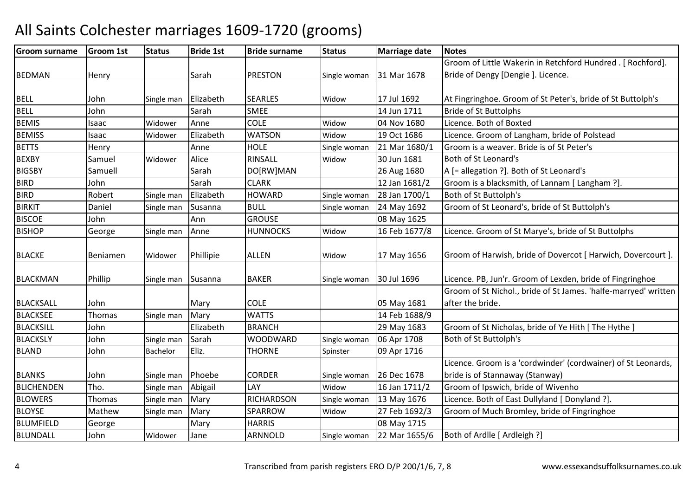#### Groom surnamee Groom 1st Status Bride 1st Bride surname Status Marriage date Notes BEDMAN Henry Sarah PRESTON **PRESTON** Single woman 31 Mar 1678 Groom of Little Wakerin in Retchford Hundred . [ Rochford]. Bride of Dengy [Dengie ]. Licence. BELL Johnn Single man Elizabeth SEARLES Widow Widow 17 Jul 1692 At Fingringhoe. Groom of St Peter's, bride of St Buttolph's<br>14 Jun 1711 Bride of St Buttolphs BELL JohnSarah SMEE 14 Jun 1711 Bride of St Buttolphs<br>Anne COLE Widow 04 Nov 1680 Licence Both of Boxt **BEMIS**  Isaac Widower Annee COLE Widow Widow 04 Nov 1680 Licence. Both of Boxted<br>Widow 19 Oct 1686 Licence. Groom of Lang **BEMISS**  Isaac Widower ElizabethWATSON<br>HOLE Widow 19 Oct 1686 Licence. Groom of Langham, bride of Polstead<br>Single woman 21 Mar 1680/1 Groom is a weaver. Bride is of St Peter's BETTSS Henry Anne Anne HOLE Single woman 21 Mar 1680/1 Groom is a weaver. Bride is of St Peter's **BEXBY** Y Samuel Widower Alice RINSALL Widow30 Jun 1681 Both of St Leonard's<br>26 Aug 1680 A [= allegation ?]. Bo **BIGSBY** Samuell Sarah<br>John Sarah DO[RW]MAN<br>CLARK 26 Aug 1680  $A =$  A  $[$  = allegation ?]. Both of St Leonard's<br>12 Jan 1681/2 Groom is a blacksmith, of Lannam [Lan BIRDJohn John Sarah CLARK 12 Jan 1681/2 Groom is a blacksmith, of Lannam [Langham ?].<br>Robert Single man Elizabeth HOWARD Single woman 28 Jan 1700/1 Both of St Buttolph's BIRDD Robert Single man Elizabeth HOWARD Single woman 28 Jan 1700/1 Both of St Buttolph's BIRKITT 1992 Daniel Single man Susanna BULL Single woman 24 May 1692 24 May 1692 | Groom of St Leonard's, bride of St Buttolph's **BISCOE**  Johnn 1980 May 1625 BISHOPP George Single man Anne HUNNOCKS Widow 16 Feb 1677/8 Licence. Groom of St Marye's, bride of St Buttolphs BLACKE BeniamenWidower Phillipie ALLEN Widow 17 May 1656 Groom of Harwish, bride of Dovercot [ Harwich, Dovercourt ]. BLACKMAN Phillip Single man Susanna BAKER Single woman 30 Jul 1696 Licence. PB, Jun'r. Groom of Lexden, bride of Fingringhoe BLACKSALL John Mary COLE 1995 May 1681 14 Feb 1688/9 Groom of St Nichol., bride of St James. 'halfe-marryed' written after the bride. BLACKSEEE Thomas Single man Mary WATTS 14 Feb 1688/9 29 May 1683 BLACKSILL John Elizabeth BRANCH29 May 1683 Groom of St Nicholas, bride of Ye Hith [The Hythe]<br>Single woman 06 Apr 1708 Both of St Buttolph's BLACKSLY JohnSingle man Sarah WOODWARD Single woman 06 Apr 1708 Both of St Buttolph's<br>Spinster 09 Apr 1716 BLANDD John Bachelor Eliz. THORNE Spinster 09 Apr 1716 BLANKS John John Single man Phoebe CORDER<br>Tho. Single man Abigail LAY Single woman 26 Dec 1678<br>Widow 16 Jan 1711/2 Licence. Groom is a 'cordwinder' (cordwainer) of St Leonards, bride is of Stannaway (Stanway)BLICHENDENTho. Single man Abigail Mary 16 Jan 1711/2 Groom of Ipswich, bride of Wivenho (Single man Mary 16 Jan 1711/2 Groom of Ipswich, bride of Wivenho<br>Thomas Single man Mary RICHARDSON Single woman 13 May 1676 Licence. Both of Ea BLOWERSSingle man Mary RICHARDSON<br>Mary SPARROW Single woman 13 May 1676 Licence. Both of East Dullyland [Donyland ?]<br>Widow 27 Feb 1692/3 Groom of Much Bromley, bride of Fingringho **BLOYSE**  MathewMathew Single man Mary SPARRC<br>George Mary HARRIS 27 Feb 1692/3 Groom of Much Bromley, bride of Fingringhoe<br>08 May 1715 BLUMFIELDD George Mary HARRIS 108 May 1715 BLUNDALL JohnWidower Jane **ARNNOLD** Single woman 22 Mar 1655/6 Both of Ardlle [ Ardleigh ?]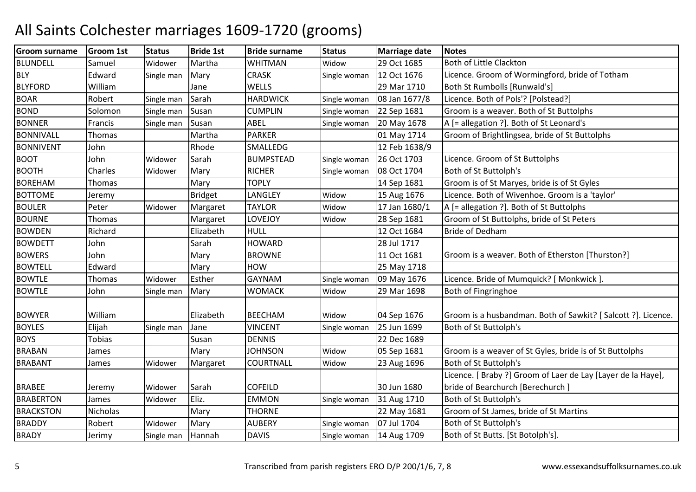| <b>Groom surname</b> | <b>Groom 1st</b> | <b>Status</b> | <b>Bride 1st</b> | <b>Bride surname</b> | <b>Status</b> | <b>Marriage date</b> | <b>Notes</b>                                                 |
|----------------------|------------------|---------------|------------------|----------------------|---------------|----------------------|--------------------------------------------------------------|
| <b>BLUNDELL</b>      | Samuel           | Widower       | Martha           | <b>WHITMAN</b>       | Widow         | 29 Oct 1685          | Both of Little Clackton                                      |
| <b>BLY</b>           | Edward           | Single man    | Mary             | <b>CRASK</b>         | Single woman  | 12 Oct 1676          | Licence. Groom of Wormingford, bride of Totham               |
| <b>BLYFORD</b>       | William          |               | Jane             | <b>WELLS</b>         |               | 29 Mar 1710          | Both St Rumbolls [Runwald's]                                 |
| <b>BOAR</b>          | Robert           | Single man    | Sarah            | <b>HARDWICK</b>      | Single woman  | 08 Jan 1677/8        | Licence. Both of Pols'? [Polstead?]                          |
| <b>BOND</b>          | Solomon          | Single man    | Susan            | <b>CUMPLIN</b>       | Single woman  | 22 Sep 1681          | Groom is a weaver. Both of St Buttolphs                      |
| <b>BONNER</b>        | Francis          | Single man    | Susan            | ABEL                 | Single woman  | 20 May 1678          | A [= allegation ?]. Both of St Leonard's                     |
| <b>BONNIVALL</b>     | Thomas           |               | Martha           | <b>PARKER</b>        |               | 01 May 1714          | Groom of Brightlingsea, bride of St Buttolphs                |
| <b>BONNIVENT</b>     | John             |               | Rhode            | SMALLEDG             |               | 12 Feb 1638/9        |                                                              |
| <b>BOOT</b>          | John             | Widower       | Sarah            | <b>BUMPSTEAD</b>     | Single woman  | 26 Oct 1703          | Licence. Groom of St Buttolphs                               |
| <b>BOOTH</b>         | Charles          | Widower       | Mary             | <b>RICHER</b>        | Single woman  | 08 Oct 1704          | Both of St Buttolph's                                        |
| <b>BOREHAM</b>       | Thomas           |               | Mary             | <b>TOPLY</b>         |               | 14 Sep 1681          | Groom is of St Maryes, bride is of St Gyles                  |
| <b>BOTTOME</b>       | Jeremy           |               | <b>Bridget</b>   | LANGLEY              | Widow         | 15 Aug 1676          | Licence. Both of Wivenhoe. Groom is a 'taylor'               |
| <b>BOULER</b>        | Peter            | Widower       | Margaret         | <b>TAYLOR</b>        | Widow         | 17 Jan 1680/1        | A [= allegation ?]. Both of St Buttolphs                     |
| <b>BOURNE</b>        | Thomas           |               | Margaret         | LOVEJOY              | Widow         | 28 Sep 1681          | Groom of St Buttolphs, bride of St Peters                    |
| <b>BOWDEN</b>        | Richard          |               | Elizabeth        | <b>HULL</b>          |               | 12 Oct 1684          | <b>Bride of Dedham</b>                                       |
| <b>BOWDETT</b>       | John             |               | Sarah            | <b>HOWARD</b>        |               | 28 Jul 1717          |                                                              |
| <b>BOWERS</b>        | John             |               | Mary             | <b>BROWNE</b>        |               | 11 Oct 1681          | Groom is a weaver. Both of Etherston [Thurston?]             |
| <b>BOWTELL</b>       | Edward           |               | Mary             | HOW                  |               | 25 May 1718          |                                                              |
| <b>BOWTLE</b>        | Thomas           | Widower       | Esther           | <b>GAYNAM</b>        | Single woman  | 09 May 1676          | Licence. Bride of Mumquick? [ Monkwick ]                     |
| <b>BOWTLE</b>        | John             | Single man    | Mary             | WOMACK               | Widow         | 29 Mar 1698          | Both of Fingringhoe                                          |
|                      |                  |               |                  |                      |               |                      |                                                              |
| <b>BOWYER</b>        | William          |               | Elizabeth        | <b>BEECHAM</b>       | Widow         | 04 Sep 1676          | Groom is a husbandman. Both of Sawkit? [Salcott ?]. Licence. |
| <b>BOYLES</b>        | Elijah           | Single man    | Jane             | <b>VINCENT</b>       | Single woman  | 25 Jun 1699          | Both of St Buttolph's                                        |
| <b>BOYS</b>          | <b>Tobias</b>    |               | Susan            | <b>DENNIS</b>        |               | 22 Dec 1689          |                                                              |
| <b>BRABAN</b>        | James            |               | Mary             | <b>JOHNSON</b>       | Widow         | 05 Sep 1681          | Groom is a weaver of St Gyles, bride is of St Buttolphs      |
| <b>BRABANT</b>       | James            | Widower       | Margaret         | COURTNALL            | Widow         | 23 Aug 1696          | Both of St Buttolph's                                        |
|                      |                  |               |                  |                      |               |                      | Licence. [ Braby ?] Groom of Laer de Lay [Layer de la Haye], |
| <b>BRABEE</b>        | Jeremy           | Widower       | Sarah            | <b>COFEILD</b>       |               | 30 Jun 1680          | bride of Bearchurch [Berechurch]                             |
| <b>BRABERTON</b>     | James            | Widower       | Eliz.            | <b>EMMON</b>         | Single woman  | 31 Aug 1710          | Both of St Buttolph's                                        |
| <b>BRACKSTON</b>     | Nicholas         |               | Mary             | <b>THORNE</b>        |               | 22 May 1681          | Groom of St James, bride of St Martins                       |
| <b>BRADDY</b>        | Robert           | Widower       | Mary             | <b>AUBERY</b>        | Single woman  | 07 Jul 1704          | Both of St Buttolph's                                        |
| <b>BRADY</b>         | Jerimy           | Single man    | Hannah           | <b>DAVIS</b>         | Single woman  | 14 Aug 1709          | Both of St Butts. [St Botolph's].                            |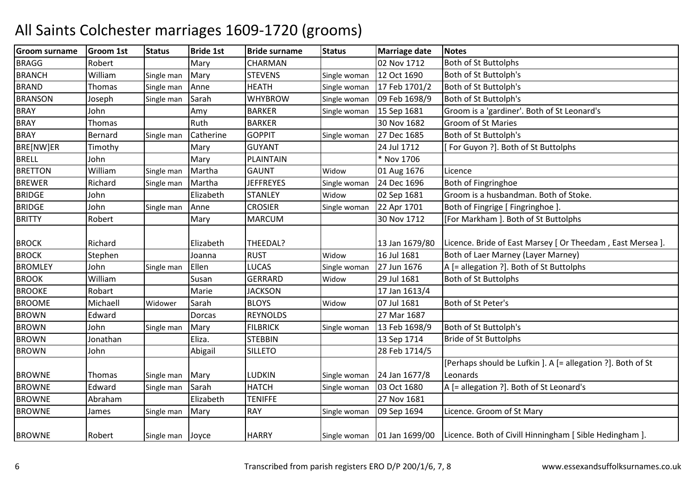| <b>Groom surname</b> | <b>Groom 1st</b> | <b>Status</b>    | <b>Bride 1st</b> | <b>Bride surname</b> | <b>Status</b> | <b>Marriage date</b> | <b>Notes</b>                                                                            |
|----------------------|------------------|------------------|------------------|----------------------|---------------|----------------------|-----------------------------------------------------------------------------------------|
| <b>BRAGG</b>         | Robert           |                  | Mary             | CHARMAN              |               | 02 Nov 1712          | Both of St Buttolphs                                                                    |
| <b>BRANCH</b>        | William          | Single man       | Mary             | <b>STEVENS</b>       | Single woman  | 12 Oct 1690          | Both of St Buttolph's                                                                   |
| <b>BRAND</b>         | Thomas           | Single man       | Anne             | <b>HEATH</b>         | Single woman  | 17 Feb 1701/2        | Both of St Buttolph's                                                                   |
| <b>BRANSON</b>       | Joseph           | Single man       | Sarah            | <b>WHYBROW</b>       | Single woman  | 09 Feb 1698/9        | Both of St Buttolph's                                                                   |
| <b>BRAY</b>          | John             |                  | Amy              | <b>BARKER</b>        | Single woman  | 15 Sep 1681          | Groom is a 'gardiner'. Both of St Leonard's                                             |
| <b>BRAY</b>          | Thomas           |                  | Ruth             | <b>BARKER</b>        |               | 30 Nov 1682          | <b>Groom of St Maries</b>                                                               |
| <b>BRAY</b>          | <b>Bernard</b>   | Single man       | Catherine        | <b>GOPPIT</b>        | Single woman  | 27 Dec 1685          | Both of St Buttolph's                                                                   |
| BRE[NW]ER            | Timothy          |                  | Mary             | <b>GUYANT</b>        |               | 24 Jul 1712          | [For Guyon ?]. Both of St Buttolphs                                                     |
| <b>BRELL</b>         | John             |                  | Mary             | <b>PLAINTAIN</b>     |               | * Nov 1706           |                                                                                         |
| <b>BRETTON</b>       | William          | Single man       | Martha           | <b>GAUNT</b>         | Widow         | 01 Aug 1676          | Licence                                                                                 |
| <b>BREWER</b>        | Richard          | Single man       | Martha           | <b>JEFFREYES</b>     | Single woman  | 24 Dec 1696          | Both of Fingringhoe                                                                     |
| <b>BRIDGE</b>        | John             |                  | Elizabeth        | <b>STANLEY</b>       | Widow         | 02 Sep 1681          | Groom is a husbandman. Both of Stoke.                                                   |
| <b>BRIDGE</b>        | John             | Single man       | Anne             | <b>CROSIER</b>       | Single woman  | 22 Apr 1701          | Both of Fingrige [ Fingringhoe ].                                                       |
| <b>BRITTY</b>        | Robert           |                  | Mary             | <b>MARCUM</b>        |               | 30 Nov 1712          | [For Markham ]. Both of St Buttolphs                                                    |
| <b>BROCK</b>         | Richard          |                  | Elizabeth        | THEEDAL?             |               | 13 Jan 1679/80       | Licence. Bride of East Marsey [ Or Theedam, East Mersea ].                              |
| <b>BROCK</b>         | Stephen          |                  | Joanna           | <b>RUST</b>          | Widow         | 16 Jul 1681          | Both of Laer Marney (Layer Marney)                                                      |
| <b>BROMLEY</b>       | John             | Single man       | Ellen            | <b>LUCAS</b>         | Single woman  | 27 Jun 1676          | A [= allegation ?]. Both of St Buttolphs                                                |
| <b>BROOK</b>         | William          |                  | Susan            | <b>GERRARD</b>       | Widow         | 29 Jul 1681          | Both of St Buttolphs                                                                    |
| <b>BROOKE</b>        | Robart           |                  | Marie            | <b>JACKSON</b>       |               | 17 Jan 1613/4        |                                                                                         |
| <b>BROOME</b>        | Michaell         | Widower          | Sarah            | <b>BLOYS</b>         | Widow         | 07 Jul 1681          | Both of St Peter's                                                                      |
| <b>BROWN</b>         | Edward           |                  | Dorcas           | <b>REYNOLDS</b>      |               | 27 Mar 1687          |                                                                                         |
| <b>BROWN</b>         | John             | Single man       | Mary             | <b>FILBRICK</b>      | Single woman  | 13 Feb 1698/9        | Both of St Buttolph's                                                                   |
| <b>BROWN</b>         | Jonathan         |                  | Eliza.           | <b>STEBBIN</b>       |               | 13 Sep 1714          | <b>Bride of St Buttolphs</b>                                                            |
| <b>BROWN</b>         | John             |                  | Abigail          | <b>SILLETO</b>       |               | 28 Feb 1714/5        |                                                                                         |
| <b>BROWNE</b>        | Thomas           | Single man       | Mary             | LUDKIN               | Single woman  | 24 Jan 1677/8        | [Perhaps should be Lufkin ]. A [= allegation ?]. Both of St<br>Leonards                 |
| <b>BROWNE</b>        | Edward           | Single man       | Sarah            | <b>HATCH</b>         | Single woman  | 03 Oct 1680          | A [= allegation ?]. Both of St Leonard's                                                |
| <b>BROWNE</b>        | Abraham          |                  | Elizabeth        | <b>TENIFFE</b>       |               | 27 Nov 1681          |                                                                                         |
| <b>BROWNE</b>        | James            | Single man       | Mary             | <b>RAY</b>           | Single woman  | 09 Sep 1694          | Licence. Groom of St Mary                                                               |
| <b>BROWNE</b>        | Robert           | Single man Joyce |                  | <b>HARRY</b>         |               |                      | Single woman   01 Jan 1699/00   Licence. Both of Civill Hinningham [ Sible Hedingham ]. |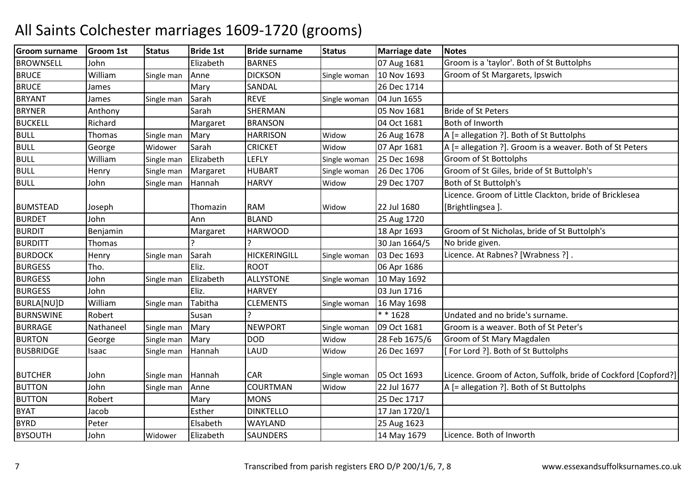| <b>Groom surname</b> | <b>Groom 1st</b> | <b>Status</b> | <b>Bride 1st</b> | <b>Bride surname</b> | <b>Status</b> | <b>Marriage date</b> | <b>Notes</b>                                                   |
|----------------------|------------------|---------------|------------------|----------------------|---------------|----------------------|----------------------------------------------------------------|
| <b>BROWNSELL</b>     | John             |               | Elizabeth        | <b>BARNES</b>        |               | 07 Aug 1681          | Groom is a 'taylor'. Both of St Buttolphs                      |
| <b>BRUCE</b>         | William          | Single man    | Anne             | <b>DICKSON</b>       | Single woman  | 10 Nov 1693          | Groom of St Margarets, Ipswich                                 |
| <b>BRUCE</b>         | James            |               | Mary             | SANDAL               |               | 26 Dec 1714          |                                                                |
| <b>BRYANT</b>        | James            | Single man    | Sarah            | <b>REVE</b>          | Single woman  | 04 Jun 1655          |                                                                |
| <b>BRYNER</b>        | Anthony          |               | Sarah            | SHERMAN              |               | 05 Nov 1681          | <b>Bride of St Peters</b>                                      |
| <b>BUCKELL</b>       | Richard          |               | Margaret         | <b>BRANSON</b>       |               | 04 Oct 1681          | Both of Inworth                                                |
| <b>BULL</b>          | Thomas           | Single man    | Mary             | <b>HARRISON</b>      | Widow         | 26 Aug 1678          | A [= allegation ?]. Both of St Buttolphs                       |
| <b>BULL</b>          | George           | Widower       | Sarah            | <b>CRICKET</b>       | Widow         | 07 Apr 1681          | A [= allegation ?]. Groom is a weaver. Both of St Peters       |
| <b>BULL</b>          | William          | Single man    | Elizabeth        | <b>LEFLY</b>         | Single woman  | 25 Dec 1698          | <b>Groom of St Bottolphs</b>                                   |
| <b>BULL</b>          | Henry            | Single man    | Margaret         | <b>HUBART</b>        | Single woman  | 26 Dec 1706          | Groom of St Giles, bride of St Buttolph's                      |
| <b>BULL</b>          | John             | Single man    | Hannah           | <b>HARVY</b>         | Widow         | 29 Dec 1707          | Both of St Buttolph's                                          |
|                      |                  |               |                  |                      |               |                      | Licence. Groom of Little Clackton, bride of Bricklesea         |
| <b>BUMSTEAD</b>      | Joseph           |               | Thomazin         | <b>RAM</b>           | Widow         | 22 Jul 1680          | [Brightlingsea].                                               |
| <b>BURDET</b>        | John             |               | Ann              | <b>BLAND</b>         |               | 25 Aug 1720          |                                                                |
| <b>BURDIT</b>        | Benjamin         |               | Margaret         | <b>HARWOOD</b>       |               | 18 Apr 1693          | Groom of St Nicholas, bride of St Buttolph's                   |
| <b>BURDITT</b>       | Thomas           |               |                  |                      |               | 30 Jan 1664/5        | No bride given.                                                |
| <b>BURDOCK</b>       | Henry            | Single man    | Sarah            | <b>HICKERINGILL</b>  | Single woman  | 03 Dec 1693          | Licence. At Rabnes? [Wrabness ?].                              |
| <b>BURGESS</b>       | Tho.             |               | Eliz.            | <b>ROOT</b>          |               | 06 Apr 1686          |                                                                |
| <b>BURGESS</b>       | John             | Single man    | Elizabeth        | <b>ALLYSTONE</b>     | Single woman  | 10 May 1692          |                                                                |
| <b>BURGESS</b>       | John             |               | Eliz.            | <b>HARVEY</b>        |               | 03 Jun 1716          |                                                                |
| BURLA[NU]D           | William          | Single man    | Tabitha          | <b>CLEMENTS</b>      | Single woman  | 16 May 1698          |                                                                |
| <b>BURNSWINE</b>     | Robert           |               | Susan            |                      |               | $* * 1628$           | Undated and no bride's surname.                                |
| <b>BURRAGE</b>       | Nathaneel        | Single man    | Mary             | <b>NEWPORT</b>       | Single woman  | 09 Oct 1681          | Groom is a weaver. Both of St Peter's                          |
| <b>BURTON</b>        | George           | Single man    | Mary             | <b>DOD</b>           | Widow         | 28 Feb 1675/6        | Groom of St Mary Magdalen                                      |
| <b>BUSBRIDGE</b>     | Isaac            | Single man    | Hannah           | LAUD                 | Widow         | 26 Dec 1697          | For Lord ?]. Both of St Buttolphs                              |
|                      |                  |               |                  |                      |               |                      |                                                                |
| <b>BUTCHER</b>       | John             | Single man    | Hannah           | <b>CAR</b>           | Single woman  | 05 Oct 1693          | Licence. Groom of Acton, Suffolk, bride of Cockford [Copford?] |
| <b>BUTTON</b>        | John             | Single man    | Anne             | <b>COURTMAN</b>      | Widow         | 22 Jul 1677          | A [= allegation ?]. Both of St Buttolphs                       |
| <b>BUTTON</b>        | Robert           |               | Mary             | <b>MONS</b>          |               | 25 Dec 1717          |                                                                |
| <b>BYAT</b>          | Jacob            |               | Esther           | <b>DINKTELLO</b>     |               | 17 Jan 1720/1        |                                                                |
| <b>BYRD</b>          | Peter            |               | Elsabeth         | WAYLAND              |               | 25 Aug 1623          |                                                                |
| <b>BYSOUTH</b>       | John             | Widower       | Elizabeth        | <b>SAUNDERS</b>      |               | 14 May 1679          | Licence. Both of Inworth                                       |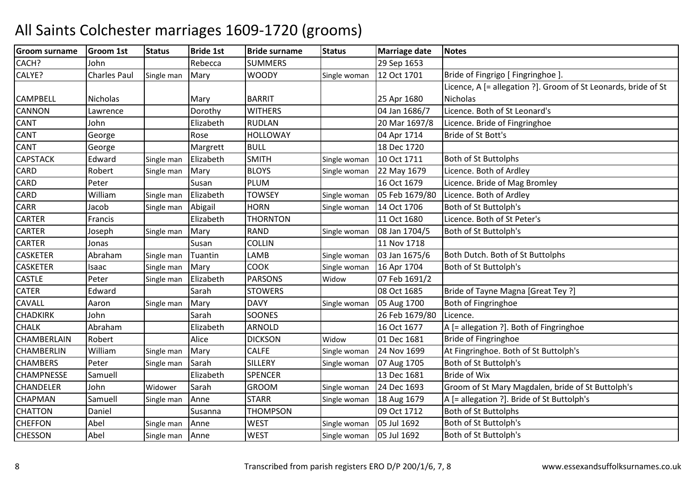| CACH?<br><b>SUMMERS</b><br>29 Sep 1653<br>Rebecca<br>John<br><b>Charles Paul</b><br><b>WOODY</b><br>Bride of Fingrigo [ Fingringhoe ]<br>12 Oct 1701<br>Single man<br>Mary<br>Single woman<br>Licence, A [= allegation ?]. Groom of St Leonards, bride of St<br><b>CAMPBELL</b><br><b>BARRIT</b><br>Nicholas<br>25 Apr 1680<br>Nicholas<br>Mary<br>Licence. Both of St Leonard's<br>CANNON<br><b>WITHERS</b><br>04 Jan 1686/7<br>Dorothy<br>Lawrence<br>CANT<br>Elizabeth<br><b>RUDLAN</b><br>20 Mar 1697/8<br>Licence. Bride of Fingringhoe<br>John<br>CANT<br><b>HOLLOWAY</b><br>04 Apr 1714<br>Bride of St Bott's<br>Rose<br>George<br><b>CANT</b><br><b>BULL</b><br>18 Dec 1720<br>Margrett<br>George<br><b>CAPSTACK</b><br><b>SMITH</b><br>10 Oct 1711<br>Both of St Buttolphs<br>Edward<br>Elizabeth<br>Single man<br>Single woman<br>CARD<br><b>BLOYS</b><br>Licence. Both of Ardley<br>Robert<br>Mary<br>22 May 1679<br>Single man<br>Single woman<br>CARD<br><b>PLUM</b><br>16 Oct 1679<br>Licence. Bride of Mag Bromley<br>Peter<br>Susan<br>CARD<br>William<br>05 Feb 1679/80<br>Licence. Both of Ardley<br>Elizabeth<br><b>TOWSEY</b><br>Single man<br>Single woman<br>CARR<br>Abigail<br><b>HORN</b><br>Both of St Buttolph's<br>14 Oct 1706<br>Jacob<br>Single man<br>Single woman<br><b>CARTER</b><br><b>THORNTON</b><br>Licence. Both of St Peter's<br>11 Oct 1680<br>Francis<br>Elizabeth<br><b>CARTER</b><br><b>RAND</b><br>Mary<br>08 Jan 1704/5<br>Both of St Buttolph's<br>Joseph<br>Single woman<br>Single man<br><b>CARTER</b><br><b>COLLIN</b><br>11 Nov 1718<br>Susan<br>Jonas<br><b>CASKETER</b><br>Abraham<br>LAMB<br>03 Jan 1675/6<br>Both Dutch. Both of St Buttolphs<br>Tuantin<br>Single woman<br>Single man<br><b>CASKETER</b><br><b>COOK</b><br>Both of St Buttolph's<br>16 Apr 1704<br>Mary<br>Single woman<br>Isaac<br>Single man<br>Elizabeth<br><b>PARSONS</b><br>Peter<br>07 Feb 1691/2<br>Widow<br>Single man<br>Bride of Tayne Magna [Great Tey ?]<br><b>CATER</b><br><b>STOWERS</b><br>08 Oct 1685<br>Edward<br>Sarah<br>CAVALL<br><b>DAVY</b><br>05 Aug 1700<br>Both of Fingringhoe<br>Aaron<br>Single man<br>Mary<br>Single woman<br><b>CHADKIRK</b><br>SOONES<br>26 Feb 1679/80<br>John<br>Sarah<br>Licence.<br><b>ARNOLD</b><br><b>CHALK</b><br>16 Oct 1677<br>Abraham<br>Elizabeth<br>A [= allegation ?]. Both of Fingringhoe<br><b>DICKSON</b><br>Bride of Fingringhoe<br>CHAMBERLAIN<br>Robert<br>Alice<br>01 Dec 1681<br>Widow<br>William<br><b>CALFE</b><br>At Fingringhoe. Both of St Buttolph's<br>CHAMBERLIN<br>Mary<br>24 Nov 1699<br>Single man<br>Single woman<br><b>CHAMBERS</b><br><b>SILLERY</b><br>Both of St Buttolph's<br>Peter<br>Sarah<br>07 Aug 1705<br>Single man<br>Single woman<br><b>Bride of Wix</b><br>CHAMPNESSE<br><b>SPENCER</b><br>13 Dec 1681<br>Elizabeth<br>Samuell<br>Groom of St Mary Magdalen, bride of St Buttolph's<br>CHANDELER<br>John<br>Sarah<br><b>GROOM</b><br>24 Dec 1693<br>Single woman<br>Widower<br><b>STARR</b><br>A [= allegation ?]. Bride of St Buttolph's<br>CHAPMAN<br>Samuell<br>Anne<br>Single woman<br>18 Aug 1679<br>Single man<br><b>THOMPSON</b><br>09 Oct 1712<br><b>Both of St Buttolphs</b><br><b>CHATTON</b><br>Daniel<br>Susanna<br><b>WEST</b><br>Both of St Buttolph's<br><b>CHEFFON</b><br>Abel<br>05 Jul 1692<br>Single man<br>Anne<br>Single woman<br><b>CHESSON</b><br>Abel<br><b>WEST</b><br>05 Jul 1692<br>Both of St Buttolph's<br>Single man<br>Anne<br>Single woman | Groom surname | <b>Groom 1st</b> | <b>Status</b> | <b>Bride 1st</b> | <b>Bride surname</b> | <b>Status</b> | <b>Marriage date</b> | <b>Notes</b> |
|-----------------------------------------------------------------------------------------------------------------------------------------------------------------------------------------------------------------------------------------------------------------------------------------------------------------------------------------------------------------------------------------------------------------------------------------------------------------------------------------------------------------------------------------------------------------------------------------------------------------------------------------------------------------------------------------------------------------------------------------------------------------------------------------------------------------------------------------------------------------------------------------------------------------------------------------------------------------------------------------------------------------------------------------------------------------------------------------------------------------------------------------------------------------------------------------------------------------------------------------------------------------------------------------------------------------------------------------------------------------------------------------------------------------------------------------------------------------------------------------------------------------------------------------------------------------------------------------------------------------------------------------------------------------------------------------------------------------------------------------------------------------------------------------------------------------------------------------------------------------------------------------------------------------------------------------------------------------------------------------------------------------------------------------------------------------------------------------------------------------------------------------------------------------------------------------------------------------------------------------------------------------------------------------------------------------------------------------------------------------------------------------------------------------------------------------------------------------------------------------------------------------------------------------------------------------------------------------------------------------------------------------------------------------------------------------------------------------------------------------------------------------------------------------------------------------------------------------------------------------------------------------------------------------------------------------------------------------------------------------------------------------------------------------------------------------------------------------------------------------------------------------------------------------------------------------------------------------------------------------------------------------------------------------------------------------------------------------------------------------------------------------------------------------------------------------------------------------------------------------------|---------------|------------------|---------------|------------------|----------------------|---------------|----------------------|--------------|
|                                                                                                                                                                                                                                                                                                                                                                                                                                                                                                                                                                                                                                                                                                                                                                                                                                                                                                                                                                                                                                                                                                                                                                                                                                                                                                                                                                                                                                                                                                                                                                                                                                                                                                                                                                                                                                                                                                                                                                                                                                                                                                                                                                                                                                                                                                                                                                                                                                                                                                                                                                                                                                                                                                                                                                                                                                                                                                                                                                                                                                                                                                                                                                                                                                                                                                                                                                                                                                                                                               |               |                  |               |                  |                      |               |                      |              |
|                                                                                                                                                                                                                                                                                                                                                                                                                                                                                                                                                                                                                                                                                                                                                                                                                                                                                                                                                                                                                                                                                                                                                                                                                                                                                                                                                                                                                                                                                                                                                                                                                                                                                                                                                                                                                                                                                                                                                                                                                                                                                                                                                                                                                                                                                                                                                                                                                                                                                                                                                                                                                                                                                                                                                                                                                                                                                                                                                                                                                                                                                                                                                                                                                                                                                                                                                                                                                                                                                               | CALYE?        |                  |               |                  |                      |               |                      |              |
|                                                                                                                                                                                                                                                                                                                                                                                                                                                                                                                                                                                                                                                                                                                                                                                                                                                                                                                                                                                                                                                                                                                                                                                                                                                                                                                                                                                                                                                                                                                                                                                                                                                                                                                                                                                                                                                                                                                                                                                                                                                                                                                                                                                                                                                                                                                                                                                                                                                                                                                                                                                                                                                                                                                                                                                                                                                                                                                                                                                                                                                                                                                                                                                                                                                                                                                                                                                                                                                                                               |               |                  |               |                  |                      |               |                      |              |
|                                                                                                                                                                                                                                                                                                                                                                                                                                                                                                                                                                                                                                                                                                                                                                                                                                                                                                                                                                                                                                                                                                                                                                                                                                                                                                                                                                                                                                                                                                                                                                                                                                                                                                                                                                                                                                                                                                                                                                                                                                                                                                                                                                                                                                                                                                                                                                                                                                                                                                                                                                                                                                                                                                                                                                                                                                                                                                                                                                                                                                                                                                                                                                                                                                                                                                                                                                                                                                                                                               |               |                  |               |                  |                      |               |                      |              |
|                                                                                                                                                                                                                                                                                                                                                                                                                                                                                                                                                                                                                                                                                                                                                                                                                                                                                                                                                                                                                                                                                                                                                                                                                                                                                                                                                                                                                                                                                                                                                                                                                                                                                                                                                                                                                                                                                                                                                                                                                                                                                                                                                                                                                                                                                                                                                                                                                                                                                                                                                                                                                                                                                                                                                                                                                                                                                                                                                                                                                                                                                                                                                                                                                                                                                                                                                                                                                                                                                               |               |                  |               |                  |                      |               |                      |              |
|                                                                                                                                                                                                                                                                                                                                                                                                                                                                                                                                                                                                                                                                                                                                                                                                                                                                                                                                                                                                                                                                                                                                                                                                                                                                                                                                                                                                                                                                                                                                                                                                                                                                                                                                                                                                                                                                                                                                                                                                                                                                                                                                                                                                                                                                                                                                                                                                                                                                                                                                                                                                                                                                                                                                                                                                                                                                                                                                                                                                                                                                                                                                                                                                                                                                                                                                                                                                                                                                                               |               |                  |               |                  |                      |               |                      |              |
|                                                                                                                                                                                                                                                                                                                                                                                                                                                                                                                                                                                                                                                                                                                                                                                                                                                                                                                                                                                                                                                                                                                                                                                                                                                                                                                                                                                                                                                                                                                                                                                                                                                                                                                                                                                                                                                                                                                                                                                                                                                                                                                                                                                                                                                                                                                                                                                                                                                                                                                                                                                                                                                                                                                                                                                                                                                                                                                                                                                                                                                                                                                                                                                                                                                                                                                                                                                                                                                                                               |               |                  |               |                  |                      |               |                      |              |
|                                                                                                                                                                                                                                                                                                                                                                                                                                                                                                                                                                                                                                                                                                                                                                                                                                                                                                                                                                                                                                                                                                                                                                                                                                                                                                                                                                                                                                                                                                                                                                                                                                                                                                                                                                                                                                                                                                                                                                                                                                                                                                                                                                                                                                                                                                                                                                                                                                                                                                                                                                                                                                                                                                                                                                                                                                                                                                                                                                                                                                                                                                                                                                                                                                                                                                                                                                                                                                                                                               |               |                  |               |                  |                      |               |                      |              |
|                                                                                                                                                                                                                                                                                                                                                                                                                                                                                                                                                                                                                                                                                                                                                                                                                                                                                                                                                                                                                                                                                                                                                                                                                                                                                                                                                                                                                                                                                                                                                                                                                                                                                                                                                                                                                                                                                                                                                                                                                                                                                                                                                                                                                                                                                                                                                                                                                                                                                                                                                                                                                                                                                                                                                                                                                                                                                                                                                                                                                                                                                                                                                                                                                                                                                                                                                                                                                                                                                               |               |                  |               |                  |                      |               |                      |              |
|                                                                                                                                                                                                                                                                                                                                                                                                                                                                                                                                                                                                                                                                                                                                                                                                                                                                                                                                                                                                                                                                                                                                                                                                                                                                                                                                                                                                                                                                                                                                                                                                                                                                                                                                                                                                                                                                                                                                                                                                                                                                                                                                                                                                                                                                                                                                                                                                                                                                                                                                                                                                                                                                                                                                                                                                                                                                                                                                                                                                                                                                                                                                                                                                                                                                                                                                                                                                                                                                                               |               |                  |               |                  |                      |               |                      |              |
|                                                                                                                                                                                                                                                                                                                                                                                                                                                                                                                                                                                                                                                                                                                                                                                                                                                                                                                                                                                                                                                                                                                                                                                                                                                                                                                                                                                                                                                                                                                                                                                                                                                                                                                                                                                                                                                                                                                                                                                                                                                                                                                                                                                                                                                                                                                                                                                                                                                                                                                                                                                                                                                                                                                                                                                                                                                                                                                                                                                                                                                                                                                                                                                                                                                                                                                                                                                                                                                                                               |               |                  |               |                  |                      |               |                      |              |
|                                                                                                                                                                                                                                                                                                                                                                                                                                                                                                                                                                                                                                                                                                                                                                                                                                                                                                                                                                                                                                                                                                                                                                                                                                                                                                                                                                                                                                                                                                                                                                                                                                                                                                                                                                                                                                                                                                                                                                                                                                                                                                                                                                                                                                                                                                                                                                                                                                                                                                                                                                                                                                                                                                                                                                                                                                                                                                                                                                                                                                                                                                                                                                                                                                                                                                                                                                                                                                                                                               |               |                  |               |                  |                      |               |                      |              |
|                                                                                                                                                                                                                                                                                                                                                                                                                                                                                                                                                                                                                                                                                                                                                                                                                                                                                                                                                                                                                                                                                                                                                                                                                                                                                                                                                                                                                                                                                                                                                                                                                                                                                                                                                                                                                                                                                                                                                                                                                                                                                                                                                                                                                                                                                                                                                                                                                                                                                                                                                                                                                                                                                                                                                                                                                                                                                                                                                                                                                                                                                                                                                                                                                                                                                                                                                                                                                                                                                               |               |                  |               |                  |                      |               |                      |              |
|                                                                                                                                                                                                                                                                                                                                                                                                                                                                                                                                                                                                                                                                                                                                                                                                                                                                                                                                                                                                                                                                                                                                                                                                                                                                                                                                                                                                                                                                                                                                                                                                                                                                                                                                                                                                                                                                                                                                                                                                                                                                                                                                                                                                                                                                                                                                                                                                                                                                                                                                                                                                                                                                                                                                                                                                                                                                                                                                                                                                                                                                                                                                                                                                                                                                                                                                                                                                                                                                                               |               |                  |               |                  |                      |               |                      |              |
|                                                                                                                                                                                                                                                                                                                                                                                                                                                                                                                                                                                                                                                                                                                                                                                                                                                                                                                                                                                                                                                                                                                                                                                                                                                                                                                                                                                                                                                                                                                                                                                                                                                                                                                                                                                                                                                                                                                                                                                                                                                                                                                                                                                                                                                                                                                                                                                                                                                                                                                                                                                                                                                                                                                                                                                                                                                                                                                                                                                                                                                                                                                                                                                                                                                                                                                                                                                                                                                                                               |               |                  |               |                  |                      |               |                      |              |
|                                                                                                                                                                                                                                                                                                                                                                                                                                                                                                                                                                                                                                                                                                                                                                                                                                                                                                                                                                                                                                                                                                                                                                                                                                                                                                                                                                                                                                                                                                                                                                                                                                                                                                                                                                                                                                                                                                                                                                                                                                                                                                                                                                                                                                                                                                                                                                                                                                                                                                                                                                                                                                                                                                                                                                                                                                                                                                                                                                                                                                                                                                                                                                                                                                                                                                                                                                                                                                                                                               |               |                  |               |                  |                      |               |                      |              |
|                                                                                                                                                                                                                                                                                                                                                                                                                                                                                                                                                                                                                                                                                                                                                                                                                                                                                                                                                                                                                                                                                                                                                                                                                                                                                                                                                                                                                                                                                                                                                                                                                                                                                                                                                                                                                                                                                                                                                                                                                                                                                                                                                                                                                                                                                                                                                                                                                                                                                                                                                                                                                                                                                                                                                                                                                                                                                                                                                                                                                                                                                                                                                                                                                                                                                                                                                                                                                                                                                               |               |                  |               |                  |                      |               |                      |              |
|                                                                                                                                                                                                                                                                                                                                                                                                                                                                                                                                                                                                                                                                                                                                                                                                                                                                                                                                                                                                                                                                                                                                                                                                                                                                                                                                                                                                                                                                                                                                                                                                                                                                                                                                                                                                                                                                                                                                                                                                                                                                                                                                                                                                                                                                                                                                                                                                                                                                                                                                                                                                                                                                                                                                                                                                                                                                                                                                                                                                                                                                                                                                                                                                                                                                                                                                                                                                                                                                                               |               |                  |               |                  |                      |               |                      |              |
|                                                                                                                                                                                                                                                                                                                                                                                                                                                                                                                                                                                                                                                                                                                                                                                                                                                                                                                                                                                                                                                                                                                                                                                                                                                                                                                                                                                                                                                                                                                                                                                                                                                                                                                                                                                                                                                                                                                                                                                                                                                                                                                                                                                                                                                                                                                                                                                                                                                                                                                                                                                                                                                                                                                                                                                                                                                                                                                                                                                                                                                                                                                                                                                                                                                                                                                                                                                                                                                                                               | <b>CASTLE</b> |                  |               |                  |                      |               |                      |              |
|                                                                                                                                                                                                                                                                                                                                                                                                                                                                                                                                                                                                                                                                                                                                                                                                                                                                                                                                                                                                                                                                                                                                                                                                                                                                                                                                                                                                                                                                                                                                                                                                                                                                                                                                                                                                                                                                                                                                                                                                                                                                                                                                                                                                                                                                                                                                                                                                                                                                                                                                                                                                                                                                                                                                                                                                                                                                                                                                                                                                                                                                                                                                                                                                                                                                                                                                                                                                                                                                                               |               |                  |               |                  |                      |               |                      |              |
|                                                                                                                                                                                                                                                                                                                                                                                                                                                                                                                                                                                                                                                                                                                                                                                                                                                                                                                                                                                                                                                                                                                                                                                                                                                                                                                                                                                                                                                                                                                                                                                                                                                                                                                                                                                                                                                                                                                                                                                                                                                                                                                                                                                                                                                                                                                                                                                                                                                                                                                                                                                                                                                                                                                                                                                                                                                                                                                                                                                                                                                                                                                                                                                                                                                                                                                                                                                                                                                                                               |               |                  |               |                  |                      |               |                      |              |
|                                                                                                                                                                                                                                                                                                                                                                                                                                                                                                                                                                                                                                                                                                                                                                                                                                                                                                                                                                                                                                                                                                                                                                                                                                                                                                                                                                                                                                                                                                                                                                                                                                                                                                                                                                                                                                                                                                                                                                                                                                                                                                                                                                                                                                                                                                                                                                                                                                                                                                                                                                                                                                                                                                                                                                                                                                                                                                                                                                                                                                                                                                                                                                                                                                                                                                                                                                                                                                                                                               |               |                  |               |                  |                      |               |                      |              |
|                                                                                                                                                                                                                                                                                                                                                                                                                                                                                                                                                                                                                                                                                                                                                                                                                                                                                                                                                                                                                                                                                                                                                                                                                                                                                                                                                                                                                                                                                                                                                                                                                                                                                                                                                                                                                                                                                                                                                                                                                                                                                                                                                                                                                                                                                                                                                                                                                                                                                                                                                                                                                                                                                                                                                                                                                                                                                                                                                                                                                                                                                                                                                                                                                                                                                                                                                                                                                                                                                               |               |                  |               |                  |                      |               |                      |              |
|                                                                                                                                                                                                                                                                                                                                                                                                                                                                                                                                                                                                                                                                                                                                                                                                                                                                                                                                                                                                                                                                                                                                                                                                                                                                                                                                                                                                                                                                                                                                                                                                                                                                                                                                                                                                                                                                                                                                                                                                                                                                                                                                                                                                                                                                                                                                                                                                                                                                                                                                                                                                                                                                                                                                                                                                                                                                                                                                                                                                                                                                                                                                                                                                                                                                                                                                                                                                                                                                                               |               |                  |               |                  |                      |               |                      |              |
|                                                                                                                                                                                                                                                                                                                                                                                                                                                                                                                                                                                                                                                                                                                                                                                                                                                                                                                                                                                                                                                                                                                                                                                                                                                                                                                                                                                                                                                                                                                                                                                                                                                                                                                                                                                                                                                                                                                                                                                                                                                                                                                                                                                                                                                                                                                                                                                                                                                                                                                                                                                                                                                                                                                                                                                                                                                                                                                                                                                                                                                                                                                                                                                                                                                                                                                                                                                                                                                                                               |               |                  |               |                  |                      |               |                      |              |
|                                                                                                                                                                                                                                                                                                                                                                                                                                                                                                                                                                                                                                                                                                                                                                                                                                                                                                                                                                                                                                                                                                                                                                                                                                                                                                                                                                                                                                                                                                                                                                                                                                                                                                                                                                                                                                                                                                                                                                                                                                                                                                                                                                                                                                                                                                                                                                                                                                                                                                                                                                                                                                                                                                                                                                                                                                                                                                                                                                                                                                                                                                                                                                                                                                                                                                                                                                                                                                                                                               |               |                  |               |                  |                      |               |                      |              |
|                                                                                                                                                                                                                                                                                                                                                                                                                                                                                                                                                                                                                                                                                                                                                                                                                                                                                                                                                                                                                                                                                                                                                                                                                                                                                                                                                                                                                                                                                                                                                                                                                                                                                                                                                                                                                                                                                                                                                                                                                                                                                                                                                                                                                                                                                                                                                                                                                                                                                                                                                                                                                                                                                                                                                                                                                                                                                                                                                                                                                                                                                                                                                                                                                                                                                                                                                                                                                                                                                               |               |                  |               |                  |                      |               |                      |              |
|                                                                                                                                                                                                                                                                                                                                                                                                                                                                                                                                                                                                                                                                                                                                                                                                                                                                                                                                                                                                                                                                                                                                                                                                                                                                                                                                                                                                                                                                                                                                                                                                                                                                                                                                                                                                                                                                                                                                                                                                                                                                                                                                                                                                                                                                                                                                                                                                                                                                                                                                                                                                                                                                                                                                                                                                                                                                                                                                                                                                                                                                                                                                                                                                                                                                                                                                                                                                                                                                                               |               |                  |               |                  |                      |               |                      |              |
|                                                                                                                                                                                                                                                                                                                                                                                                                                                                                                                                                                                                                                                                                                                                                                                                                                                                                                                                                                                                                                                                                                                                                                                                                                                                                                                                                                                                                                                                                                                                                                                                                                                                                                                                                                                                                                                                                                                                                                                                                                                                                                                                                                                                                                                                                                                                                                                                                                                                                                                                                                                                                                                                                                                                                                                                                                                                                                                                                                                                                                                                                                                                                                                                                                                                                                                                                                                                                                                                                               |               |                  |               |                  |                      |               |                      |              |
|                                                                                                                                                                                                                                                                                                                                                                                                                                                                                                                                                                                                                                                                                                                                                                                                                                                                                                                                                                                                                                                                                                                                                                                                                                                                                                                                                                                                                                                                                                                                                                                                                                                                                                                                                                                                                                                                                                                                                                                                                                                                                                                                                                                                                                                                                                                                                                                                                                                                                                                                                                                                                                                                                                                                                                                                                                                                                                                                                                                                                                                                                                                                                                                                                                                                                                                                                                                                                                                                                               |               |                  |               |                  |                      |               |                      |              |
|                                                                                                                                                                                                                                                                                                                                                                                                                                                                                                                                                                                                                                                                                                                                                                                                                                                                                                                                                                                                                                                                                                                                                                                                                                                                                                                                                                                                                                                                                                                                                                                                                                                                                                                                                                                                                                                                                                                                                                                                                                                                                                                                                                                                                                                                                                                                                                                                                                                                                                                                                                                                                                                                                                                                                                                                                                                                                                                                                                                                                                                                                                                                                                                                                                                                                                                                                                                                                                                                                               |               |                  |               |                  |                      |               |                      |              |
|                                                                                                                                                                                                                                                                                                                                                                                                                                                                                                                                                                                                                                                                                                                                                                                                                                                                                                                                                                                                                                                                                                                                                                                                                                                                                                                                                                                                                                                                                                                                                                                                                                                                                                                                                                                                                                                                                                                                                                                                                                                                                                                                                                                                                                                                                                                                                                                                                                                                                                                                                                                                                                                                                                                                                                                                                                                                                                                                                                                                                                                                                                                                                                                                                                                                                                                                                                                                                                                                                               |               |                  |               |                  |                      |               |                      |              |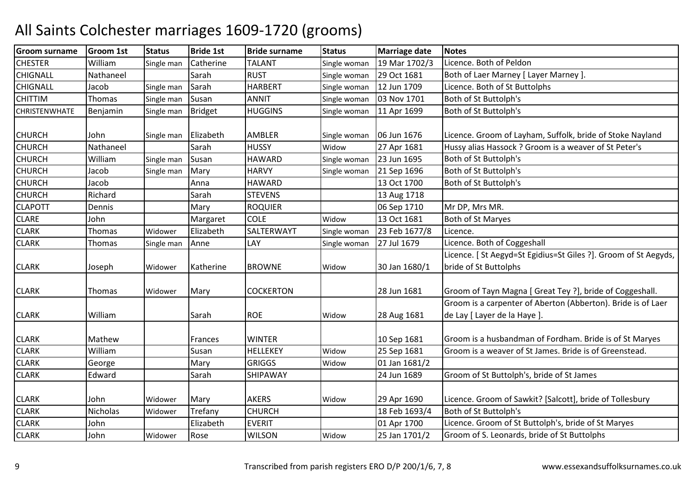| Groom surname        | <b>Groom 1st</b> | <b>Status</b> | <b>Bride 1st</b> | <b>Bride surname</b> | <b>Status</b> | <b>Marriage date</b> | <b>Notes</b>                                                                                 |
|----------------------|------------------|---------------|------------------|----------------------|---------------|----------------------|----------------------------------------------------------------------------------------------|
| <b>CHESTER</b>       | William          | Single man    | Catherine        | <b>TALANT</b>        | Single woman  | 19 Mar 1702/3        | Licence. Both of Peldon                                                                      |
| <b>CHIGNALL</b>      | Nathaneel        |               | Sarah            | <b>RUST</b>          | Single woman  | 29 Oct 1681          | Both of Laer Marney [ Layer Marney ].                                                        |
| <b>CHIGNALL</b>      | Jacob            | Single man    | Sarah            | <b>HARBERT</b>       | Single woman  | 12 Jun 1709          | Licence. Both of St Buttolphs                                                                |
| <b>CHITTIM</b>       | Thomas           | Single man    | Susan            | <b>ANNIT</b>         | Single woman  | 03 Nov 1701          | Both of St Buttolph's                                                                        |
| <b>CHRISTENWHATE</b> | Benjamin         | Single man    | <b>Bridget</b>   | <b>HUGGINS</b>       | Single woman  | 11 Apr 1699          | Both of St Buttolph's                                                                        |
| <b>CHURCH</b>        | John             | Single man    | Elizabeth        | <b>AMBLER</b>        | Single woman  | 06 Jun 1676          | Licence. Groom of Layham, Suffolk, bride of Stoke Nayland                                    |
| <b>CHURCH</b>        | Nathaneel        |               | Sarah            | <b>HUSSY</b>         | Widow         | 27 Apr 1681          | Hussy alias Hassock ? Groom is a weaver of St Peter's                                        |
| <b>CHURCH</b>        | William          | Single man    | Susan            | <b>HAWARD</b>        | Single woman  | 23 Jun 1695          | Both of St Buttolph's                                                                        |
| <b>CHURCH</b>        | Jacob            | Single man    | Mary             | <b>HARVY</b>         | Single woman  | 21 Sep 1696          | Both of St Buttolph's                                                                        |
| <b>CHURCH</b>        | Jacob            |               | Anna             | <b>HAWARD</b>        |               | 13 Oct 1700          | Both of St Buttolph's                                                                        |
| <b>CHURCH</b>        | Richard          |               | Sarah            | <b>STEVENS</b>       |               | 13 Aug 1718          |                                                                                              |
| <b>CLAPOTT</b>       | Dennis           |               | Mary             | <b>ROQUIER</b>       |               | 06 Sep 1710          | Mr DP, Mrs MR.                                                                               |
| <b>CLARE</b>         | John             |               | Margaret         | <b>COLE</b>          | Widow         | 13 Oct 1681          | <b>Both of St Maryes</b>                                                                     |
| <b>CLARK</b>         | Thomas           | Widower       | Elizabeth        | SALTERWAYT           | Single woman  | 23 Feb 1677/8        | Licence.                                                                                     |
| <b>CLARK</b>         | Thomas           | Single man    | Anne             | LAY                  | Single woman  | 27 Jul 1679          | Licence. Both of Coggeshall                                                                  |
| <b>CLARK</b>         | Joseph           | Widower       | Katherine        | <b>BROWNE</b>        | Widow         | 30 Jan 1680/1        | Licence. [St Aegyd=St Egidius=St Giles ?]. Groom of St Aegyds,<br>bride of St Buttolphs      |
| <b>CLARK</b>         | Thomas           | Widower       | Mary             | <b>COCKERTON</b>     |               | 28 Jun 1681          | Groom of Tayn Magna [ Great Tey ?], bride of Coggeshall.                                     |
| <b>CLARK</b>         | William          |               | Sarah            | <b>ROE</b>           | Widow         | 28 Aug 1681          | Groom is a carpenter of Aberton (Abberton). Bride is of Laer<br>de Lay [ Layer de la Haye ]. |
| <b>CLARK</b>         | Mathew           |               | Frances          | <b>WINTER</b>        |               | 10 Sep 1681          | Groom is a husbandman of Fordham. Bride is of St Maryes                                      |
| <b>CLARK</b>         | William          |               | Susan            | <b>HELLEKEY</b>      | Widow         | 25 Sep 1681          | Groom is a weaver of St James. Bride is of Greenstead.                                       |
| <b>CLARK</b>         | George           |               | Mary             | <b>GRIGGS</b>        | Widow         | 01 Jan 1681/2        |                                                                                              |
| <b>CLARK</b>         | Edward           |               | Sarah            | SHIPAWAY             |               | 24 Jun 1689          | Groom of St Buttolph's, bride of St James                                                    |
| <b>CLARK</b>         | John             | Widower       | Mary             | <b>AKERS</b>         | Widow         | 29 Apr 1690          | Licence. Groom of Sawkit? [Salcott], bride of Tollesbury                                     |
| <b>CLARK</b>         | Nicholas         | Widower       | Trefany          | <b>CHURCH</b>        |               | 18 Feb 1693/4        | Both of St Buttolph's                                                                        |
| <b>CLARK</b>         | John             |               | Elizabeth        | <b>EVERIT</b>        |               | 01 Apr 1700          | Licence. Groom of St Buttolph's, bride of St Maryes                                          |
| <b>CLARK</b>         | John             | Widower       | Rose             | <b>WILSON</b>        | Widow         | 25 Jan 1701/2        | Groom of S. Leonards, bride of St Buttolphs                                                  |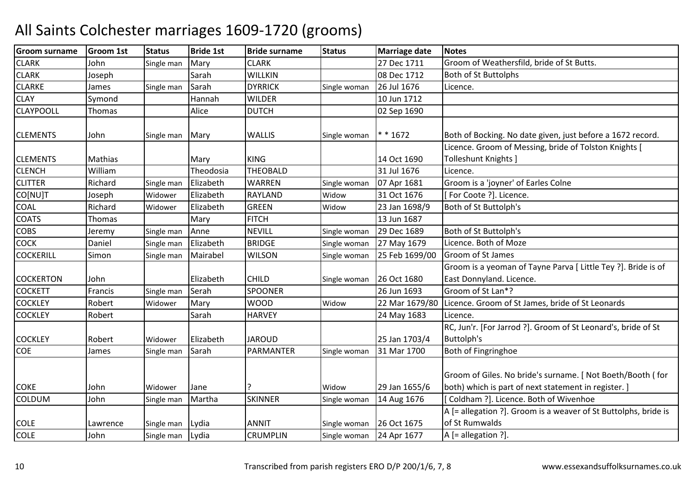| John<br>27 Dec 1711<br><b>CLARK</b><br>Mary<br><b>CLARK</b><br>Groom of Weathersfild, bride of St Butts.<br>Single man<br><b>CLARK</b><br><b>WILLKIN</b><br>08 Dec 1712<br><b>Both of St Buttolphs</b><br>Joseph<br>Sarah<br><b>CLARKE</b><br><b>DYRRICK</b><br>26 Jul 1676<br>Sarah<br>Licence.<br>Single man<br>Single woman<br>James<br><b>CLAY</b><br><b>WILDER</b><br>10 Jun 1712<br>Symond<br>Hannah<br><b>CLAYPOOLL</b><br>Alice<br><b>DUTCH</b><br>02 Sep 1690<br>Thomas<br>$* * 1672$<br><b>CLEMENTS</b><br><b>WALLIS</b><br>Both of Bocking. No date given, just before a 1672 record.<br>John<br>Mary<br>Single woman<br>Single man<br>Licence. Groom of Messing, bride of Tolston Knights [<br>Tolleshunt Knights ]<br><b>CLEMENTS</b><br>Mathias<br><b>KING</b><br>14 Oct 1690<br>Mary<br>William<br>Theodosia<br><b>THEOBALD</b><br><b>CLENCH</b><br>31 Jul 1676<br>Licence.<br>Richard<br>Groom is a 'joyner' of Earles Colne<br><b>CLITTER</b><br>Elizabeth<br><b>WARREN</b><br>07 Apr 1681<br>Single man<br>Single woman<br>CO[NU]T<br><b>RAYLAND</b><br>31 Oct 1676<br>[For Coote ?]. Licence.<br>Elizabeth<br>Widow<br>Joseph<br>Widower<br><b>COAL</b><br>Richard<br><b>GREEN</b><br>Both of St Buttolph's<br>Elizabeth<br>23 Jan 1698/9<br>Widower<br>Widow<br><b>FITCH</b><br><b>COATS</b><br>13 Jun 1687<br>Thomas<br>Mary<br><b>COBS</b><br><b>NEVILL</b><br>29 Dec 1689<br>Both of St Buttolph's<br>Anne<br>Single man<br>Single woman<br>Jeremy<br>Licence. Both of Moze<br><b>COCK</b><br>Elizabeth<br>Daniel<br><b>BRIDGE</b><br>27 May 1679<br>Single man<br>Single woman<br><b>COCKERILL</b><br>Groom of St James<br>Simon<br>Mairabel<br><b>WILSON</b><br>25 Feb 1699/00<br>Single man<br>Single woman<br>Groom is a yeoman of Tayne Parva [ Little Tey ?]. Bride is of<br><b>CHILD</b><br><b>COCKERTON</b><br>Elizabeth<br>26 Oct 1680<br>East Donnyland. Licence.<br>John<br>Single woman<br>Groom of St Lan*?<br><b>COCKETT</b><br>Serah<br><b>SPOONER</b><br>26 Jun 1693<br>Francis<br>Single man<br><b>COCKLEY</b><br>Robert<br><b>WOOD</b><br>Licence. Groom of St James, bride of St Leonards<br>22 Mar 1679/80<br>Widower<br>Mary<br>Widow<br><b>COCKLEY</b><br>Robert<br><b>HARVEY</b><br>Sarah<br>24 May 1683<br>Licence.<br>RC, Jun'r. [For Jarrod ?]. Groom of St Leonard's, bride of St<br>25 Jan 1703/4<br><b>Buttolph's</b><br><b>COCKLEY</b><br>Elizabeth<br><b>JAROUD</b><br>Robert<br>Widower<br>COE<br>Sarah<br>PARMANTER<br>31 Mar 1700<br>Both of Fingringhoe<br>James<br>Single man<br>Single woman<br>Groom of Giles. No bride's surname. [ Not Boeth/Booth (for<br>both) which is part of next statement in register. ]<br><b>COKE</b><br>29 Jan 1655/6<br>John<br>Widow<br>Widower<br>Jane<br>[Coldham ?]. Licence. Both of Wivenhoe<br><b>COLDUM</b><br>Martha<br><b>SKINNER</b><br>14 Aug 1676<br>John<br>Single man<br>Single woman<br>$A$ [= allegation ?]. Groom is a weaver of St Buttolphs, bride is<br>of St Rumwalds<br>26 Oct 1675<br><b>COLE</b><br>Lydia<br><b>ANNIT</b><br>Single woman<br>Lawrence<br>Single man<br><b>COLE</b><br>Single man<br>Lydia<br><b>CRUMPLIN</b><br>Single woman<br>24 Apr 1677<br>$A$ [= allegation ?].<br>John | <b>Groom surname</b> | <b>Groom 1st</b> | <b>Status</b> | <b>Bride 1st</b> | <b>Bride surname</b> | <b>Status</b> | <b>Marriage date</b> | <b>Notes</b> |
|-----------------------------------------------------------------------------------------------------------------------------------------------------------------------------------------------------------------------------------------------------------------------------------------------------------------------------------------------------------------------------------------------------------------------------------------------------------------------------------------------------------------------------------------------------------------------------------------------------------------------------------------------------------------------------------------------------------------------------------------------------------------------------------------------------------------------------------------------------------------------------------------------------------------------------------------------------------------------------------------------------------------------------------------------------------------------------------------------------------------------------------------------------------------------------------------------------------------------------------------------------------------------------------------------------------------------------------------------------------------------------------------------------------------------------------------------------------------------------------------------------------------------------------------------------------------------------------------------------------------------------------------------------------------------------------------------------------------------------------------------------------------------------------------------------------------------------------------------------------------------------------------------------------------------------------------------------------------------------------------------------------------------------------------------------------------------------------------------------------------------------------------------------------------------------------------------------------------------------------------------------------------------------------------------------------------------------------------------------------------------------------------------------------------------------------------------------------------------------------------------------------------------------------------------------------------------------------------------------------------------------------------------------------------------------------------------------------------------------------------------------------------------------------------------------------------------------------------------------------------------------------------------------------------------------------------------------------------------------------------------------------------------------------------------------------------------------------------------------------------------------------------------------------------------------------------------------------------|----------------------|------------------|---------------|------------------|----------------------|---------------|----------------------|--------------|
|                                                                                                                                                                                                                                                                                                                                                                                                                                                                                                                                                                                                                                                                                                                                                                                                                                                                                                                                                                                                                                                                                                                                                                                                                                                                                                                                                                                                                                                                                                                                                                                                                                                                                                                                                                                                                                                                                                                                                                                                                                                                                                                                                                                                                                                                                                                                                                                                                                                                                                                                                                                                                                                                                                                                                                                                                                                                                                                                                                                                                                                                                                                                                                                                                 |                      |                  |               |                  |                      |               |                      |              |
|                                                                                                                                                                                                                                                                                                                                                                                                                                                                                                                                                                                                                                                                                                                                                                                                                                                                                                                                                                                                                                                                                                                                                                                                                                                                                                                                                                                                                                                                                                                                                                                                                                                                                                                                                                                                                                                                                                                                                                                                                                                                                                                                                                                                                                                                                                                                                                                                                                                                                                                                                                                                                                                                                                                                                                                                                                                                                                                                                                                                                                                                                                                                                                                                                 |                      |                  |               |                  |                      |               |                      |              |
|                                                                                                                                                                                                                                                                                                                                                                                                                                                                                                                                                                                                                                                                                                                                                                                                                                                                                                                                                                                                                                                                                                                                                                                                                                                                                                                                                                                                                                                                                                                                                                                                                                                                                                                                                                                                                                                                                                                                                                                                                                                                                                                                                                                                                                                                                                                                                                                                                                                                                                                                                                                                                                                                                                                                                                                                                                                                                                                                                                                                                                                                                                                                                                                                                 |                      |                  |               |                  |                      |               |                      |              |
|                                                                                                                                                                                                                                                                                                                                                                                                                                                                                                                                                                                                                                                                                                                                                                                                                                                                                                                                                                                                                                                                                                                                                                                                                                                                                                                                                                                                                                                                                                                                                                                                                                                                                                                                                                                                                                                                                                                                                                                                                                                                                                                                                                                                                                                                                                                                                                                                                                                                                                                                                                                                                                                                                                                                                                                                                                                                                                                                                                                                                                                                                                                                                                                                                 |                      |                  |               |                  |                      |               |                      |              |
|                                                                                                                                                                                                                                                                                                                                                                                                                                                                                                                                                                                                                                                                                                                                                                                                                                                                                                                                                                                                                                                                                                                                                                                                                                                                                                                                                                                                                                                                                                                                                                                                                                                                                                                                                                                                                                                                                                                                                                                                                                                                                                                                                                                                                                                                                                                                                                                                                                                                                                                                                                                                                                                                                                                                                                                                                                                                                                                                                                                                                                                                                                                                                                                                                 |                      |                  |               |                  |                      |               |                      |              |
|                                                                                                                                                                                                                                                                                                                                                                                                                                                                                                                                                                                                                                                                                                                                                                                                                                                                                                                                                                                                                                                                                                                                                                                                                                                                                                                                                                                                                                                                                                                                                                                                                                                                                                                                                                                                                                                                                                                                                                                                                                                                                                                                                                                                                                                                                                                                                                                                                                                                                                                                                                                                                                                                                                                                                                                                                                                                                                                                                                                                                                                                                                                                                                                                                 |                      |                  |               |                  |                      |               |                      |              |
|                                                                                                                                                                                                                                                                                                                                                                                                                                                                                                                                                                                                                                                                                                                                                                                                                                                                                                                                                                                                                                                                                                                                                                                                                                                                                                                                                                                                                                                                                                                                                                                                                                                                                                                                                                                                                                                                                                                                                                                                                                                                                                                                                                                                                                                                                                                                                                                                                                                                                                                                                                                                                                                                                                                                                                                                                                                                                                                                                                                                                                                                                                                                                                                                                 |                      |                  |               |                  |                      |               |                      |              |
|                                                                                                                                                                                                                                                                                                                                                                                                                                                                                                                                                                                                                                                                                                                                                                                                                                                                                                                                                                                                                                                                                                                                                                                                                                                                                                                                                                                                                                                                                                                                                                                                                                                                                                                                                                                                                                                                                                                                                                                                                                                                                                                                                                                                                                                                                                                                                                                                                                                                                                                                                                                                                                                                                                                                                                                                                                                                                                                                                                                                                                                                                                                                                                                                                 |                      |                  |               |                  |                      |               |                      |              |
|                                                                                                                                                                                                                                                                                                                                                                                                                                                                                                                                                                                                                                                                                                                                                                                                                                                                                                                                                                                                                                                                                                                                                                                                                                                                                                                                                                                                                                                                                                                                                                                                                                                                                                                                                                                                                                                                                                                                                                                                                                                                                                                                                                                                                                                                                                                                                                                                                                                                                                                                                                                                                                                                                                                                                                                                                                                                                                                                                                                                                                                                                                                                                                                                                 |                      |                  |               |                  |                      |               |                      |              |
|                                                                                                                                                                                                                                                                                                                                                                                                                                                                                                                                                                                                                                                                                                                                                                                                                                                                                                                                                                                                                                                                                                                                                                                                                                                                                                                                                                                                                                                                                                                                                                                                                                                                                                                                                                                                                                                                                                                                                                                                                                                                                                                                                                                                                                                                                                                                                                                                                                                                                                                                                                                                                                                                                                                                                                                                                                                                                                                                                                                                                                                                                                                                                                                                                 |                      |                  |               |                  |                      |               |                      |              |
|                                                                                                                                                                                                                                                                                                                                                                                                                                                                                                                                                                                                                                                                                                                                                                                                                                                                                                                                                                                                                                                                                                                                                                                                                                                                                                                                                                                                                                                                                                                                                                                                                                                                                                                                                                                                                                                                                                                                                                                                                                                                                                                                                                                                                                                                                                                                                                                                                                                                                                                                                                                                                                                                                                                                                                                                                                                                                                                                                                                                                                                                                                                                                                                                                 |                      |                  |               |                  |                      |               |                      |              |
|                                                                                                                                                                                                                                                                                                                                                                                                                                                                                                                                                                                                                                                                                                                                                                                                                                                                                                                                                                                                                                                                                                                                                                                                                                                                                                                                                                                                                                                                                                                                                                                                                                                                                                                                                                                                                                                                                                                                                                                                                                                                                                                                                                                                                                                                                                                                                                                                                                                                                                                                                                                                                                                                                                                                                                                                                                                                                                                                                                                                                                                                                                                                                                                                                 |                      |                  |               |                  |                      |               |                      |              |
|                                                                                                                                                                                                                                                                                                                                                                                                                                                                                                                                                                                                                                                                                                                                                                                                                                                                                                                                                                                                                                                                                                                                                                                                                                                                                                                                                                                                                                                                                                                                                                                                                                                                                                                                                                                                                                                                                                                                                                                                                                                                                                                                                                                                                                                                                                                                                                                                                                                                                                                                                                                                                                                                                                                                                                                                                                                                                                                                                                                                                                                                                                                                                                                                                 |                      |                  |               |                  |                      |               |                      |              |
|                                                                                                                                                                                                                                                                                                                                                                                                                                                                                                                                                                                                                                                                                                                                                                                                                                                                                                                                                                                                                                                                                                                                                                                                                                                                                                                                                                                                                                                                                                                                                                                                                                                                                                                                                                                                                                                                                                                                                                                                                                                                                                                                                                                                                                                                                                                                                                                                                                                                                                                                                                                                                                                                                                                                                                                                                                                                                                                                                                                                                                                                                                                                                                                                                 |                      |                  |               |                  |                      |               |                      |              |
|                                                                                                                                                                                                                                                                                                                                                                                                                                                                                                                                                                                                                                                                                                                                                                                                                                                                                                                                                                                                                                                                                                                                                                                                                                                                                                                                                                                                                                                                                                                                                                                                                                                                                                                                                                                                                                                                                                                                                                                                                                                                                                                                                                                                                                                                                                                                                                                                                                                                                                                                                                                                                                                                                                                                                                                                                                                                                                                                                                                                                                                                                                                                                                                                                 |                      |                  |               |                  |                      |               |                      |              |
|                                                                                                                                                                                                                                                                                                                                                                                                                                                                                                                                                                                                                                                                                                                                                                                                                                                                                                                                                                                                                                                                                                                                                                                                                                                                                                                                                                                                                                                                                                                                                                                                                                                                                                                                                                                                                                                                                                                                                                                                                                                                                                                                                                                                                                                                                                                                                                                                                                                                                                                                                                                                                                                                                                                                                                                                                                                                                                                                                                                                                                                                                                                                                                                                                 |                      |                  |               |                  |                      |               |                      |              |
|                                                                                                                                                                                                                                                                                                                                                                                                                                                                                                                                                                                                                                                                                                                                                                                                                                                                                                                                                                                                                                                                                                                                                                                                                                                                                                                                                                                                                                                                                                                                                                                                                                                                                                                                                                                                                                                                                                                                                                                                                                                                                                                                                                                                                                                                                                                                                                                                                                                                                                                                                                                                                                                                                                                                                                                                                                                                                                                                                                                                                                                                                                                                                                                                                 |                      |                  |               |                  |                      |               |                      |              |
|                                                                                                                                                                                                                                                                                                                                                                                                                                                                                                                                                                                                                                                                                                                                                                                                                                                                                                                                                                                                                                                                                                                                                                                                                                                                                                                                                                                                                                                                                                                                                                                                                                                                                                                                                                                                                                                                                                                                                                                                                                                                                                                                                                                                                                                                                                                                                                                                                                                                                                                                                                                                                                                                                                                                                                                                                                                                                                                                                                                                                                                                                                                                                                                                                 |                      |                  |               |                  |                      |               |                      |              |
|                                                                                                                                                                                                                                                                                                                                                                                                                                                                                                                                                                                                                                                                                                                                                                                                                                                                                                                                                                                                                                                                                                                                                                                                                                                                                                                                                                                                                                                                                                                                                                                                                                                                                                                                                                                                                                                                                                                                                                                                                                                                                                                                                                                                                                                                                                                                                                                                                                                                                                                                                                                                                                                                                                                                                                                                                                                                                                                                                                                                                                                                                                                                                                                                                 |                      |                  |               |                  |                      |               |                      |              |
|                                                                                                                                                                                                                                                                                                                                                                                                                                                                                                                                                                                                                                                                                                                                                                                                                                                                                                                                                                                                                                                                                                                                                                                                                                                                                                                                                                                                                                                                                                                                                                                                                                                                                                                                                                                                                                                                                                                                                                                                                                                                                                                                                                                                                                                                                                                                                                                                                                                                                                                                                                                                                                                                                                                                                                                                                                                                                                                                                                                                                                                                                                                                                                                                                 |                      |                  |               |                  |                      |               |                      |              |
|                                                                                                                                                                                                                                                                                                                                                                                                                                                                                                                                                                                                                                                                                                                                                                                                                                                                                                                                                                                                                                                                                                                                                                                                                                                                                                                                                                                                                                                                                                                                                                                                                                                                                                                                                                                                                                                                                                                                                                                                                                                                                                                                                                                                                                                                                                                                                                                                                                                                                                                                                                                                                                                                                                                                                                                                                                                                                                                                                                                                                                                                                                                                                                                                                 |                      |                  |               |                  |                      |               |                      |              |
|                                                                                                                                                                                                                                                                                                                                                                                                                                                                                                                                                                                                                                                                                                                                                                                                                                                                                                                                                                                                                                                                                                                                                                                                                                                                                                                                                                                                                                                                                                                                                                                                                                                                                                                                                                                                                                                                                                                                                                                                                                                                                                                                                                                                                                                                                                                                                                                                                                                                                                                                                                                                                                                                                                                                                                                                                                                                                                                                                                                                                                                                                                                                                                                                                 |                      |                  |               |                  |                      |               |                      |              |
|                                                                                                                                                                                                                                                                                                                                                                                                                                                                                                                                                                                                                                                                                                                                                                                                                                                                                                                                                                                                                                                                                                                                                                                                                                                                                                                                                                                                                                                                                                                                                                                                                                                                                                                                                                                                                                                                                                                                                                                                                                                                                                                                                                                                                                                                                                                                                                                                                                                                                                                                                                                                                                                                                                                                                                                                                                                                                                                                                                                                                                                                                                                                                                                                                 |                      |                  |               |                  |                      |               |                      |              |
|                                                                                                                                                                                                                                                                                                                                                                                                                                                                                                                                                                                                                                                                                                                                                                                                                                                                                                                                                                                                                                                                                                                                                                                                                                                                                                                                                                                                                                                                                                                                                                                                                                                                                                                                                                                                                                                                                                                                                                                                                                                                                                                                                                                                                                                                                                                                                                                                                                                                                                                                                                                                                                                                                                                                                                                                                                                                                                                                                                                                                                                                                                                                                                                                                 |                      |                  |               |                  |                      |               |                      |              |
|                                                                                                                                                                                                                                                                                                                                                                                                                                                                                                                                                                                                                                                                                                                                                                                                                                                                                                                                                                                                                                                                                                                                                                                                                                                                                                                                                                                                                                                                                                                                                                                                                                                                                                                                                                                                                                                                                                                                                                                                                                                                                                                                                                                                                                                                                                                                                                                                                                                                                                                                                                                                                                                                                                                                                                                                                                                                                                                                                                                                                                                                                                                                                                                                                 |                      |                  |               |                  |                      |               |                      |              |
|                                                                                                                                                                                                                                                                                                                                                                                                                                                                                                                                                                                                                                                                                                                                                                                                                                                                                                                                                                                                                                                                                                                                                                                                                                                                                                                                                                                                                                                                                                                                                                                                                                                                                                                                                                                                                                                                                                                                                                                                                                                                                                                                                                                                                                                                                                                                                                                                                                                                                                                                                                                                                                                                                                                                                                                                                                                                                                                                                                                                                                                                                                                                                                                                                 |                      |                  |               |                  |                      |               |                      |              |
|                                                                                                                                                                                                                                                                                                                                                                                                                                                                                                                                                                                                                                                                                                                                                                                                                                                                                                                                                                                                                                                                                                                                                                                                                                                                                                                                                                                                                                                                                                                                                                                                                                                                                                                                                                                                                                                                                                                                                                                                                                                                                                                                                                                                                                                                                                                                                                                                                                                                                                                                                                                                                                                                                                                                                                                                                                                                                                                                                                                                                                                                                                                                                                                                                 |                      |                  |               |                  |                      |               |                      |              |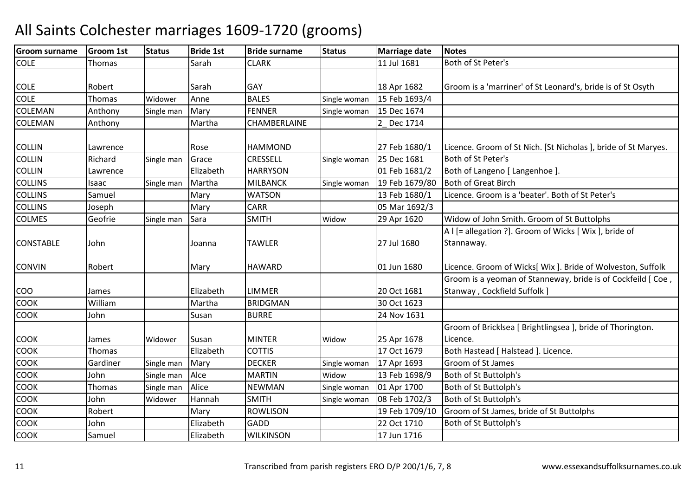| <b>Groom surname</b> | <b>Groom 1st</b> | <b>Status</b> | <b>Bride 1st</b> | <b>Bride surname</b> | <b>Status</b> | <b>Marriage date</b> | <b>Notes</b>                                                                                 |
|----------------------|------------------|---------------|------------------|----------------------|---------------|----------------------|----------------------------------------------------------------------------------------------|
| <b>COLE</b>          | Thomas           |               | Sarah            | <b>CLARK</b>         |               | 11 Jul 1681          | Both of St Peter's                                                                           |
| <b>COLE</b>          | Robert           |               | Sarah            | <b>GAY</b>           |               | 18 Apr 1682          | Groom is a 'marriner' of St Leonard's, bride is of St Osyth                                  |
| <b>COLE</b>          | Thomas           | Widower       | Anne             | <b>BALES</b>         | Single woman  | 15 Feb 1693/4        |                                                                                              |
| <b>COLEMAN</b>       | Anthony          | Single man    | Mary             | <b>FENNER</b>        | Single woman  | 15 Dec 1674          |                                                                                              |
| <b>COLEMAN</b>       | Anthony          |               | Martha           | <b>CHAMBERLAINE</b>  |               | 2_Dec 1714           |                                                                                              |
| <b>COLLIN</b>        | Lawrence         |               | Rose             | <b>HAMMOND</b>       |               | 27 Feb 1680/1        | Licence. Groom of St Nich. [St Nicholas ], bride of St Maryes.                               |
| <b>COLLIN</b>        | Richard          | Single man    | Grace            | <b>CRESSELL</b>      | Single woman  | 25 Dec 1681          | Both of St Peter's                                                                           |
| <b>COLLIN</b>        | Lawrence         |               | Elizabeth        | <b>HARRYSON</b>      |               | 01 Feb 1681/2        | Both of Langeno [ Langenhoe ]                                                                |
| <b>COLLINS</b>       | Isaac            | Single man    | Martha           | <b>MILBANCK</b>      | Single woman  | 19 Feb 1679/80       | <b>Both of Great Birch</b>                                                                   |
| <b>COLLINS</b>       | Samuel           |               | Mary             | <b>WATSON</b>        |               | 13 Feb 1680/1        | Licence. Groom is a 'beater'. Both of St Peter's                                             |
| <b>COLLINS</b>       | Joseph           |               | Mary             | <b>CARR</b>          |               | 05 Mar 1692/3        |                                                                                              |
| <b>COLMES</b>        | Geofrie          | Single man    | Sara             | <b>SMITH</b>         | Widow         | 29 Apr 1620          | Widow of John Smith. Groom of St Buttolphs                                                   |
| <b>CONSTABLE</b>     | John             |               | Joanna           | <b>TAWLER</b>        |               | 27 Jul 1680          | A I [= allegation ?]. Groom of Wicks [ Wix ], bride of<br>Stannaway.                         |
| <b>CONVIN</b>        | Robert           |               | Mary             | <b>HAWARD</b>        |               | 01 Jun 1680          | Licence. Groom of Wicks[ Wix ]. Bride of Wolveston, Suffolk                                  |
| <b>COO</b>           | James            |               | Elizabeth        | <b>LIMMER</b>        |               | 20 Oct 1681          | Groom is a yeoman of Stanneway, bride is of Cockfeild [ Coe,<br>Stanway, Cockfield Suffolk ] |
| COOK                 | William          |               | Martha           | <b>BRIDGMAN</b>      |               | 30 Oct 1623          |                                                                                              |
| <b>COOK</b>          | John             |               | Susan            | <b>BURRE</b>         |               | 24 Nov 1631          |                                                                                              |
| <b>COOK</b>          | James            | Widower       | Susan            | <b>MINTER</b>        | Widow         | 25 Apr 1678          | Groom of Bricklsea [ Brightlingsea ], bride of Thorington.<br>Licence.                       |
| COOK                 | <b>Thomas</b>    |               | Elizabeth        | <b>COTTIS</b>        |               | 17 Oct 1679          | Both Hastead [ Halstead ]. Licence.                                                          |
| <b>COOK</b>          | Gardiner         | Single man    | Mary             | <b>DECKER</b>        | Single woman  | 17 Apr 1693          | Groom of St James                                                                            |
| <b>COOK</b>          | John             | Single man    | Alce             | <b>MARTIN</b>        | Widow         | 13 Feb 1698/9        | Both of St Buttolph's                                                                        |
| COOK                 | Thomas           | Single man    | Alice            | <b>NEWMAN</b>        | Single woman  | 01 Apr 1700          | Both of St Buttolph's                                                                        |
| COOK                 | John             | Widower       | Hannah           | <b>SMITH</b>         | Single woman  | 08 Feb 1702/3        | Both of St Buttolph's                                                                        |
| <b>COOK</b>          | Robert           |               | Mary             | <b>ROWLISON</b>      |               | 19 Feb 1709/10       | Groom of St James, bride of St Buttolphs                                                     |
| COOK                 | John             |               | Elizabeth        | <b>GADD</b>          |               | 22 Oct 1710          | Both of St Buttolph's                                                                        |
| <b>COOK</b>          | Samuel           |               | Elizabeth        | <b>WILKINSON</b>     |               | 17 Jun 1716          |                                                                                              |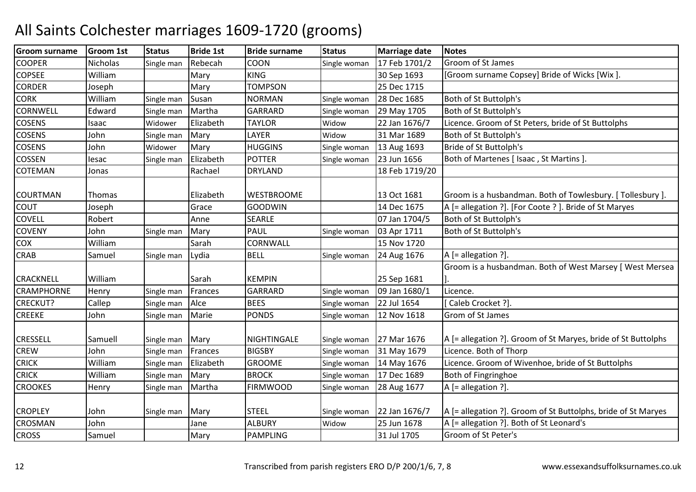| <b>Groom surname</b> | <b>Groom 1st</b> | <b>Status</b> | <b>Bride 1st</b> | <b>Bride surname</b> | <b>Status</b> | <b>Marriage date</b> | <b>Notes</b>                                                  |
|----------------------|------------------|---------------|------------------|----------------------|---------------|----------------------|---------------------------------------------------------------|
| <b>COOPER</b>        | Nicholas         | Single man    | Rebecah          | <b>COON</b>          | Single woman  | 17 Feb 1701/2        | Groom of St James                                             |
| <b>COPSEE</b>        | William          |               | Mary             | <b>KING</b>          |               | 30 Sep 1693          | [Groom surname Copsey] Bride of Wicks [Wix].                  |
| <b>CORDER</b>        | Joseph           |               | Mary             | <b>TOMPSON</b>       |               | 25 Dec 1715          |                                                               |
| <b>CORK</b>          | William          | Single man    | Susan            | <b>NORMAN</b>        | Single woman  | 28 Dec 1685          | Both of St Buttolph's                                         |
| <b>CORNWELL</b>      | Edward           | Single man    | Martha           | <b>GARRARD</b>       | Single woman  | 29 May 1705          | Both of St Buttolph's                                         |
| <b>COSENS</b>        | Isaac            | Widower       | Elizabeth        | <b>TAYLOR</b>        | Widow         | 22 Jan 1676/7        | Licence. Groom of St Peters, bride of St Buttolphs            |
| COSENS               | John             | Single man    | Mary             | LAYER                | Widow         | 31 Mar 1689          | Both of St Buttolph's                                         |
| <b>COSENS</b>        | John             | Widower       | Mary             | <b>HUGGINS</b>       | Single woman  | 13 Aug 1693          | <b>Bride of St Buttolph's</b>                                 |
| <b>COSSEN</b>        | lesac            | Single man    | Elizabeth        | <b>POTTER</b>        | Single woman  | 23 Jun 1656          | Both of Martenes [ Isaac, St Martins ]                        |
| <b>COTEMAN</b>       | Jonas            |               | Rachael          | <b>DRYLAND</b>       |               | 18 Feb 1719/20       |                                                               |
|                      |                  |               |                  |                      |               |                      |                                                               |
| <b>COURTMAN</b>      | Thomas           |               | Elizabeth        | <b>WESTBROOME</b>    |               | 13 Oct 1681          | Groom is a husbandman. Both of Towlesbury. [Tollesbury].      |
| <b>COUT</b>          | Joseph           |               | Grace            | <b>GOODWIN</b>       |               | 14 Dec 1675          | A [= allegation ?]. [For Coote ?]. Bride of St Maryes         |
| <b>COVELL</b>        | Robert           |               | Anne             | <b>SEARLE</b>        |               | 07 Jan 1704/5        | Both of St Buttolph's                                         |
| <b>COVENY</b>        | John             | Single man    | Mary             | <b>PAUL</b>          | Single woman  | 03 Apr 1711          | Both of St Buttolph's                                         |
| COX                  | William          |               | Sarah            | CORNWALL             |               | 15 Nov 1720          |                                                               |
| <b>CRAB</b>          | Samuel           | Single man    | Lydia            | <b>BELL</b>          | Single woman  | 24 Aug 1676          | A [= allegation ?].                                           |
|                      |                  |               |                  |                      |               |                      | Groom is a husbandman. Both of West Marsey [ West Mersea      |
| <b>CRACKNELL</b>     | William          |               | Sarah            | <b>KEMPIN</b>        |               | 25 Sep 1681          |                                                               |
| <b>CRAMPHORNE</b>    | Henry            | Single man    | Frances          | <b>GARRARD</b>       | Single woman  | 09 Jan 1680/1        | Licence.                                                      |
| <b>CRECKUT?</b>      | Callep           | Single man    | Alce             | <b>BEES</b>          | Single woman  | 22 Jul 1654          | Caleb Crocket ?].                                             |
| <b>CREEKE</b>        | John             | Single man    | Marie            | <b>PONDS</b>         | Single woman  | 12 Nov 1618          | Grom of St James                                              |
|                      |                  |               |                  |                      |               |                      |                                                               |
| <b>CRESSELL</b>      | Samuell          | Single man    | Mary             | NIGHTINGALE          | Single woman  | 27 Mar 1676          | A [= allegation ?]. Groom of St Maryes, bride of St Buttolphs |
| <b>CREW</b>          | John             | Single man    | Frances          | <b>BIGSBY</b>        | Single woman  | 31 May 1679          | Licence. Both of Thorp                                        |
| <b>CRICK</b>         | William          | Single man    | Elizabeth        | <b>GROOME</b>        | Single woman  | 14 May 1676          | Licence. Groom of Wivenhoe, bride of St Buttolphs             |
| <b>CRICK</b>         | William          | Single man    | Mary             | <b>BROCK</b>         | Single woman  | 17 Dec 1689          | Both of Fingringhoe                                           |
| <b>CROOKES</b>       | Henry            | Single man    | Martha           | <b>FIRMWOOD</b>      | Single woman  | 28 Aug 1677          | A [= allegation ?].                                           |
|                      |                  |               |                  |                      |               |                      |                                                               |
| <b>CROPLEY</b>       | John             | Single man    | Mary             | <b>STEEL</b>         | Single woman  | 22 Jan 1676/7        | A [= allegation ?]. Groom of St Buttolphs, bride of St Maryes |
| <b>CROSMAN</b>       | John             |               | Jane             | <b>ALBURY</b>        | Widow         | 25 Jun 1678          | A [= allegation ?]. Both of St Leonard's                      |
| <b>CROSS</b>         | Samuel           |               | Mary             | <b>PAMPLING</b>      |               | 31 Jul 1705          | Groom of St Peter's                                           |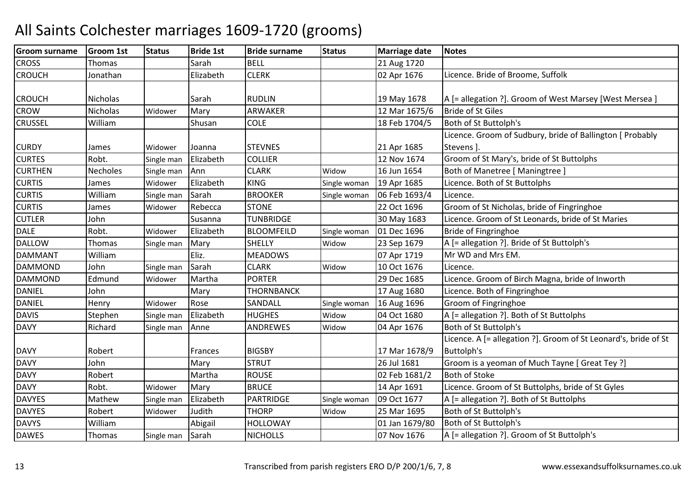| <b>Groom surname</b> | <b>Groom 1st</b> | <b>Status</b> | <b>Bride 1st</b> | <b>Bride surname</b> | <b>Status</b> | <b>Marriage date</b> | <b>Notes</b>                                                    |
|----------------------|------------------|---------------|------------------|----------------------|---------------|----------------------|-----------------------------------------------------------------|
| <b>CROSS</b>         | Thomas           |               | Sarah            | <b>BELL</b>          |               | 21 Aug 1720          |                                                                 |
| <b>CROUCH</b>        | Jonathan         |               | Elizabeth        | <b>CLERK</b>         |               | 02 Apr 1676          | Licence. Bride of Broome, Suffolk                               |
|                      |                  |               |                  |                      |               |                      |                                                                 |
| <b>CROUCH</b>        | Nicholas         |               | Sarah            | <b>RUDLIN</b>        |               | 19 May 1678          | A [= allegation ?]. Groom of West Marsey [West Mersea ]         |
| <b>CROW</b>          | Nicholas         | Widower       | Mary             | ARWAKER              |               | 12 Mar 1675/6        | <b>Bride of St Giles</b>                                        |
| <b>CRUSSEL</b>       | William          |               | Shusan           | <b>COLE</b>          |               | 18 Feb 1704/5        | Both of St Buttolph's                                           |
|                      |                  |               |                  |                      |               |                      | Licence. Groom of Sudbury, bride of Ballington [ Probably       |
| <b>CURDY</b>         | James            | Widower       | Joanna           | <b>STEVNES</b>       |               | 21 Apr 1685          | Stevens ].                                                      |
| <b>CURTES</b>        | Robt.            | Single man    | Elizabeth        | <b>COLLIER</b>       |               | 12 Nov 1674          | Groom of St Mary's, bride of St Buttolphs                       |
| <b>CURTHEN</b>       | <b>Necholes</b>  | Single man    | Ann              | <b>CLARK</b>         | Widow         | 16 Jun 1654          | Both of Manetree [ Maningtree ]                                 |
| <b>CURTIS</b>        | James            | Widower       | Elizabeth        | <b>KING</b>          | Single woman  | 19 Apr 1685          | Licence. Both of St Buttolphs                                   |
| <b>CURTIS</b>        | William          | Single man    | Sarah            | <b>BROOKER</b>       | Single woman  | 06 Feb 1693/4        | Licence.                                                        |
| <b>CURTIS</b>        | James            | Widower       | Rebecca          | <b>STONE</b>         |               | 22 Oct 1696          | Groom of St Nicholas, bride of Fingringhoe                      |
| <b>CUTLER</b>        | John             |               | Susanna          | <b>TUNBRIDGE</b>     |               | 30 May 1683          | Licence. Groom of St Leonards, bride of St Maries               |
| <b>DALE</b>          | Robt.            | Widower       | Elizabeth        | <b>BLOOMFEILD</b>    | Single woman  | 01 Dec 1696          | Bride of Fingringhoe                                            |
| <b>DALLOW</b>        | Thomas           | Single man    | Mary             | <b>SHELLY</b>        | Widow         | 23 Sep 1679          | A [= allegation ?]. Bride of St Buttolph's                      |
| <b>DAMMANT</b>       | William          |               | Eliz.            | <b>MEADOWS</b>       |               | 07 Apr 1719          | Mr WD and Mrs EM.                                               |
| <b>DAMMOND</b>       | John             | Single man    | Sarah            | <b>CLARK</b>         | Widow         | 10 Oct 1676          | Licence.                                                        |
| <b>DAMMOND</b>       | Edmund           | Widower       | Martha           | <b>PORTER</b>        |               | 29 Dec 1685          | Licence. Groom of Birch Magna, bride of Inworth                 |
| <b>DANIEL</b>        | John             |               | Mary             | THORNBANCK           |               | 17 Aug 1680          | Licence. Both of Fingringhoe                                    |
| <b>DANIEL</b>        | Henry            | Widower       | Rose             | <b>SANDALL</b>       | Single woman  | 16 Aug 1696          | Groom of Fingringhoe                                            |
| <b>DAVIS</b>         | Stephen          | Single man    | Elizabeth        | <b>HUGHES</b>        | Widow         | 04 Oct 1680          | A [= allegation ?]. Both of St Buttolphs                        |
| <b>DAVY</b>          | Richard          | Single man    | Anne             | ANDREWES             | Widow         | 04 Apr 1676          | Both of St Buttolph's                                           |
|                      |                  |               |                  |                      |               |                      | Licence. A [= allegation ?]. Groom of St Leonard's, bride of St |
| <b>DAVY</b>          | Robert           |               | Frances          | <b>BIGSBY</b>        |               | 17 Mar 1678/9        | <b>Buttolph's</b>                                               |
| <b>DAVY</b>          | John             |               | Mary             | <b>STRUT</b>         |               | 26 Jul 1681          | Groom is a yeoman of Much Tayne [ Great Tey ?]                  |
| <b>DAVY</b>          | Robert           |               | Martha           | <b>ROUSE</b>         |               | 02 Feb 1681/2        | <b>Both of Stoke</b>                                            |
| <b>DAVY</b>          | Robt.            | Widower       | Mary             | <b>BRUCE</b>         |               | 14 Apr 1691          | Licence. Groom of St Buttolphs, bride of St Gyles               |
| <b>DAVYES</b>        | Mathew           | Single man    | Elizabeth        | PARTRIDGE            | Single woman  | 09 Oct 1677          | A [= allegation ?]. Both of St Buttolphs                        |
| <b>DAVYES</b>        | Robert           | Widower       | Judith           | <b>THORP</b>         | Widow         | 25 Mar 1695          | Both of St Buttolph's                                           |
| <b>DAVYS</b>         | William          |               | Abigail          | <b>HOLLOWAY</b>      |               | 01 Jan 1679/80       | Both of St Buttolph's                                           |
| <b>DAWES</b>         | Thomas           | Single man    | Sarah            | <b>NICHOLLS</b>      |               | 07 Nov 1676          | A [= allegation ?]. Groom of St Buttolph's                      |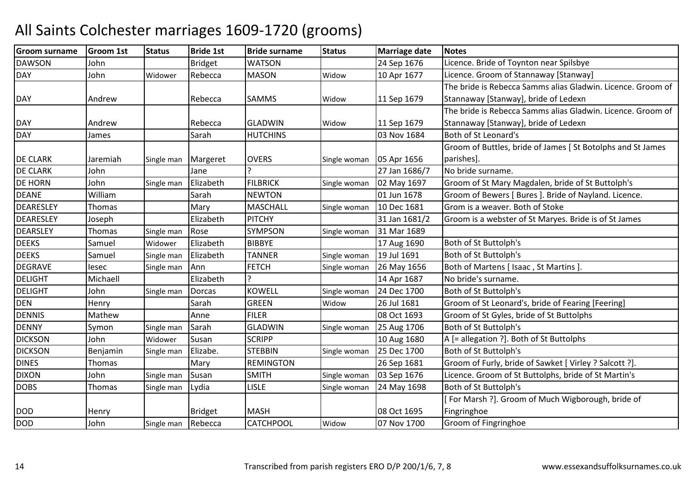| <b>Groom surname</b> | <b>Groom 1st</b> | <b>Status</b> | <b>Bride 1st</b> | <b>Bride surname</b> | <b>Status</b> | <b>Marriage date</b> | <b>Notes</b>                                                |
|----------------------|------------------|---------------|------------------|----------------------|---------------|----------------------|-------------------------------------------------------------|
| <b>DAWSON</b>        | John             |               | <b>Bridget</b>   | <b>WATSON</b>        |               | 24 Sep 1676          | Licence. Bride of Toynton near Spilsbye                     |
| <b>DAY</b>           | John             | Widower       | Rebecca          | <b>MASON</b>         | Widow         | 10 Apr 1677          | Licence. Groom of Stannaway [Stanway]                       |
|                      |                  |               |                  |                      |               |                      | The bride is Rebecca Samms alias Gladwin. Licence. Groom of |
| <b>DAY</b>           | Andrew           |               | Rebecca          | SAMMS                | Widow         | 11 Sep 1679          | Stannaway [Stanway], bride of Ledexn                        |
|                      |                  |               |                  |                      |               |                      | The bride is Rebecca Samms alias Gladwin. Licence. Groom of |
| <b>DAY</b>           | Andrew           |               | Rebecca          | <b>GLADWIN</b>       | Widow         | 11 Sep 1679          | Stannaway [Stanway], bride of Ledexn                        |
| <b>DAY</b>           | James            |               | Sarah            | <b>HUTCHINS</b>      |               | 03 Nov 1684          | Both of St Leonard's                                        |
|                      |                  |               |                  |                      |               |                      | Groom of Buttles, bride of James [St Botolphs and St James  |
| <b>DE CLARK</b>      | Jaremiah         | Single man    | Margeret         | <b>OVERS</b>         | Single woman  | 05 Apr 1656          | parishes].                                                  |
| <b>DE CLARK</b>      | John             |               | Jane             |                      |               | 27 Jan 1686/7        | No bride surname.                                           |
| <b>DE HORN</b>       | John             | Single man    | Elizabeth        | <b>FILBRICK</b>      | Single woman  | 02 May 1697          | Groom of St Mary Magdalen, bride of St Buttolph's           |
| <b>DEANE</b>         | William          |               | Sarah            | <b>NEWTON</b>        |               | 01 Jun 1678          | Groom of Bewers [ Bures ]. Bride of Nayland. Licence.       |
| DEARESLEY            | Thomas           |               | Mary             | <b>MASCHALL</b>      | Single woman  | 10 Dec 1681          | Grom is a weaver. Both of Stoke                             |
| <b>DEARESLEY</b>     | Joseph           |               | Elizabeth        | <b>PITCHY</b>        |               | 31 Jan 1681/2        | Groom is a webster of St Maryes. Bride is of St James       |
| <b>DEARSLEY</b>      | Thomas           | Single man    | Rose             | SYMPSON              | Single woman  | 31 Mar 1689          |                                                             |
| <b>DEEKS</b>         | Samuel           | Widower       | Elizabeth        | <b>BIBBYE</b>        |               | 17 Aug 1690          | Both of St Buttolph's                                       |
| <b>DEEKS</b>         | Samuel           | Single man    | Elizabeth        | <b>TANNER</b>        | Single woman  | 19 Jul 1691          | Both of St Buttolph's                                       |
| <b>DEGRAVE</b>       | lesec            | Single man    | Ann              | <b>FETCH</b>         | Single woman  | 26 May 1656          | Both of Martens [ Isaac, St Martins ]                       |
| <b>DELIGHT</b>       | Michaell         |               | Elizabeth        |                      |               | 14 Apr 1687          | No bride's surname.                                         |
| <b>DELIGHT</b>       | John             | Single man    | <b>Dorcas</b>    | <b>KOWELL</b>        | Single woman  | 24 Dec 1700          | Both of St Buttolph's                                       |
| <b>DEN</b>           | Henry            |               | Sarah            | <b>GREEN</b>         | Widow         | 26 Jul 1681          | Groom of St Leonard's, bride of Fearing [Feering]           |
| <b>DENNIS</b>        | Mathew           |               | Anne             | <b>FILER</b>         |               | 08 Oct 1693          | Groom of St Gyles, bride of St Buttolphs                    |
| <b>DENNY</b>         | Symon            | Single man    | Sarah            | <b>GLADWIN</b>       | Single woman  | 25 Aug 1706          | Both of St Buttolph's                                       |
| <b>DICKSON</b>       | John             | Widower       | Susan            | <b>SCRIPP</b>        |               | 10 Aug 1680          | A [= allegation ?]. Both of St Buttolphs                    |
| <b>DICKSON</b>       | Benjamin         | Single man    | Elizabe.         | <b>STEBBIN</b>       | Single woman  | 25 Dec 1700          | Both of St Buttolph's                                       |
| <b>DINES</b>         | <b>Thomas</b>    |               | Mary             | <b>REMINGTON</b>     |               | 26 Sep 1681          | Groom of Furly, bride of Sawket [ Virley ? Salcott ?].      |
| <b>DIXON</b>         | John             | Single man    | Susan            | <b>SMITH</b>         | Single woman  | 03 Sep 1676          | Licence. Groom of St Buttolphs, bride of St Martin's        |
| <b>DOBS</b>          | Thomas           | Single man    | Lydia            | <b>LISLE</b>         | Single woman  | 24 May 1698          | Both of St Buttolph's                                       |
|                      |                  |               |                  |                      |               |                      | [For Marsh ?]. Groom of Much Wigborough, bride of           |
| <b>DOD</b>           | Henry            |               | <b>Bridget</b>   | <b>MASH</b>          |               | 08 Oct 1695          | Fingringhoe                                                 |
| <b>DOD</b>           | John             | Single man    | Rebecca          | CATCHPOOL            | Widow         | 07 Nov 1700          | Groom of Fingringhoe                                        |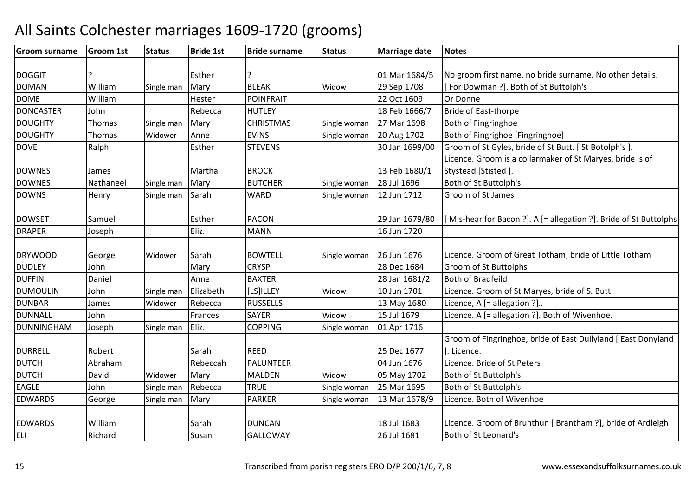#### Groom surnamee Groom 1st Status Bride 1st Bride surname Status Marriage date Notes DOGGIT ? Esther ? 01 Mar 1684/501 Mar 1684/5 No groom first name, no bride surname. No other details. DOMAN WilliamSingle man Mary BLEAK Widow 29 Sep 1708 [ For Dowman ?]. Both of St Buttolph's<br>Hester POINFRAIT 22 Oct 1609 Or Donne DOME Williamm Hester POINFRAIT 22 Oct 1609 Or Donne<br>And Donne Douglas Contract 22 Oct 1609 Or Donne **DONCASTER** R John Rebecca HUTLEY 18 Feb 1666/7 Bride of East-thorpe DOUGHTYY Thomas Single man Mary CHRISTMAS Single woman 27 Mar 1698 27 Mar 1698 Both of Fingringhoe DOUGHTYThomas Widower Anne EVINS Single woman 20 Aug 1702<br>STEVENS 30 Jan 1699/ Both of Fingrighoe [Fingringhoe] DOVE RalphEsther STEVENS 10. STEVENS 10. STEVENS 10. STEVENS 1.5 AND 1699/00 Groom of St Gyles, bride of St Butt. [ St Botolph's ]. DOWNES James | Martha BROCK | 13 Feb 1680/1 Licence. Groom is a collarmaker of St Maryes, bride is of Stystead [Stisted ]. DOWNES Nathaneel Single manMary BUTCHER Single woman  $\left| 28 \right|$  Jul 1696 Both of St Buttolph's DOWNSHenry Single man Sarah**WARD** Single woman 12 Jun 1712 Groom of St James DOWSET Samuel Esther PACON 29 Jan 1679/80 29 Jan 1679/80  $\left| \right|$  Mis-hear for Bacon ? a  $\left| \right|$ . A  $\left| =$  allegation ? and Buttolphs DRAPERR Joseph Eliz. MANN MANN | 16 Jun 1720 DRYWOOD George Widower Sarah BOWTELL Single woman 26 Jun 1676 |26 Jun 1676 | Licence. Groom of Great Totham, bride of Little Totham **DUDLEY** John<br>Daniel Mary CRYSP 28 Dec 1684 Groom of St Buttolphs<br>
Anne BAXTER 28 Jan 1681/2 Both of Bradfeild DUFFINN Daniel Anne BAXTER 28 Jan 1681/2 Both of Bradfeild DUMOULINJohn Single man Elizabeth [[LS]ILLEY | Widow 10 Jun 1701 Licence. Groom of St Maryes, bride of S. Butt.<br>James Widower Rebecca RUSSELLS | 13 May 1680 Licence, A [= allegation ?].. DUNBARRebecca RUSSELLS 13 May 1680 Licence, A [= allegation ?]..<br>Frances SAYER Widow 15 Jul 1679 Licence. A [= allegation ?]. DUNNALL Johnn **Frances** SAYER SAYER Widow<br>COPPING Single v Widow 15 Jul 1679 Licence. A [= allegation ?]. Both of Wivenhoe.<br>Single woman 01 Apr 1716 DUNNINGHAMM Joseph Single man Eliz. COPPING Single woman 01 Apr 1716 DURRELL Robert | Sarah REED | 25 Dec 1677 04 Jun 1676 Groom of Fingringhoe, bride of East Dullyland [ East Donyland ]. Licence.DUTCHAbraham<br>David Rebeccah PALUNTEER 04 Jun 1676 Licence. Bride of St Peters<br>Widower Mary MALDEN Widow 05 May 1702 Both of St Buttolph's DUTCHH David Widower Mary MALDEN Widow 05 May 1702 Both of St Buttolph's<br>Single woman 25 Mar 1695 Both of St Buttolph's EAGLE Johnn 5ingle man Rebecca TRUE Single woman 25 Mar 1695 Both of St Buttolph's EDWARDS GeorgeSingle man Mary PARKER Single woman 13 Mar 1678/9 Licence. Both of Wivenhoe EDWARDS William Sarah DUNCAN 18 Jul 1683 Licence. Groom of Brunthun [ Brantham ?], bride of ArdleighELI RichardSusan GALLOWAY 26 Jul 1681 Both of St Leonard's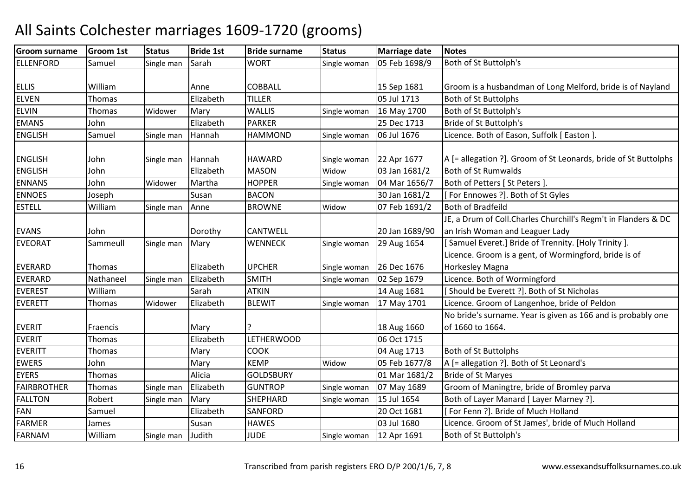| <b>Groom surname</b> | <b>Groom 1st</b> | <b>Status</b> | <b>Bride 1st</b> | <b>Bride surname</b> | <b>Status</b> | <b>Marriage date</b> | <b>Notes</b>                                                    |
|----------------------|------------------|---------------|------------------|----------------------|---------------|----------------------|-----------------------------------------------------------------|
| <b>ELLENFORD</b>     | Samuel           | Single man    | Sarah            | <b>WORT</b>          | Single woman  | 05 Feb 1698/9        | Both of St Buttolph's                                           |
|                      |                  |               |                  |                      |               |                      |                                                                 |
| <b>ELLIS</b>         | William          |               | Anne             | <b>COBBALL</b>       |               | 15 Sep 1681          | Groom is a husbandman of Long Melford, bride is of Nayland      |
| <b>ELVEN</b>         | Thomas           |               | Elizabeth        | <b>TILLER</b>        |               | 05 Jul 1713          | <b>Both of St Buttolphs</b>                                     |
| <b>ELVIN</b>         | Thomas           | Widower       | Mary             | <b>WALLIS</b>        | Single woman  | 16 May 1700          | Both of St Buttolph's                                           |
| <b>EMANS</b>         | John             |               | Elizabeth        | <b>PARKER</b>        |               | 25 Dec 1713          | Bride of St Buttolph's                                          |
| <b>ENGLISH</b>       | Samuel           | Single man    | Hannah           | <b>HAMMOND</b>       | Single woman  | 06 Jul 1676          | Licence. Both of Eason, Suffolk [ Easton ].                     |
|                      |                  |               |                  |                      |               |                      |                                                                 |
| <b>ENGLISH</b>       | John             | Single man    | Hannah           | <b>HAWARD</b>        | Single woman  | 22 Apr 1677          | A [= allegation ?]. Groom of St Leonards, bride of St Buttolphs |
| <b>ENGLISH</b>       | John             |               | Elizabeth        | <b>MASON</b>         | Widow         | 03 Jan 1681/2        | <b>Both of St Rumwalds</b>                                      |
| <b>ENNANS</b>        | John             | Widower       | Martha           | <b>HOPPER</b>        | Single woman  | 04 Mar 1656/7        | Both of Petters [ St Peters ]                                   |
| <b>ENNOES</b>        | Joseph           |               | Susan            | <b>BACON</b>         |               | 30 Jan 1681/2        | [For Ennowes ?]. Both of St Gyles                               |
| <b>ESTELL</b>        | William          | Single man    | Anne             | <b>BROWNE</b>        | Widow         | 07 Feb 1691/2        | <b>Both of Bradfeild</b>                                        |
|                      |                  |               |                  |                      |               |                      | JE, a Drum of Coll. Charles Churchill's Regm't in Flanders & DC |
| <b>EVANS</b>         | John             |               | Dorothy          | CANTWELL             |               | 20 Jan 1689/90       | an Irish Woman and Leaguer Lady                                 |
| <b>EVEORAT</b>       | Sammeull         | Single man    | Mary             | <b>WENNECK</b>       | Single woman  | 29 Aug 1654          | [Samuel Everet.] Bride of Trennity. [Holy Trinity ].            |
|                      |                  |               |                  |                      |               |                      | Licence. Groom is a gent, of Wormingford, bride is of           |
| <b>EVERARD</b>       | Thomas           |               | Elizabeth        | <b>UPCHER</b>        | Single woman  | 26 Dec 1676          | Horkesley Magna                                                 |
| <b>EVERARD</b>       | Nathaneel        | Single man    | Elizabeth        | <b>SMITH</b>         | Single woman  | 02 Sep 1679          | Licence. Both of Wormingford                                    |
| <b>EVEREST</b>       | William          |               | Sarah            | <b>ATKIN</b>         |               | 14 Aug 1681          | [Should be Everett ?]. Both of St Nicholas                      |
| <b>EVERETT</b>       | Thomas           | Widower       | Elizabeth        | <b>BLEWIT</b>        | Single woman  | 17 May 1701          | Licence. Groom of Langenhoe, bride of Peldon                    |
|                      |                  |               |                  |                      |               |                      | No bride's surname. Year is given as 166 and is probably one    |
| <b>EVERIT</b>        | Fraencis         |               | Mary             | ç                    |               | 18 Aug 1660          | of 1660 to 1664.                                                |
| <b>EVERIT</b>        | Thomas           |               | Elizabeth        | <b>LETHERWOOD</b>    |               | 06 Oct 1715          |                                                                 |
| <b>EVERITT</b>       | Thomas           |               | Mary             | COOK                 |               | 04 Aug 1713          | <b>Both of St Buttolphs</b>                                     |
| <b>EWERS</b>         | John             |               | Mary             | <b>KEMP</b>          | Widow         | 05 Feb 1677/8        | A [= allegation ?]. Both of St Leonard's                        |
| <b>EYERS</b>         | Thomas           |               | Alicia           | <b>GOLDSBURY</b>     |               | 01 Mar 1681/2        | Bride of St Maryes                                              |
| FAIRBROTHER          | Thomas           | Single man    | Elizabeth        | <b>GUNTROP</b>       | Single woman  | 07 May 1689          | Groom of Maningtre, bride of Bromley parva                      |
| <b>FALLTON</b>       | Robert           | Single man    | Mary             | <b>SHEPHARD</b>      | Single woman  | 15 Jul 1654          | Both of Layer Manard [ Layer Marney ?].                         |
| <b>FAN</b>           | Samuel           |               | Elizabeth        | SANFORD              |               | 20 Oct 1681          | [For Fenn ?]. Bride of Much Holland                             |
| FARMER               | James            |               | Susan            | <b>HAWES</b>         |               | 03 Jul 1680          | Licence. Groom of St James', bride of Much Holland              |
| FARNAM               | William          | Single man    | Judith           | <b>JUDE</b>          | Single woman  | 12 Apr 1691          | Both of St Buttolph's                                           |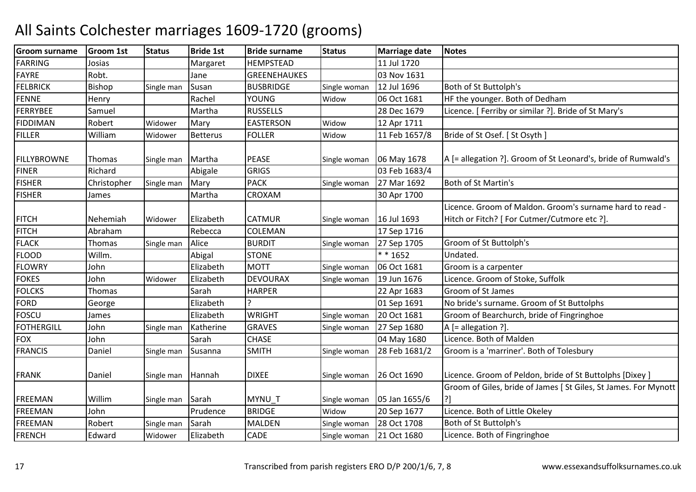| <b>Groom surname</b> | <b>Groom 1st</b> | <b>Status</b> | <b>Bride 1st</b> | <b>Bride surname</b> | <b>Status</b> | <b>Marriage date</b> | <b>Notes</b>                                                                                             |
|----------------------|------------------|---------------|------------------|----------------------|---------------|----------------------|----------------------------------------------------------------------------------------------------------|
| <b>FARRING</b>       | Josias           |               | Margaret         | <b>HEMPSTEAD</b>     |               | 11 Jul 1720          |                                                                                                          |
| <b>FAYRE</b>         | Robt.            |               | Jane             | <b>GREENEHAUKES</b>  |               | 03 Nov 1631          |                                                                                                          |
| <b>FELBRICK</b>      | Bishop           | Single man    | Susan            | <b>BUSBRIDGE</b>     | Single woman  | 12 Jul 1696          | Both of St Buttolph's                                                                                    |
| <b>FENNE</b>         | Henry            |               | Rachel           | YOUNG                | Widow         | 06 Oct 1681          | HF the younger. Both of Dedham                                                                           |
| FERRYBEE             | Samuel           |               | Martha           | <b>RUSSELLS</b>      |               | 28 Dec 1679          | Licence. [Ferriby or similar ?]. Bride of St Mary's                                                      |
| <b>FIDDIMAN</b>      | Robert           | Widower       | Mary             | <b>EASTERSON</b>     | Widow         | 12 Apr 1711          |                                                                                                          |
| <b>FILLER</b>        | William          | Widower       | <b>Betterus</b>  | <b>FOLLER</b>        | Widow         | 11 Feb 1657/8        | Bride of St Osef. [ St Osyth ]                                                                           |
| <b>FILLYBROWNE</b>   | Thomas           | Single man    | Martha           | <b>PEASE</b>         | Single woman  | 06 May 1678          | A [= allegation ?]. Groom of St Leonard's, bride of Rumwald's                                            |
| <b>FINER</b>         | Richard          |               | Abigale          | <b>GRIGS</b>         |               | 03 Feb 1683/4        |                                                                                                          |
| <b>FISHER</b>        | Christopher      | Single man    | Mary             | <b>PACK</b>          | Single woman  | 27 Mar 1692          | Both of St Martin's                                                                                      |
| <b>FISHER</b>        | James            |               | Martha           | CROXAM               |               | 30 Apr 1700          |                                                                                                          |
| <b>FITCH</b>         | Nehemiah         | Widower       | Elizabeth        | <b>CATMUR</b>        | Single woman  | 16 Jul 1693          | Licence. Groom of Maldon. Groom's surname hard to read -<br>Hitch or Fitch? [ For Cutmer/Cutmore etc ?]. |
| <b>FITCH</b>         | Abraham          |               | Rebecca          | COLEMAN              |               | 17 Sep 1716          |                                                                                                          |
| <b>FLACK</b>         | Thomas           | Single man    | Alice            | <b>BURDIT</b>        | Single woman  | 27 Sep 1705          | Groom of St Buttolph's                                                                                   |
| <b>FLOOD</b>         | Willm.           |               | Abigal           | <b>STONE</b>         |               | $* * 1652$           | Undated.                                                                                                 |
| <b>FLOWRY</b>        | John             |               | Elizabeth        | <b>MOTT</b>          | Single woman  | 06 Oct 1681          | Groom is a carpenter                                                                                     |
| <b>FOKES</b>         | John             | Widower       | Elizabeth        | <b>DEVOURAX</b>      | Single woman  | 19 Jun 1676          | Licence. Groom of Stoke, Suffolk                                                                         |
| <b>FOLCKS</b>        | Thomas           |               | Sarah            | <b>HARPER</b>        |               | 22 Apr 1683          | Groom of St James                                                                                        |
| <b>FORD</b>          | George           |               | Elizabeth        | ς                    |               | 01 Sep 1691          | No bride's surname. Groom of St Buttolphs                                                                |
| <b>FOSCU</b>         | James            |               | Elizabeth        | <b>WRIGHT</b>        | Single woman  | 20 Oct 1681          | Groom of Bearchurch, bride of Fingringhoe                                                                |
| <b>FOTHERGILL</b>    | John             | Single man    | Katherine        | <b>GRAVES</b>        | Single woman  | 27 Sep 1680          | A [= allegation ?].                                                                                      |
| <b>FOX</b>           | John             |               | Sarah            | <b>CHASE</b>         |               | 04 May 1680          | Licence. Both of Malden                                                                                  |
| <b>FRANCIS</b>       | Daniel           | Single man    | Susanna          | <b>SMITH</b>         | Single woman  | 28 Feb 1681/2        | Groom is a 'marriner'. Both of Tolesbury                                                                 |
| <b>FRANK</b>         | Daniel           | Single man    | Hannah           | <b>DIXEE</b>         | Single woman  | 26 Oct 1690          | Licence. Groom of Peldon, bride of St Buttolphs [Dixey]                                                  |
| <b>FREEMAN</b>       | Willim           | Single man    | Sarah            | MYNU T               | Single woman  | 05 Jan 1655/6        | Groom of Giles, bride of James [ St Giles, St James. For Mynott<br>?]                                    |
| <b>FREEMAN</b>       | John             |               | Prudence         | <b>BRIDGE</b>        | Widow         | 20 Sep 1677          | Licence. Both of Little Okeley                                                                           |
| <b>FREEMAN</b>       | Robert           | Single man    | Sarah            | MALDEN               | Single woman  | 28 Oct 1708          | Both of St Buttolph's                                                                                    |
| <b>FRENCH</b>        | Edward           | Widower       | Elizabeth        | <b>CADE</b>          | Single woman  | 21 Oct 1680          | Licence. Both of Fingringhoe                                                                             |
|                      |                  |               |                  |                      |               |                      |                                                                                                          |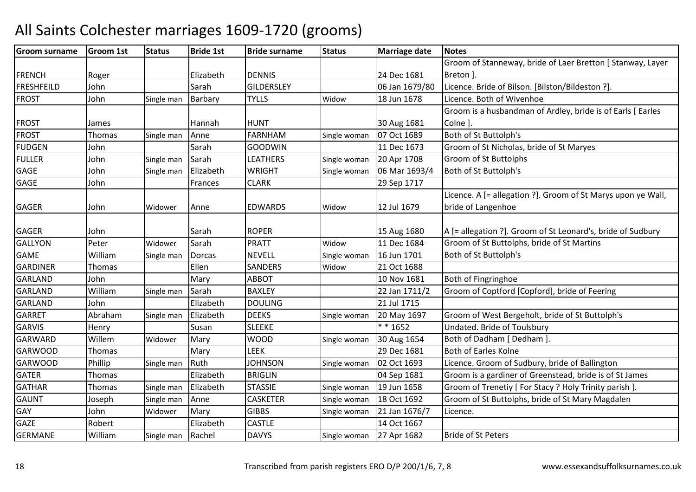#### Groom surnamee Groom 1st Status Bride 1st Bride surname Status Marriage date Notes FRENCH Roger | Elizabeth DENNIS | 24 Dec 1681 06 Jan 1679/80 Groom of Stanneway, bride of Laer Bretton [ Stanway, Layer Breton ]. FRESHFEILDJohn Sarah GILDERSLEY 06 Jan 1679/80 Licence. Bride of Bilson. [Bilston/Bildeston ?].<br>John Single man Barbary TYLLS Widow 18 Jun 1678 Licence. Both of Wivenhoe FROST Johnn Single man Barbary TYLLS Widow Licence. Both of Wivenhoe FROST James | Hannah HUNT | 30 Aug 1681 07 Oct 1689 Groom is a husbandman of Ardley, bride is of Earls [ Earles Colne ]. FROSTThomas Single man Anne FARNHAM<br>GOODWIN Single woman 07 Oct 1689 Both of St Buttolph's<br>11 Dec 1673 Groom of St Nicholas FUDGENJohn 11 Dec 1673 Groom of St Nicholas, bride of St Maryes<br>John Single man Sarah LEATHERS Single woman 20 Apr 1708 Groom of St Buttolphs FULLERSarah LEATHERS Single woman 20 Apr 1708 Groom of St Buttolphs<br>Elizabeth WRIGHT Single woman 06 Mar 1693/4 Both of St Buttolph's GAGE JohnSingle man Elizabeth WRIGHT Single woman 06 Mar 1693/4 Both of St Buttolph's<br>Frances CLARK 29 Sep 1717 GAGE Johnn 1999 | Frances CLARK | 29 Sep 1717 GAGER Johnn Widower Anne EDWARDS Widow Widow 12 Jul 1679 Licence. A [= allegation ?]. Groom of St Marys upon ye Wall, bride of LangenhoeGAGER John Sarah ROPER 15 Aug 1680 15 Aug 1680 | A [= allegation ?]. Groom of St Leonard's, bride of Sudbury<br>11 Dec 1684 | Groom of St Buttolphs, bride of St Martins GALLYONPeter Widower Sarah PRATT Widow 11 Dec 1684 Groom of St Buttolphs, bride of St Martins<br>William Single man Dorcas NEVELL Single woman 16 Jun 1701 Both of St Buttolph's GAME Williamm Single man Dorcas NEVELL Single woman 16 Jun 1701 Both of St Buttolph's<br>CALLER STATES STATES STATES STATES STATES STATES STATES STATES STATES STATES STATES STATES STATES STATES STATES GARDINERR Thomas Ellen SANDERS Widow Widow 21 Oct 1688<br>10 Nov 1681 GARLANDD John Mary ABBOT 10 Nov 1681 Both of Fingringhoe GARLANDWilliam<br>John Single man Sarah BAXLEY BAXLEY 22 Jan 1711/2 Groom of Coptford [Copford], bride of Feering<br>Elizabeth DOULING 21 Jul 1715 GARLAND John Elizabeth DOULING21 Jul 1715<br>Single woman 20 May 1697 GARRET AbrahamSingle man Elizabeth DEEKS Single woman 20 May 1697 Groom of West Bergeholt, bride of St Buttolph's<br>Susan SLEEKE \*\* 1652 Undated. Bride of Toulsbury GARVISS Henry Susan SLEEKE **1652** Undated. Bride of Toulsbury **X** \* 1652 VIndated. Bride of Toulsbury<br>WOOD Single woman 30 Aug 1654 Both of Dadham [ Dedham ] GARWARDWillem<br>Thomas Widower Mary WOOD Single woman 30 Aug 1654 Both of Dadham [ Dedham ]<br>Mary LEEK 29 Dec 1681 Both of Earles Kolne GARWOODD Thomas Mary LEEK 29 Dec 1681 Both of Earles Kolne GARWOODD Phillip Single man Ruth JOHNSON JOHNSON Single woman 02 Oct 1693 Licence. Groom of Sudbury, bride of Ballington<br>BRIGLIN 04 Sep 1681 Groom is a gardiner of Greenstead, bride is of S GATERR Thomas Elizabeth BRIGLIN BRIGLIN 104 Sep 1681 Groom is a gardiner of Greenstead, bride is of St James<br>STASSIE Single woman 19 Jun 1658 Groom of Trenetiy [For Stacy ? Holy Trinity parish ]. **GATHAR** Thomas Single man Elizabeth STASSIE Single woman 19 Jun 1658 Groom of Trenetiy [ For Stacy ? Holy Trinity parish ]. GAUNT JosephSingle man Anne CASKETER<br>Widower Mary GIBBS Single woman 18 Oct 1692 Groom of St Buttolphs, bride of St Mary Magdalen<br>Single woman 21 Jan 1676/7 Licence. GAY Johnn Midower Mary GIBBS Single woman 21 Jan 1676/7 Licence. GAZERobert | Elizabeth **CASTLE 14 Oct 1667** GERMANE Williamm Single man Rachel **DAVYS** Single woman 27 Apr 1682 Bride of St Peters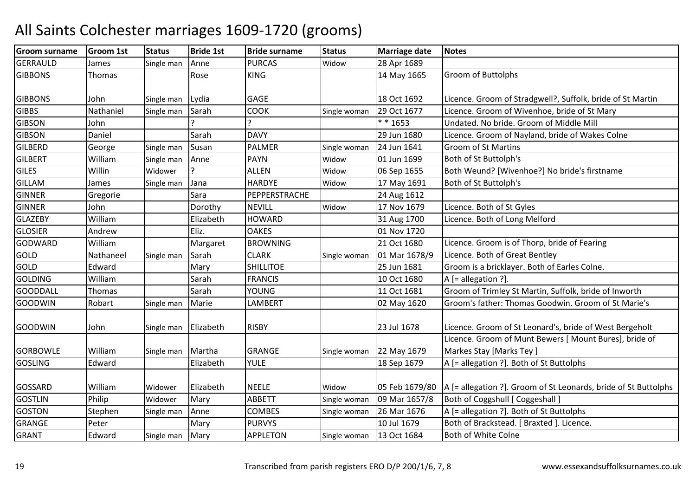#### Groom surnamee Groom 1st Status Bride 1st Bride surname Status Marriage date Notes **GERRAULD** D James Single man Anne PURCAS Widow Widow 28 Apr 1689<br>14 May 1665 **GIBBONS** Thomas | Rose KINGGroom of Buttolphs GIBBONS John<br>GIBBS Nathaniel Single man Lydia GAGE GAGE 18 Oct 1692 Licence. Groom of Stradgwell?, Suffolk, bride of St Martin<br>Single man Sarah COOK Single woman 29 Oct 1677 Licence. Groom of Wivenhoe, bride of St Mary **GIBBS** Single man SarahSingle woman 29 Oct 1677 Licence. Groom of Wivenhoe, bride of St Mary<br> $* * 1653$  Undated. No bride. Groom of Middle Mill **GIBSON**  John ? ? \* \* 1653 Undated. No bride. Groom of Middle Mill **GIBSON** Daniel 1991 Daniel Sarah DAVY 1991 DAVY 29 Jun 1680 Licence. Groom of Nayland, bride of Wakes Colne<br>George Single man Susan PALMER Single woman 24 Jun 1641 Groom of St Martins **GILBERD** D George Single man Susan PALMER Single woman 24 Jun 1641 Groom of St Martins **GILBERT**  Williamm Single man Anne PAYN Widow 01 Jun 1699 Both of St Buttolph's<br>Annual State of St Buttolph's State of St Button of St Buttolph's **GILES**  WillinWidower ? ALLEN<br>Single man Jana HARDYE Widow 06 Sep 1655 Both Weund? [Wivenhoe?] No bride's firstname<br>Widow 17 May 1691 Both of St Buttolph's GILLAMM James Single man Jana HARDYE Widow 17 May 1691 Both of St Buttolph's<br>FR General Gaussian Schwarz BERRERSERAGUE GINNERR Gregorie Sara PEPPERSTRACHE 24 Aug 1612 GINNERR John | Dorothy |NEVILL | Widow Widow 17 Nov 1679 Licence. Both of St Gyles<br>31 Aug 1700 Licence. Both of Long Me GLAZEBY WilliamElizabeth HOWARD 31 Aug 1700 Licence. Both of Long Melford<br>
Eliz. OAKES 01 Nov 1720 GLOSIER Andrew<u>Eliz. OAKES</u> 01 Nov 1720<br>Eliz. Care of the contract of the contract of the contract of the contract of the contract of the contract of t GODWARDWilliam<br>Nathaneel Margaret BROWNING 21 Oct 1680 Licence. Groom is of Thorp, bride of Fearing<br>Single man Sarah CLARK Single woman 01 Mar 1678/9 Licence. Both of Great Bentley GOLDNathaneel Single man Sarah CLARK Single woman 01 Mar 1678/9 Licence. Both of Great Bentley<br>Edward Mary SHILLITOE 25 Jun 1681 Groom is a bricklaver. Both of GOLDMary SHILLITOE 25 Jun 1681 Groom is a bricklayer. Both of Earles Colne.<br>
Sarah FRANCIS 10 Oct 1680 A [= allegation ?]. **GOLDING**  Williamm  $Sarah$  FRANCIS  $100$ ct 1680 A [= allegation ?]. **GOODDALL** Thomas I Sarah YOUNG<br>LAMBERT 11 Oct 1681 Groom of Trimley St Martin, Suffolk, bride of Inworth<br>02 May 1620 Groom's father: Thomas Goodwin. Groom of St Marie GOODWINRobart Single man Marie **LAMBERT** 22 May 1620 Groom's father: Thomas Goodwin. Groom of St Marie's GOODWIN John Single man Elizabeth RISBY 23 Jul 1678 Licence. Groom of St Leonard's, bride of West Bergeholt GORBOWLE Williamm Single man Martha GRANGE Single woman 22 May 1679 Licence. Groom of Munt Bewers [ Mount Bures], bride of Markes Stay [Marks Tey ]**GOSLING** Edward | Elizabeth | YULE | 18 Sep 1679 | A [= allegation ?]. Both of St Buttolphs GOSSARD William<br>GOSTLIN Philip Widower Elizabeth NEELE Widow 05 Feb 1679/80 A [= allegation ?]. Groom of St Leonards, bride of St Buttolphs<br>Widower Mary ABBETT Single woman 09 Mar 1657/8 Both of Coggshull [ Coggeshall ] **GOSTLIN** Philip Midower Mary ABBETT Single woman 09 Mar 1657/8 Both of Coggshull [ Coggeshall ]<br>Stephen Single man Anne COMBES Single woman 26 Mar 1676 A [= allegation ?]. Both of St Bu **GOSTON** Stephen Single man Anne COMBES Single woman 26 Mar 1676 A [= allegation ?]. Both of St Buttolphs<br>Peter Mary PURVYS 10 Jul 1679 Both of Brackstead. [Braxted ]. Licence GRANGEE Peter Mary PURVYS 10 Jul 1679 Both of Brackstead. [ Braxted ]. Licence. GRANT EdwardSingle man Mary **APPLETON** Single woman | 13 Oct 1684 | Both of White Colne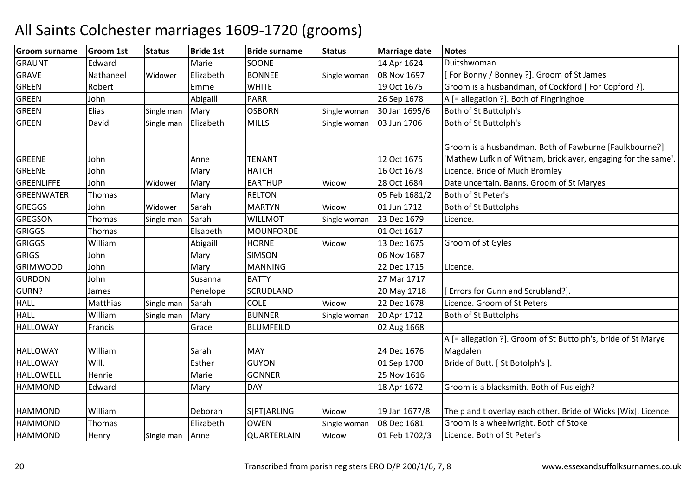| Groom surname     | <b>Groom 1st</b> | <b>Status</b> | <b>Bride 1st</b> | <b>Bride surname</b> | <b>Status</b> | <b>Marriage date</b> | <b>Notes</b>                                                                                                            |
|-------------------|------------------|---------------|------------------|----------------------|---------------|----------------------|-------------------------------------------------------------------------------------------------------------------------|
| <b>GRAUNT</b>     | Edward           |               | Marie            | SOONE                |               | 14 Apr 1624          | Duitshwoman.                                                                                                            |
| <b>GRAVE</b>      | Nathaneel        | Widower       | Elizabeth        | <b>BONNEE</b>        | Single woman  | 08 Nov 1697          | [For Bonny / Bonney ?]. Groom of St James                                                                               |
| <b>GREEN</b>      | Robert           |               | Emme             | <b>WHITE</b>         |               | 19 Oct 1675          | Groom is a husbandman, of Cockford [For Copford ?].                                                                     |
| <b>GREEN</b>      | John             |               | Abigaill         | <b>PARR</b>          |               | 26 Sep 1678          | A [= allegation ?]. Both of Fingringhoe                                                                                 |
| <b>GREEN</b>      | Elias            | Single man    | Mary             | <b>OSBORN</b>        | Single woman  | 30 Jan 1695/6        | Both of St Buttolph's                                                                                                   |
| <b>GREEN</b>      | David            | Single man    | Elizabeth        | <b>MILLS</b>         | Single woman  | 03 Jun 1706          | Both of St Buttolph's                                                                                                   |
| <b>GREENE</b>     | John             |               | Anne             | <b>TENANT</b>        |               | 12 Oct 1675          | Groom is a husbandman. Both of Fawburne [Faulkbourne?]<br>'Mathew Lufkin of Witham, bricklayer, engaging for the same'. |
| <b>GREENE</b>     | John             |               | Mary             | <b>HATCH</b>         |               | 16 Oct 1678          | Licence. Bride of Much Bromley                                                                                          |
| <b>GREENLIFFE</b> | John             | Widower       | Mary             | <b>EARTHUP</b>       | Widow         | 28 Oct 1684          | Date uncertain. Banns. Groom of St Maryes                                                                               |
| <b>GREENWATER</b> | Thomas           |               | Mary             | <b>RELTON</b>        |               | 05 Feb 1681/2        | Both of St Peter's                                                                                                      |
| <b>GREGGS</b>     | John             | Widower       | Sarah            | <b>MARTYN</b>        | Widow         | 01 Jun 1712          | <b>Both of St Buttolphs</b>                                                                                             |
| <b>GREGSON</b>    | Thomas           | Single man    | Sarah            | <b>WILLMOT</b>       | Single woman  | 23 Dec 1679          | Licence.                                                                                                                |
| <b>GRIGGS</b>     | Thomas           |               | Elsabeth         | <b>MOUNFORDE</b>     |               | 01 Oct 1617          |                                                                                                                         |
| <b>GRIGGS</b>     | William          |               | Abigaill         | <b>HORNE</b>         | Widow         | 13 Dec 1675          | Groom of St Gyles                                                                                                       |
| <b>GRIGS</b>      | John             |               | Mary             | <b>SIMSON</b>        |               | 06 Nov 1687          |                                                                                                                         |
| <b>GRIMWOOD</b>   | John             |               | Mary             | <b>MANNING</b>       |               | 22 Dec 1715          | Licence.                                                                                                                |
| <b>GURDON</b>     | John             |               | Susanna          | <b>BATTY</b>         |               | 27 Mar 1717          |                                                                                                                         |
| GURN?             | James            |               | Penelope         | SCRUDLAND            |               | 20 May 1718          | [Errors for Gunn and Scrubland?].                                                                                       |
| <b>HALL</b>       | Matthias         | Single man    | Sarah            | <b>COLE</b>          | Widow         | 22 Dec 1678          | Licence. Groom of St Peters                                                                                             |
| <b>HALL</b>       | William          | Single man    | Mary             | <b>BUNNER</b>        | Single woman  | 20 Apr 1712          | <b>Both of St Buttolphs</b>                                                                                             |
| <b>HALLOWAY</b>   | Francis          |               | Grace            | <b>BLUMFEILD</b>     |               | 02 Aug 1668          |                                                                                                                         |
| <b>HALLOWAY</b>   | William          |               | Sarah            | <b>MAY</b>           |               | 24 Dec 1676          | A [= allegation ?]. Groom of St Buttolph's, bride of St Marye<br>Magdalen                                               |
| <b>HALLOWAY</b>   | Will.            |               | Esther           | <b>GUYON</b>         |               | 01 Sep 1700          | Bride of Butt. [ St Botolph's ]                                                                                         |
| <b>HALLOWELL</b>  | Henrie           |               | Marie            | <b>GONNER</b>        |               | 25 Nov 1616          |                                                                                                                         |
| <b>HAMMOND</b>    | Edward           |               | Mary             | <b>DAY</b>           |               | 18 Apr 1672          | Groom is a blacksmith. Both of Fusleigh?                                                                                |
| <b>HAMMOND</b>    | William          |               | Deborah          | S[PT]ARLING          | Widow         | 19 Jan 1677/8        | The p and t overlay each other. Bride of Wicks [Wix]. Licence.                                                          |
| <b>HAMMOND</b>    | <b>Thomas</b>    |               | Elizabeth        | <b>OWEN</b>          | Single woman  | 08 Dec 1681          | Groom is a wheelwright. Both of Stoke                                                                                   |
| <b>HAMMOND</b>    | Henry            | Single man    | Anne             | QUARTERLAIN          | Widow         | 01 Feb 1702/3        | Licence. Both of St Peter's                                                                                             |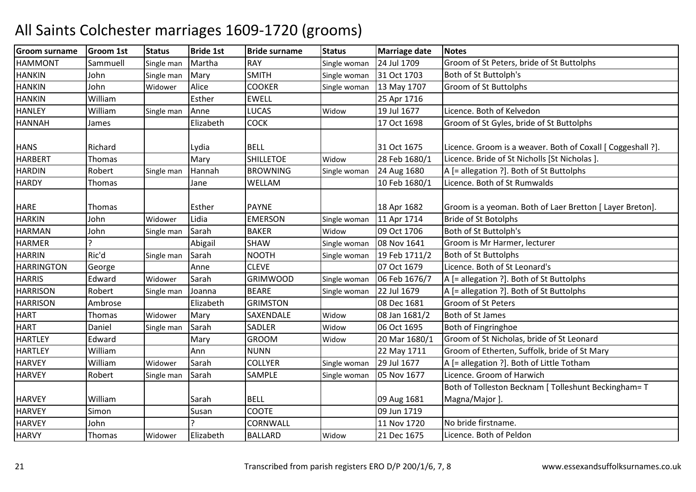| Martha<br><b>RAY</b><br>24 Jul 1709<br><b>HAMMONT</b><br>Sammuell<br>Groom of St Peters, bride of St Buttolphs<br>Single man<br>Single woman<br><b>SMITH</b><br>31 Oct 1703<br>Both of St Buttolph's<br><b>HANKIN</b><br>Mary<br>John<br>Single woman<br>Single man<br>John<br><b>COOKER</b><br><b>HANKIN</b><br>Alice<br>Groom of St Buttolphs<br>Widower<br>13 May 1707<br>Single woman<br>William<br><b>EWELL</b><br><b>HANKIN</b><br>Esther<br>25 Apr 1716<br>Licence. Both of Kelvedon<br><b>HANLEY</b><br>William<br><b>LUCAS</b><br>19 Jul 1677<br>Anne<br>Single man<br>Widow<br><b>COCK</b><br><b>HANNAH</b><br>Elizabeth<br>17 Oct 1698<br>Groom of St Gyles, bride of St Buttolphs<br>James<br><b>BELL</b><br>31 Oct 1675<br>Licence. Groom is a weaver. Both of Coxall [ Coggeshall ?].<br><b>HANS</b><br>Richard<br>Lydia<br><b>SHILLETOE</b><br><b>HARBERT</b><br>Mary<br>28 Feb 1680/1<br>Licence. Bride of St Nicholls [St Nicholas ].<br>Thomas<br>Widow<br><b>BROWNING</b><br>A [= allegation ?]. Both of St Buttolphs<br><b>HARDIN</b><br>Robert<br>24 Aug 1680<br>Hannah<br>Single man<br>Single woman<br><b>HARDY</b><br>WELLAM<br>10 Feb 1680/1<br>Licence. Both of St Rumwalds<br><b>Thomas</b><br>Jane<br>Groom is a yeoman. Both of Laer Bretton [ Layer Breton].<br><b>HARE</b><br>Esther<br><b>PAYNE</b><br>18 Apr 1682<br>Thomas<br>Lidia<br><b>Bride of St Botolphs</b><br><b>HARKIN</b><br><b>EMERSON</b><br>11 Apr 1714<br>John<br>Widower<br>Single woman<br><b>BAKER</b><br><b>HARMAN</b><br>John<br>Sarah<br>09 Oct 1706<br>Both of St Buttolph's<br>Widow<br>Single man<br><b>HARMER</b><br>Abigail<br><b>SHAW</b><br>08 Nov 1641<br>Groom is Mr Harmer, lecturer<br>Single woman<br>Ric'd<br><b>HARRIN</b><br><b>NOOTH</b><br>19 Feb 1711/2<br>Both of St Buttolphs<br>Sarah<br>Single man<br>Single woman<br><b>CLEVE</b><br><b>HARRINGTON</b><br>07 Oct 1679<br>Licence. Both of St Leonard's<br>George<br>Anne<br><b>HARRIS</b><br>Edward<br><b>GRIMWOOD</b><br>06 Feb 1676/7<br>A [= allegation ?]. Both of St Buttolphs<br>Widower<br>Sarah<br>Single woman<br><b>HARRISON</b><br><b>BEARE</b><br>A [= allegation ?]. Both of St Buttolphs<br>Robert<br>22 Jul 1679<br>Single woman<br>Single man<br>Joanna<br><b>HARRISON</b><br><b>GRIMSTON</b><br>08 Dec 1681<br><b>Groom of St Peters</b><br>Ambrose<br>Elizabeth<br><b>HART</b><br>SAXENDALE<br>Both of St James<br>Mary<br>08 Jan 1681/2<br><b>Thomas</b><br>Widow<br>Widower<br><b>SADLER</b><br><b>HART</b><br>Sarah<br>06 Oct 1695<br>Daniel<br>Widow<br>Both of Fingringhoe<br>Single man<br><b>HARTLEY</b><br><b>GROOM</b><br>Groom of St Nicholas, bride of St Leonard<br>Edward<br>20 Mar 1680/1<br>Mary<br>Widow<br><b>HARTLEY</b><br>William<br><b>NUNN</b><br>22 May 1711<br>Groom of Etherten, Suffolk, bride of St Mary<br>Ann<br><b>COLLYER</b><br>A [= allegation ?]. Both of Little Totham<br><b>HARVEY</b><br>William<br>Sarah<br>29 Jul 1677<br>Widower<br>Single woman<br>Licence. Groom of Harwich<br>SAMPLE<br><b>HARVEY</b><br>05 Nov 1677<br>Robert<br>Sarah<br>Single man<br>Single woman<br>Both of Tolleston Becknam [ Tolleshunt Beckingham= T<br><b>BELL</b><br><b>HARVEY</b><br>William<br>Sarah<br>Magna/Major].<br>09 Aug 1681<br><b>HARVEY</b><br><b>COOTE</b><br>09 Jun 1719<br>Simon<br>Susan<br>CORNWALL<br>No bride firstname.<br><b>HARVEY</b><br>11 Nov 1720<br>John<br><b>HARVY</b><br>Elizabeth<br><b>BALLARD</b><br>21 Dec 1675<br>Licence. Both of Peldon<br><b>Thomas</b><br>Widow<br>Widower | <b>Groom surname</b> | <b>Groom 1st</b> | <b>Status</b> | <b>Bride 1st</b> | <b>Bride surname</b> | <b>Status</b> | <b>Marriage date</b> | <b>Notes</b> |
|----------------------------------------------------------------------------------------------------------------------------------------------------------------------------------------------------------------------------------------------------------------------------------------------------------------------------------------------------------------------------------------------------------------------------------------------------------------------------------------------------------------------------------------------------------------------------------------------------------------------------------------------------------------------------------------------------------------------------------------------------------------------------------------------------------------------------------------------------------------------------------------------------------------------------------------------------------------------------------------------------------------------------------------------------------------------------------------------------------------------------------------------------------------------------------------------------------------------------------------------------------------------------------------------------------------------------------------------------------------------------------------------------------------------------------------------------------------------------------------------------------------------------------------------------------------------------------------------------------------------------------------------------------------------------------------------------------------------------------------------------------------------------------------------------------------------------------------------------------------------------------------------------------------------------------------------------------------------------------------------------------------------------------------------------------------------------------------------------------------------------------------------------------------------------------------------------------------------------------------------------------------------------------------------------------------------------------------------------------------------------------------------------------------------------------------------------------------------------------------------------------------------------------------------------------------------------------------------------------------------------------------------------------------------------------------------------------------------------------------------------------------------------------------------------------------------------------------------------------------------------------------------------------------------------------------------------------------------------------------------------------------------------------------------------------------------------------------------------------------------------------------------------------------------------------------------------------------------------------------------------------------------------------------------------------------------------------------------------------------------------------------------------------------------------------------------------------------------------------------------------------------------------------------|----------------------|------------------|---------------|------------------|----------------------|---------------|----------------------|--------------|
|                                                                                                                                                                                                                                                                                                                                                                                                                                                                                                                                                                                                                                                                                                                                                                                                                                                                                                                                                                                                                                                                                                                                                                                                                                                                                                                                                                                                                                                                                                                                                                                                                                                                                                                                                                                                                                                                                                                                                                                                                                                                                                                                                                                                                                                                                                                                                                                                                                                                                                                                                                                                                                                                                                                                                                                                                                                                                                                                                                                                                                                                                                                                                                                                                                                                                                                                                                                                                                                                                                                                        |                      |                  |               |                  |                      |               |                      |              |
|                                                                                                                                                                                                                                                                                                                                                                                                                                                                                                                                                                                                                                                                                                                                                                                                                                                                                                                                                                                                                                                                                                                                                                                                                                                                                                                                                                                                                                                                                                                                                                                                                                                                                                                                                                                                                                                                                                                                                                                                                                                                                                                                                                                                                                                                                                                                                                                                                                                                                                                                                                                                                                                                                                                                                                                                                                                                                                                                                                                                                                                                                                                                                                                                                                                                                                                                                                                                                                                                                                                                        |                      |                  |               |                  |                      |               |                      |              |
|                                                                                                                                                                                                                                                                                                                                                                                                                                                                                                                                                                                                                                                                                                                                                                                                                                                                                                                                                                                                                                                                                                                                                                                                                                                                                                                                                                                                                                                                                                                                                                                                                                                                                                                                                                                                                                                                                                                                                                                                                                                                                                                                                                                                                                                                                                                                                                                                                                                                                                                                                                                                                                                                                                                                                                                                                                                                                                                                                                                                                                                                                                                                                                                                                                                                                                                                                                                                                                                                                                                                        |                      |                  |               |                  |                      |               |                      |              |
|                                                                                                                                                                                                                                                                                                                                                                                                                                                                                                                                                                                                                                                                                                                                                                                                                                                                                                                                                                                                                                                                                                                                                                                                                                                                                                                                                                                                                                                                                                                                                                                                                                                                                                                                                                                                                                                                                                                                                                                                                                                                                                                                                                                                                                                                                                                                                                                                                                                                                                                                                                                                                                                                                                                                                                                                                                                                                                                                                                                                                                                                                                                                                                                                                                                                                                                                                                                                                                                                                                                                        |                      |                  |               |                  |                      |               |                      |              |
|                                                                                                                                                                                                                                                                                                                                                                                                                                                                                                                                                                                                                                                                                                                                                                                                                                                                                                                                                                                                                                                                                                                                                                                                                                                                                                                                                                                                                                                                                                                                                                                                                                                                                                                                                                                                                                                                                                                                                                                                                                                                                                                                                                                                                                                                                                                                                                                                                                                                                                                                                                                                                                                                                                                                                                                                                                                                                                                                                                                                                                                                                                                                                                                                                                                                                                                                                                                                                                                                                                                                        |                      |                  |               |                  |                      |               |                      |              |
|                                                                                                                                                                                                                                                                                                                                                                                                                                                                                                                                                                                                                                                                                                                                                                                                                                                                                                                                                                                                                                                                                                                                                                                                                                                                                                                                                                                                                                                                                                                                                                                                                                                                                                                                                                                                                                                                                                                                                                                                                                                                                                                                                                                                                                                                                                                                                                                                                                                                                                                                                                                                                                                                                                                                                                                                                                                                                                                                                                                                                                                                                                                                                                                                                                                                                                                                                                                                                                                                                                                                        |                      |                  |               |                  |                      |               |                      |              |
|                                                                                                                                                                                                                                                                                                                                                                                                                                                                                                                                                                                                                                                                                                                                                                                                                                                                                                                                                                                                                                                                                                                                                                                                                                                                                                                                                                                                                                                                                                                                                                                                                                                                                                                                                                                                                                                                                                                                                                                                                                                                                                                                                                                                                                                                                                                                                                                                                                                                                                                                                                                                                                                                                                                                                                                                                                                                                                                                                                                                                                                                                                                                                                                                                                                                                                                                                                                                                                                                                                                                        |                      |                  |               |                  |                      |               |                      |              |
|                                                                                                                                                                                                                                                                                                                                                                                                                                                                                                                                                                                                                                                                                                                                                                                                                                                                                                                                                                                                                                                                                                                                                                                                                                                                                                                                                                                                                                                                                                                                                                                                                                                                                                                                                                                                                                                                                                                                                                                                                                                                                                                                                                                                                                                                                                                                                                                                                                                                                                                                                                                                                                                                                                                                                                                                                                                                                                                                                                                                                                                                                                                                                                                                                                                                                                                                                                                                                                                                                                                                        |                      |                  |               |                  |                      |               |                      |              |
|                                                                                                                                                                                                                                                                                                                                                                                                                                                                                                                                                                                                                                                                                                                                                                                                                                                                                                                                                                                                                                                                                                                                                                                                                                                                                                                                                                                                                                                                                                                                                                                                                                                                                                                                                                                                                                                                                                                                                                                                                                                                                                                                                                                                                                                                                                                                                                                                                                                                                                                                                                                                                                                                                                                                                                                                                                                                                                                                                                                                                                                                                                                                                                                                                                                                                                                                                                                                                                                                                                                                        |                      |                  |               |                  |                      |               |                      |              |
|                                                                                                                                                                                                                                                                                                                                                                                                                                                                                                                                                                                                                                                                                                                                                                                                                                                                                                                                                                                                                                                                                                                                                                                                                                                                                                                                                                                                                                                                                                                                                                                                                                                                                                                                                                                                                                                                                                                                                                                                                                                                                                                                                                                                                                                                                                                                                                                                                                                                                                                                                                                                                                                                                                                                                                                                                                                                                                                                                                                                                                                                                                                                                                                                                                                                                                                                                                                                                                                                                                                                        |                      |                  |               |                  |                      |               |                      |              |
|                                                                                                                                                                                                                                                                                                                                                                                                                                                                                                                                                                                                                                                                                                                                                                                                                                                                                                                                                                                                                                                                                                                                                                                                                                                                                                                                                                                                                                                                                                                                                                                                                                                                                                                                                                                                                                                                                                                                                                                                                                                                                                                                                                                                                                                                                                                                                                                                                                                                                                                                                                                                                                                                                                                                                                                                                                                                                                                                                                                                                                                                                                                                                                                                                                                                                                                                                                                                                                                                                                                                        |                      |                  |               |                  |                      |               |                      |              |
|                                                                                                                                                                                                                                                                                                                                                                                                                                                                                                                                                                                                                                                                                                                                                                                                                                                                                                                                                                                                                                                                                                                                                                                                                                                                                                                                                                                                                                                                                                                                                                                                                                                                                                                                                                                                                                                                                                                                                                                                                                                                                                                                                                                                                                                                                                                                                                                                                                                                                                                                                                                                                                                                                                                                                                                                                                                                                                                                                                                                                                                                                                                                                                                                                                                                                                                                                                                                                                                                                                                                        |                      |                  |               |                  |                      |               |                      |              |
|                                                                                                                                                                                                                                                                                                                                                                                                                                                                                                                                                                                                                                                                                                                                                                                                                                                                                                                                                                                                                                                                                                                                                                                                                                                                                                                                                                                                                                                                                                                                                                                                                                                                                                                                                                                                                                                                                                                                                                                                                                                                                                                                                                                                                                                                                                                                                                                                                                                                                                                                                                                                                                                                                                                                                                                                                                                                                                                                                                                                                                                                                                                                                                                                                                                                                                                                                                                                                                                                                                                                        |                      |                  |               |                  |                      |               |                      |              |
|                                                                                                                                                                                                                                                                                                                                                                                                                                                                                                                                                                                                                                                                                                                                                                                                                                                                                                                                                                                                                                                                                                                                                                                                                                                                                                                                                                                                                                                                                                                                                                                                                                                                                                                                                                                                                                                                                                                                                                                                                                                                                                                                                                                                                                                                                                                                                                                                                                                                                                                                                                                                                                                                                                                                                                                                                                                                                                                                                                                                                                                                                                                                                                                                                                                                                                                                                                                                                                                                                                                                        |                      |                  |               |                  |                      |               |                      |              |
|                                                                                                                                                                                                                                                                                                                                                                                                                                                                                                                                                                                                                                                                                                                                                                                                                                                                                                                                                                                                                                                                                                                                                                                                                                                                                                                                                                                                                                                                                                                                                                                                                                                                                                                                                                                                                                                                                                                                                                                                                                                                                                                                                                                                                                                                                                                                                                                                                                                                                                                                                                                                                                                                                                                                                                                                                                                                                                                                                                                                                                                                                                                                                                                                                                                                                                                                                                                                                                                                                                                                        |                      |                  |               |                  |                      |               |                      |              |
|                                                                                                                                                                                                                                                                                                                                                                                                                                                                                                                                                                                                                                                                                                                                                                                                                                                                                                                                                                                                                                                                                                                                                                                                                                                                                                                                                                                                                                                                                                                                                                                                                                                                                                                                                                                                                                                                                                                                                                                                                                                                                                                                                                                                                                                                                                                                                                                                                                                                                                                                                                                                                                                                                                                                                                                                                                                                                                                                                                                                                                                                                                                                                                                                                                                                                                                                                                                                                                                                                                                                        |                      |                  |               |                  |                      |               |                      |              |
|                                                                                                                                                                                                                                                                                                                                                                                                                                                                                                                                                                                                                                                                                                                                                                                                                                                                                                                                                                                                                                                                                                                                                                                                                                                                                                                                                                                                                                                                                                                                                                                                                                                                                                                                                                                                                                                                                                                                                                                                                                                                                                                                                                                                                                                                                                                                                                                                                                                                                                                                                                                                                                                                                                                                                                                                                                                                                                                                                                                                                                                                                                                                                                                                                                                                                                                                                                                                                                                                                                                                        |                      |                  |               |                  |                      |               |                      |              |
|                                                                                                                                                                                                                                                                                                                                                                                                                                                                                                                                                                                                                                                                                                                                                                                                                                                                                                                                                                                                                                                                                                                                                                                                                                                                                                                                                                                                                                                                                                                                                                                                                                                                                                                                                                                                                                                                                                                                                                                                                                                                                                                                                                                                                                                                                                                                                                                                                                                                                                                                                                                                                                                                                                                                                                                                                                                                                                                                                                                                                                                                                                                                                                                                                                                                                                                                                                                                                                                                                                                                        |                      |                  |               |                  |                      |               |                      |              |
|                                                                                                                                                                                                                                                                                                                                                                                                                                                                                                                                                                                                                                                                                                                                                                                                                                                                                                                                                                                                                                                                                                                                                                                                                                                                                                                                                                                                                                                                                                                                                                                                                                                                                                                                                                                                                                                                                                                                                                                                                                                                                                                                                                                                                                                                                                                                                                                                                                                                                                                                                                                                                                                                                                                                                                                                                                                                                                                                                                                                                                                                                                                                                                                                                                                                                                                                                                                                                                                                                                                                        |                      |                  |               |                  |                      |               |                      |              |
|                                                                                                                                                                                                                                                                                                                                                                                                                                                                                                                                                                                                                                                                                                                                                                                                                                                                                                                                                                                                                                                                                                                                                                                                                                                                                                                                                                                                                                                                                                                                                                                                                                                                                                                                                                                                                                                                                                                                                                                                                                                                                                                                                                                                                                                                                                                                                                                                                                                                                                                                                                                                                                                                                                                                                                                                                                                                                                                                                                                                                                                                                                                                                                                                                                                                                                                                                                                                                                                                                                                                        |                      |                  |               |                  |                      |               |                      |              |
|                                                                                                                                                                                                                                                                                                                                                                                                                                                                                                                                                                                                                                                                                                                                                                                                                                                                                                                                                                                                                                                                                                                                                                                                                                                                                                                                                                                                                                                                                                                                                                                                                                                                                                                                                                                                                                                                                                                                                                                                                                                                                                                                                                                                                                                                                                                                                                                                                                                                                                                                                                                                                                                                                                                                                                                                                                                                                                                                                                                                                                                                                                                                                                                                                                                                                                                                                                                                                                                                                                                                        |                      |                  |               |                  |                      |               |                      |              |
|                                                                                                                                                                                                                                                                                                                                                                                                                                                                                                                                                                                                                                                                                                                                                                                                                                                                                                                                                                                                                                                                                                                                                                                                                                                                                                                                                                                                                                                                                                                                                                                                                                                                                                                                                                                                                                                                                                                                                                                                                                                                                                                                                                                                                                                                                                                                                                                                                                                                                                                                                                                                                                                                                                                                                                                                                                                                                                                                                                                                                                                                                                                                                                                                                                                                                                                                                                                                                                                                                                                                        |                      |                  |               |                  |                      |               |                      |              |
|                                                                                                                                                                                                                                                                                                                                                                                                                                                                                                                                                                                                                                                                                                                                                                                                                                                                                                                                                                                                                                                                                                                                                                                                                                                                                                                                                                                                                                                                                                                                                                                                                                                                                                                                                                                                                                                                                                                                                                                                                                                                                                                                                                                                                                                                                                                                                                                                                                                                                                                                                                                                                                                                                                                                                                                                                                                                                                                                                                                                                                                                                                                                                                                                                                                                                                                                                                                                                                                                                                                                        |                      |                  |               |                  |                      |               |                      |              |
|                                                                                                                                                                                                                                                                                                                                                                                                                                                                                                                                                                                                                                                                                                                                                                                                                                                                                                                                                                                                                                                                                                                                                                                                                                                                                                                                                                                                                                                                                                                                                                                                                                                                                                                                                                                                                                                                                                                                                                                                                                                                                                                                                                                                                                                                                                                                                                                                                                                                                                                                                                                                                                                                                                                                                                                                                                                                                                                                                                                                                                                                                                                                                                                                                                                                                                                                                                                                                                                                                                                                        |                      |                  |               |                  |                      |               |                      |              |
|                                                                                                                                                                                                                                                                                                                                                                                                                                                                                                                                                                                                                                                                                                                                                                                                                                                                                                                                                                                                                                                                                                                                                                                                                                                                                                                                                                                                                                                                                                                                                                                                                                                                                                                                                                                                                                                                                                                                                                                                                                                                                                                                                                                                                                                                                                                                                                                                                                                                                                                                                                                                                                                                                                                                                                                                                                                                                                                                                                                                                                                                                                                                                                                                                                                                                                                                                                                                                                                                                                                                        |                      |                  |               |                  |                      |               |                      |              |
|                                                                                                                                                                                                                                                                                                                                                                                                                                                                                                                                                                                                                                                                                                                                                                                                                                                                                                                                                                                                                                                                                                                                                                                                                                                                                                                                                                                                                                                                                                                                                                                                                                                                                                                                                                                                                                                                                                                                                                                                                                                                                                                                                                                                                                                                                                                                                                                                                                                                                                                                                                                                                                                                                                                                                                                                                                                                                                                                                                                                                                                                                                                                                                                                                                                                                                                                                                                                                                                                                                                                        |                      |                  |               |                  |                      |               |                      |              |
|                                                                                                                                                                                                                                                                                                                                                                                                                                                                                                                                                                                                                                                                                                                                                                                                                                                                                                                                                                                                                                                                                                                                                                                                                                                                                                                                                                                                                                                                                                                                                                                                                                                                                                                                                                                                                                                                                                                                                                                                                                                                                                                                                                                                                                                                                                                                                                                                                                                                                                                                                                                                                                                                                                                                                                                                                                                                                                                                                                                                                                                                                                                                                                                                                                                                                                                                                                                                                                                                                                                                        |                      |                  |               |                  |                      |               |                      |              |
|                                                                                                                                                                                                                                                                                                                                                                                                                                                                                                                                                                                                                                                                                                                                                                                                                                                                                                                                                                                                                                                                                                                                                                                                                                                                                                                                                                                                                                                                                                                                                                                                                                                                                                                                                                                                                                                                                                                                                                                                                                                                                                                                                                                                                                                                                                                                                                                                                                                                                                                                                                                                                                                                                                                                                                                                                                                                                                                                                                                                                                                                                                                                                                                                                                                                                                                                                                                                                                                                                                                                        |                      |                  |               |                  |                      |               |                      |              |
|                                                                                                                                                                                                                                                                                                                                                                                                                                                                                                                                                                                                                                                                                                                                                                                                                                                                                                                                                                                                                                                                                                                                                                                                                                                                                                                                                                                                                                                                                                                                                                                                                                                                                                                                                                                                                                                                                                                                                                                                                                                                                                                                                                                                                                                                                                                                                                                                                                                                                                                                                                                                                                                                                                                                                                                                                                                                                                                                                                                                                                                                                                                                                                                                                                                                                                                                                                                                                                                                                                                                        |                      |                  |               |                  |                      |               |                      |              |
|                                                                                                                                                                                                                                                                                                                                                                                                                                                                                                                                                                                                                                                                                                                                                                                                                                                                                                                                                                                                                                                                                                                                                                                                                                                                                                                                                                                                                                                                                                                                                                                                                                                                                                                                                                                                                                                                                                                                                                                                                                                                                                                                                                                                                                                                                                                                                                                                                                                                                                                                                                                                                                                                                                                                                                                                                                                                                                                                                                                                                                                                                                                                                                                                                                                                                                                                                                                                                                                                                                                                        |                      |                  |               |                  |                      |               |                      |              |
|                                                                                                                                                                                                                                                                                                                                                                                                                                                                                                                                                                                                                                                                                                                                                                                                                                                                                                                                                                                                                                                                                                                                                                                                                                                                                                                                                                                                                                                                                                                                                                                                                                                                                                                                                                                                                                                                                                                                                                                                                                                                                                                                                                                                                                                                                                                                                                                                                                                                                                                                                                                                                                                                                                                                                                                                                                                                                                                                                                                                                                                                                                                                                                                                                                                                                                                                                                                                                                                                                                                                        |                      |                  |               |                  |                      |               |                      |              |
|                                                                                                                                                                                                                                                                                                                                                                                                                                                                                                                                                                                                                                                                                                                                                                                                                                                                                                                                                                                                                                                                                                                                                                                                                                                                                                                                                                                                                                                                                                                                                                                                                                                                                                                                                                                                                                                                                                                                                                                                                                                                                                                                                                                                                                                                                                                                                                                                                                                                                                                                                                                                                                                                                                                                                                                                                                                                                                                                                                                                                                                                                                                                                                                                                                                                                                                                                                                                                                                                                                                                        |                      |                  |               |                  |                      |               |                      |              |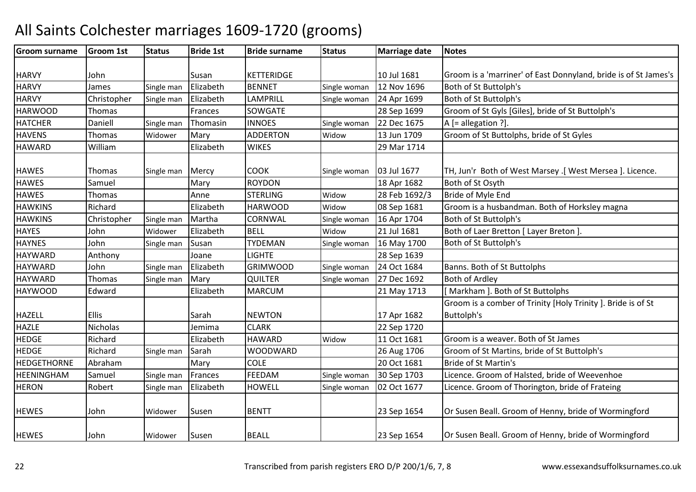#### Groom surnamee Groom 1st Status Bride 1st Bride surname Status Marriage date Notes HARVY John Susan KETTERIDGE 10 Jul 1681 10 Jul 1681 Groom is a 'marriner' of East Donnyland, bride is of St James's<br>12 Nov 1696 Both of St Buttoloh's **HARVY** James Single man Elizabeth BENNET Single woman 12 Nov 1696 Both of St Buttolph's **HARVY** Christopher Single man Elizabeth LAMPRILL Single woman 24 Apr 1699 Both of St Buttolph's<br>SOWGATE 28 Sep 1699 Groom of St Gyls [Gil **HARWOOD** Thomas | Frances SOWGATE | 28 Sep 1699 Groom of St Gyls [Giles], bride of St Buttolph's<br>Daniell | Single man Thomasin | INNOES | Single woman 22 Dec 1675 | A [= allegation ?]. **HATCHER** R Daniell Single man Thomasin INNOES Single woman 22 Dec 1675 A [= allegation ?]. **HAVENS** S Thomas Widower Mary ADDERTON ADDERTON Widow 13 Jun 1709 Groom of St Buttolphs, bride of St Gyles<br>WIKES 29 Mar 1714 **HAWARD**  William Elizabeth WIKES 29 Mar 1714 HAWES Thomas Single man Mercy COOK<br>HAWES Samuel Thomas Mary ROYDON Single woman | 03 Jul 1677 | TH, Jun'r Both of West Marsey .[ West Mersea ]. Licence.<br>| 18 Apr 1682 | Both of St Osyth **HAWES** S Samuel Mary ROYDON 18 Apr 1682 Both of St Osyth<br>28 Feb 1692/3 Bride of Myle En **HAWES** Thomas **Anne STERLING**  Widow28 Feb 1692/3 Bride of Myle End<br>08 Sep 1681 Groom is a husbar **HAWKINS**  Richard Elizabeth HARWOODHARWOOD Widow<br>CORNWAL Single v 08 Sep 1681 Groom is a husbandman. Both of Horksley magna<br>16 Apr 1704 Both of St Buttolph's **HAWKINS** Christopher Isingle man MarthaSingle woman Both of St Buttolph's **HAYES**  Johnn Widower Elizabeth BELL Widow Widow 21 Jul 1681 Both of Laer Bretton [ Layer Breton ]<br>Single woman 16 May 1700 Both of St Buttolph's **HAYNES**  JohnSingle man Susan TYDEMAN 16 May 1700 Both of St Buttolph's<br>28 Sep 1639 HAYWARDD Anthony Joane LIGHTE 28 Sep 1639 **HAYWARD** John Single man Elizabeth GRIMWOOD Single woman 24 Oct 1684 Banns. Both of St Buttolphs<br>Thomas Single man Mary QUILTER Single woman 27 Dec 1692 Both of Ardley HAYWARDD Thomas Single man Mary QUILTER Single woman 27 Dec 1692 Both of Ardley HAYWOODD Edward Elizabeth MARCUM 21 May 1713 [ Markham ]. Both of St Buttolphs HAZELL Ellis | Sarah NEWTON | 17 Apr 1682 K 22 Sep 1720 Groom is a comber of Trinity [Holy Trinity ]. Bride is of St Buttolph's HAZLEE Nicholas Jemima CLARK **HEDGE**  RichardElizabeth HAWARD<br>Single man Sarah WOODW Widow11 Oct 1681 Groom is a weaver. Both of St James<br>26 Aug 1706 Groom of St Martins, bride of St Butt HEDGE RichardSarah WOODWARD<br>Marv COLE 26 Aug 1706 Groom of St Martins, bride of St Buttolph's<br>20 Oct 1681 Bride of St Martin's HEDGETHORNE Abrahamm Mary COLE 20 Oct 1681 Bride of St Martin's<br>
20 Oct 1681 Bride of St Martin's HEENINGHAMSamuel Single man Frances FEEDAM Single woman 30 Sep 1703 Licence. Groom of Halsted, bride of Weevenhoe<br>Robert Single man Elizabeth HOWELL Single woman 02 Oct 1677 Licence. Groom of Thorington, bride of Frateing **HERON** Licence. Groom of Thorington, bride of Frateing HEWES JohnWidower Susen BENTT 1980 | 23 Sep 1654 | Or Susen Beall. Groom of Henny, bride of Wormingford HEWES JohnWidower Susen BEALL 1983 Sep 1654 Or Susen Beall. Groom of Henny, bride of Wormingford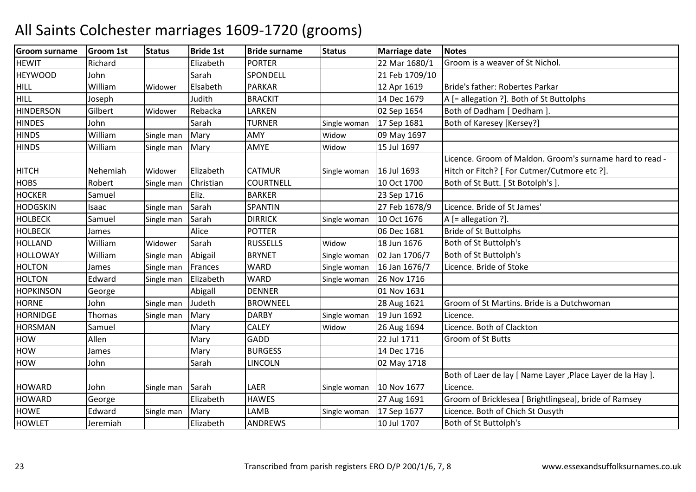| <b>Groom surname</b> | <b>Groom 1st</b> | <b>Status</b> | <b>Bride 1st</b> | <b>Bride surname</b> | <b>Status</b> | <b>Marriage date</b> | <b>Notes</b>                                                |
|----------------------|------------------|---------------|------------------|----------------------|---------------|----------------------|-------------------------------------------------------------|
| <b>HEWIT</b>         | Richard          |               | Elizabeth        | <b>PORTER</b>        |               | 22 Mar 1680/1        | Groom is a weaver of St Nichol.                             |
| <b>HEYWOOD</b>       | John             |               | Sarah            | SPONDELL             |               | 21 Feb 1709/10       |                                                             |
| <b>HILL</b>          | William          | Widower       | Elsabeth         | <b>PARKAR</b>        |               | 12 Apr 1619          | Bride's father: Robertes Parkar                             |
| <b>HILL</b>          | Joseph           |               | Judith           | <b>BRACKIT</b>       |               | 14 Dec 1679          | A [= allegation ?]. Both of St Buttolphs                    |
| <b>HINDERSON</b>     | Gilbert          | Widower       | Rebacka          | LARKEN               |               | 02 Sep 1654          | Both of Dadham [ Dedham ].                                  |
| <b>HINDES</b>        | John             |               | Sarah            | <b>TURNER</b>        | Single woman  | 17 Sep 1681          | Both of Karesey [Kersey?]                                   |
| <b>HINDS</b>         | William          | Single man    | Mary             | AMY                  | Widow         | 09 May 1697          |                                                             |
| <b>HINDS</b>         | William          | Single man    | Mary             | AMYE                 | Widow         | 15 Jul 1697          |                                                             |
|                      |                  |               |                  |                      |               |                      | Licence. Groom of Maldon. Groom's surname hard to read -    |
| <b>HITCH</b>         | Nehemiah         | Widower       | Elizabeth        | <b>CATMUR</b>        | Single woman  | 16 Jul 1693          | Hitch or Fitch? [ For Cutmer/Cutmore etc ?].                |
| <b>HOBS</b>          | Robert           | Single man    | Christian        | <b>COURTNELL</b>     |               | 10 Oct 1700          | Both of St Butt. [St Botolph's]                             |
| <b>HOCKER</b>        | Samuel           |               | Eliz.            | <b>BARKER</b>        |               | 23 Sep 1716          |                                                             |
| <b>HODGSKIN</b>      | Isaac            | Single man    | Sarah            | <b>SPANTIN</b>       |               | 27 Feb 1678/9        | Licence. Bride of St James'                                 |
| <b>HOLBECK</b>       | Samuel           | Single man    | Sarah            | <b>DIRRICK</b>       | Single woman  | 10 Oct 1676          | A [= allegation ?].                                         |
| <b>HOLBECK</b>       | James            |               | Alice            | <b>POTTER</b>        |               | 06 Dec 1681          | <b>Bride of St Buttolphs</b>                                |
| <b>HOLLAND</b>       | William          | Widower       | Sarah            | <b>RUSSELLS</b>      | Widow         | 18 Jun 1676          | Both of St Buttolph's                                       |
| <b>HOLLOWAY</b>      | William          | Single man    | Abigail          | <b>BRYNET</b>        | Single woman  | 02 Jan 1706/7        | Both of St Buttolph's                                       |
| <b>HOLTON</b>        | James            | Single man    | Frances          | <b>WARD</b>          | Single woman  | 16 Jan 1676/7        | Licence. Bride of Stoke                                     |
| <b>HOLTON</b>        | Edward           | Single man    | Elizabeth        | <b>WARD</b>          | Single woman  | 26 Nov 1716          |                                                             |
| <b>HOPKINSON</b>     | George           |               | Abigall          | <b>DENNER</b>        |               | 01 Nov 1631          |                                                             |
| <b>HORNE</b>         | John             | Single man    | Judeth           | <b>BROWNEEL</b>      |               | 28 Aug 1621          | Groom of St Martins. Bride is a Dutchwoman                  |
| <b>HORNIDGE</b>      | Thomas           | Single man    | Mary             | <b>DARBY</b>         | Single woman  | 19 Jun 1692          | Licence.                                                    |
| <b>HORSMAN</b>       | Samuel           |               | Mary             | <b>CALEY</b>         | Widow         | 26 Aug 1694          | Licence. Both of Clackton                                   |
| <b>HOW</b>           | Allen            |               | Mary             | GADD                 |               | 22 Jul 1711          | Groom of St Butts                                           |
| <b>HOW</b>           | James            |               | Mary             | <b>BURGESS</b>       |               | 14 Dec 1716          |                                                             |
| HOW                  | John             |               | Sarah            | <b>LINCOLN</b>       |               | 02 May 1718          |                                                             |
|                      |                  |               |                  |                      |               |                      | Both of Laer de lay [ Name Layer , Place Layer de la Hay ]. |
| <b>HOWARD</b>        | John             | Single man    | Sarah            | LAER                 | Single woman  | 10 Nov 1677          | Licence.                                                    |
| <b>HOWARD</b>        | George           |               | Elizabeth        | <b>HAWES</b>         |               | 27 Aug 1691          | Groom of Bricklesea [ Brightlingsea], bride of Ramsey       |
| <b>HOWE</b>          | Edward           | Single man    | Mary             | LAMB                 | Single woman  | 17 Sep 1677          | Licence. Both of Chich St Ousyth                            |
| <b>HOWLET</b>        | Jeremiah         |               | Elizabeth        | <b>ANDREWS</b>       |               | 10 Jul 1707          | Both of St Buttolph's                                       |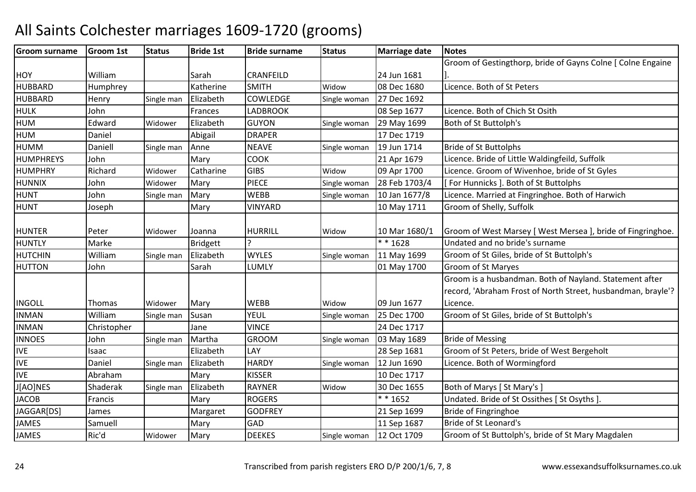#### Groom surnamee Groom 1st Status Bride 1st Bride surname Status Marriage date Notes HOY Nilliam Sarah CRANFEILD 24 Jun 1681 08 Dec 1680 Groom of Gestingthorp, bride of Gayns Colne [ Colne Engaine ].**HUBBARD** Humphrey | Katherine SMITH<br>Henry | Single man Elizabeth | COWLEDGE Widow08 Dec 1680 Licence. Both of St Peters<br>27 Dec 1692 **HUBBARD** D Henry Single man Elizabeth COWLEDGE Single woman 27 Dec 1692 HULK JohnFrances LADBROOK 108 Sep 1677 Licence. Both of Chich St Osith<br>Elizabeth GUYON 5ingle woman 29 May 1699 Both of St Buttolph's HUMM 1699 Edward Widower Elizabeth GUYON Single woman 29 May 1699 Both of St Buttolph's<br>M HUMM Daniel Abigail DRAPER 17 Dec 1719<br>1914 December 17 Dec 1719 HUMMM Daniell Single man Anne NEAVE Single woman 19 Jun 1714 Bride of St Buttolphs<br>RUBEVS Literature of Literature of Literature of Literature of Literature of Literature of Literature of Lite **HUMPHREYS**  JohnMary COOK 21 Apr 1679 Licence. Bride of Little Waldingfeild, Suffolk<br>
Catharine GIBS Widow 09 Apr 1700 Licence. Groom of Wivenhoe. bride of St Gv HUMPHRY Richardd Widower Catharine GIBS Widow Widow 09 Apr 1700 Licence. Groom of Wivenhoe, bride of St Gyles<br>Single woman 28 Feb 1703/4 | For Hunnicks 1. Both of St Buttolphs HUNNIX JohnWidower Mary PIECE Single woman 28 Feb 1703/4 | [ For Hunnicks ]. Both of St Buttolphs HUNT JohnSingle man Mary WEBB<br>Mary VINYA Single woman 10 Jan 1677/8 Licence. Married at Fingringhoe. Both of Harwich<br>10 May 1711 Groom of Shelly, Suffolk HUNT Joseph**VINYARD** Groom of Shelly, Suffolk HUNTER Peter Widower Joanna HURRILL WidowWidow 10 Mar 1680/1 Groom of West Marsey [West Mersea ], bride of Fingringhoe.<br>
\* \* 1628 Undated and no bride's surname **HUNTLY**  Marke Bridgett ? \* \* 1628 Undated and no bride's surname HUTCHINWilliam<br>John Single man Elizabeth WYLES Single woman 11 May 1699 Groom of St Giles, bride of St Buttolph's<br>Sarah LUMLY 01 May 1700 Groom of St Maryes HUTTONN John Sarah LUMLY 01 May 1700 Groom of St Maryes INGOLL Thomas Widower Mary WEBB WEBB Widow<br>YFUI Single \ Widow 109 Jun 1677<br>Single woman 125 Dec 1700 Groom is a husbandman. Both of Nayland. Statement after record, 'Abraham Frost of North Street, husbandman, brayle'? Licence.INMANWilliam<br>Christopher Single man Susan YEUL Single woman 25 Dec 1700 Groom of St Giles, bride of St Buttolph's<br>Jane VINCE 24 Dec 1717 INMANN Christopher Jane VINCE 24 Dec 1717 INNOES JohnSingle man Martha GROOM Single woman 03 May 1689 Bride of Messing<br>28 Sep 1681 Groom of St Pete IVEIsaac | Elizabeth Elizabeth LAY 128 Sep 1681 Groom of St Peters, bride of West Bergeholt<br>
Elizabeth HARDY Single woman 12 Jun 1690 Licence. Both of Wormingford IVEDaniel Single man Single woman 12 Jun 1690 Licence. Both of Wormingford<br>10 Dec 1717 IVE Abrahamm Mary KISSER 10 Dec 1717<br>1. Reviewed The Line Studies of the Contract of the Contract of the Contract of the Contract of the Contract o **J**[AO]NES Shaderak Single man Elizabeth<br>Mary RAYNER<br>ROGERS Widow30 Dec 1655 Both of Marys [St Mary's ]<br>\* \* 1652 Undated. Bride of St Ossith **JACOB** Francis Mary ROGERS \* \* 1652 Undated. Bride of St Ossithes [St Osyths ]<br>
James Margaret GODFREY 21 Sep 1699 Bride of Fingringhoe **JAGGAR[DS]**  JamesMargaret 21 Sep 1699 Bride of Fingringhoe JAMESSamuell | Mary GAD GAD 11 Sep 1687 Bride of St Leonard's<br>DEEKES Single woman 12 Oct 1709 Groom of St Buttolph JAMES Ric'dWidower Mary DEEKES Single woman 12 Oct 1709 Groom of St Buttolph's, bride of St Mary Magdalen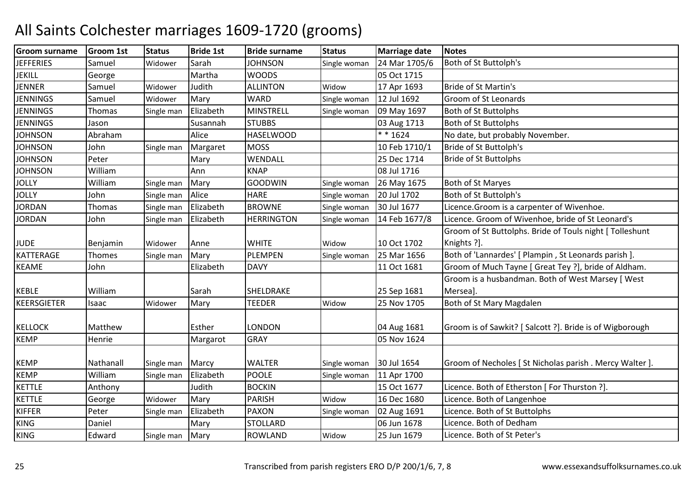| <b>Groom surname</b> | Groom 1st | <b>Status</b> | <b>Bride 1st</b> | <b>Bride surname</b> | <b>Status</b> | <b>Marriage date</b>       | <b>Notes</b>                                             |
|----------------------|-----------|---------------|------------------|----------------------|---------------|----------------------------|----------------------------------------------------------|
| <b>JEFFERIES</b>     | Samuel    | Widower       | Sarah            | <b>JOHNSON</b>       | Single woman  | 24 Mar 1705/6              | Both of St Buttolph's                                    |
| JEKILL               | George    |               | Martha           | <b>WOODS</b>         |               | 05 Oct 1715                |                                                          |
| <b>JENNER</b>        | Samuel    | Widower       | Judith           | <b>ALLINTON</b>      | Widow         | 17 Apr 1693                | Bride of St Martin's                                     |
| <b>JENNINGS</b>      | Samuel    | Widower       | Mary             | <b>WARD</b>          | Single woman  | 12 Jul 1692                | Groom of St Leonards                                     |
| <b>JENNINGS</b>      | Thomas    | Single man    | Elizabeth        | <b>MINSTRELL</b>     | Single woman  | 09 May 1697                | <b>Both of St Buttolphs</b>                              |
| <b>JENNINGS</b>      | Jason     |               | Susannah         | <b>STUBBS</b>        |               | 03 Aug 1713                | Both of St Buttolphs                                     |
| <b>JOHNSON</b>       | Abraham   |               | Alice            | <b>HASELWOOD</b>     |               | $* * 1624$                 | No date, but probably November.                          |
| <b>JOHNSON</b>       | John      | Single man    | Margaret         | <b>MOSS</b>          |               | 10 Feb 1710/1              | Bride of St Buttolph's                                   |
| <b>JOHNSON</b>       | Peter     |               | Mary             | WENDALL              |               | 25 Dec 1714                | <b>Bride of St Buttolphs</b>                             |
| <b>JOHNSON</b>       | William   |               | Ann              | <b>KNAP</b>          |               | 08 Jul 1716                |                                                          |
| <b>JOLLY</b>         | William   | Single man    | Mary             | <b>GOODWIN</b>       | Single woman  | 26 May 1675                | Both of St Maryes                                        |
| <b>JOLLY</b>         | John      | Single man    | Alice            | <b>HARE</b>          | Single woman  | 20 Jul 1702                | Both of St Buttolph's                                    |
| <b>JORDAN</b>        | Thomas    | Single man    | Elizabeth        | <b>BROWNE</b>        | Single woman  | 30 Jul 1677                | Licence. Groom is a carpenter of Wivenhoe.               |
| <b>JORDAN</b>        | John      | Single man    | Elizabeth        | <b>HERRINGTON</b>    | Single woman  | 14 Feb 1677/8              | Licence. Groom of Wivenhoe, bride of St Leonard's        |
|                      |           |               |                  |                      |               |                            | Groom of St Buttolphs. Bride of Touls night [ Tolleshunt |
| <b>JUDE</b>          | Benjamin  | Widower       | Anne             | <b>WHITE</b>         | Widow         | 10 Oct 1702                | Knights ?].                                              |
| KATTERAGE            | Thomes    | Single man    | Mary             | <b>PLEMPEN</b>       | Single woman  | 25 Mar 1656                | Both of 'Lannardes' [ Plampin, St Leonards parish ].     |
| <b>KEAME</b>         | John      |               | Elizabeth        | <b>DAVY</b>          |               | 11 Oct 1681                | Groom of Much Tayne [ Great Tey ?], bride of Aldham.     |
|                      |           |               |                  |                      |               |                            | Groom is a husbandman. Both of West Marsey [ West        |
| <b>KEBLE</b>         | William   |               | Sarah            | SHELDRAKE            |               | 25 Sep 1681                | Mersea].                                                 |
| KEERSGIETER          | Isaac     | Widower       | Mary             | <b>TEEDER</b>        | Widow         | 25 Nov 1705                | Both of St Mary Magdalen                                 |
|                      | Matthew   |               | Esther           | <b>LONDON</b>        |               |                            |                                                          |
| <b>KELLOCK</b>       |           |               |                  |                      |               | 04 Aug 1681<br>05 Nov 1624 | Groom is of Sawkit? [Salcott ?]. Bride is of Wigborough  |
| <b>KEMP</b>          | Henrie    |               | Margarot         | <b>GRAY</b>          |               |                            |                                                          |
| <b>KEMP</b>          | Nathanall | Single man    | Marcy            | <b>WALTER</b>        | Single woman  | 30 Jul 1654                | Groom of Necholes [ St Nicholas parish . Mercy Walter ]. |
| <b>KEMP</b>          | William   | Single man    | Elizabeth        | <b>POOLE</b>         | Single woman  | 11 Apr 1700                |                                                          |
| <b>KETTLE</b>        | Anthony   |               | Judith           | <b>BOCKIN</b>        |               | 15 Oct 1677                | Licence. Both of Etherston [ For Thurston ?].            |
| <b>KETTLE</b>        | George    | Widower       | Mary             | <b>PARISH</b>        | Widow         | 16 Dec 1680                | Licence. Both of Langenhoe                               |
| KIFFER               | Peter     | Single man    | Elizabeth        | <b>PAXON</b>         | Single woman  | 02 Aug 1691                | Licence. Both of St Buttolphs                            |
| <b>KING</b>          | Daniel    |               | Mary             | <b>STOLLARD</b>      |               | 06 Jun 1678                | Licence. Both of Dedham                                  |
| <b>KING</b>          | Edward    | Single man    | Mary             | <b>ROWLAND</b>       | Widow         | 25 Jun 1679                | Licence. Both of St Peter's                              |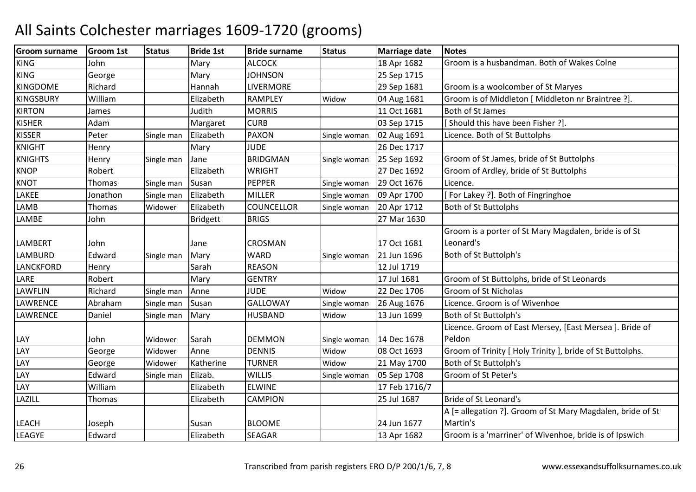| <b>Groom surname</b> | <b>Groom 1st</b> | <b>Status</b> | <b>Bride 1st</b> | <b>Bride surname</b> | <b>Status</b> | <b>Marriage date</b> | <b>Notes</b>                                               |
|----------------------|------------------|---------------|------------------|----------------------|---------------|----------------------|------------------------------------------------------------|
| <b>KING</b>          | John             |               | Mary             | <b>ALCOCK</b>        |               | 18 Apr 1682          | Groom is a husbandman. Both of Wakes Colne                 |
| <b>KING</b>          | George           |               | Mary             | <b>JOHNSON</b>       |               | 25 Sep 1715          |                                                            |
| <b>KINGDOME</b>      | Richard          |               | Hannah           | <b>LIVERMORE</b>     |               | 29 Sep 1681          | Groom is a woolcomber of St Maryes                         |
| <b>KINGSBURY</b>     | William          |               | Elizabeth        | <b>RAMPLEY</b>       | Widow         | 04 Aug 1681          | Groom is of Middleton [ Middleton nr Braintree ?].         |
| <b>KIRTON</b>        | James            |               | Judith           | <b>MORRIS</b>        |               | 11 Oct 1681          | Both of St James                                           |
| <b>KISHER</b>        | Adam             |               | Margaret         | <b>CURB</b>          |               | 03 Sep 1715          | Should this have been Fisher ?].                           |
| <b>KISSER</b>        | Peter            | Single man    | Elizabeth        | <b>PAXON</b>         | Single woman  | 02 Aug 1691          | Licence. Both of St Buttolphs                              |
| <b>KNIGHT</b>        | Henry            |               | Mary             | <b>JUDE</b>          |               | 26 Dec 1717          |                                                            |
| <b>KNIGHTS</b>       | Henry            | Single man    | Jane             | <b>BRIDGMAN</b>      | Single woman  | 25 Sep 1692          | Groom of St James, bride of St Buttolphs                   |
| <b>KNOP</b>          | Robert           |               | Elizabeth        | <b>WRIGHT</b>        |               | 27 Dec 1692          | Groom of Ardley, bride of St Buttolphs                     |
| <b>KNOT</b>          | <b>Thomas</b>    | Single man    | Susan            | <b>PEPPER</b>        | Single woman  | 29 Oct 1676          | Licence.                                                   |
| LAKEE                | Jonathon         | Single man    | Elizabeth        | <b>MILLER</b>        | Single woman  | 09 Apr 1700          | For Lakey ?]. Both of Fingringhoe                          |
| LAMB                 | Thomas           | Widower       | Elizabeth        | <b>COUNCELLOR</b>    | Single woman  | 20 Apr 1712          | <b>Both of St Buttolphs</b>                                |
| LAMBE                | John             |               | <b>Bridgett</b>  | <b>BRIGS</b>         |               | 27 Mar 1630          |                                                            |
|                      |                  |               |                  |                      |               |                      | Groom is a porter of St Mary Magdalen, bride is of St      |
| <b>LAMBERT</b>       | John             |               | Jane             | <b>CROSMAN</b>       |               | 17 Oct 1681          | Leonard's                                                  |
| <b>LAMBURD</b>       | Edward           | Single man    | Mary             | <b>WARD</b>          | Single woman  | 21 Jun 1696          | Both of St Buttolph's                                      |
| <b>LANCKFORD</b>     | Henry            |               | Sarah            | <b>REASON</b>        |               | 12 Jul 1719          |                                                            |
| LARE                 | Robert           |               | Mary             | <b>GENTRY</b>        |               | 17 Jul 1681          | Groom of St Buttolphs, bride of St Leonards                |
| LAWFLIN              | Richard          | Single man    | Anne             | <b>JUDE</b>          | Widow         | 22 Dec 1706          | Groom of St Nicholas                                       |
| LAWRENCE             | Abraham          | Single man    | Susan            | <b>GALLOWAY</b>      | Single woman  | 26 Aug 1676          | Licence. Groom is of Wivenhoe                              |
| LAWRENCE             | Daniel           | Single man    | Mary             | <b>HUSBAND</b>       | Widow         | 13 Jun 1699          | Both of St Buttolph's                                      |
|                      |                  |               |                  |                      |               |                      | Licence. Groom of East Mersey, [East Mersea ]. Bride of    |
| LAY                  | John             | Widower       | Sarah            | <b>DEMMON</b>        | Single woman  | 14 Dec 1678          | Peldon                                                     |
| LAY                  | George           | Widower       | Anne             | <b>DENNIS</b>        | Widow         | 08 Oct 1693          | Groom of Trinity [ Holy Trinity ], bride of St Buttolphs.  |
| LAY                  | George           | Widower       | Katherine        | <b>TURNER</b>        | Widow         | 21 May 1700          | Both of St Buttolph's                                      |
| LAY                  | Edward           | Single man    | Elizab.          | <b>WILLIS</b>        | Single woman  | 05 Sep 1708          | Groom of St Peter's                                        |
| LAY                  | William          |               | Elizabeth        | <b>ELWINE</b>        |               | 17 Feb 1716/7        |                                                            |
| LAZILL               | Thomas           |               | Elizabeth        | <b>CAMPION</b>       |               | 25 Jul 1687          | <b>Bride of St Leonard's</b>                               |
|                      |                  |               |                  |                      |               |                      | A [= allegation ?]. Groom of St Mary Magdalen, bride of St |
| <b>LEACH</b>         | Joseph           |               | Susan            | <b>BLOOME</b>        |               | 24 Jun 1677          | Martin's                                                   |
| LEAGYE               | Edward           |               | Elizabeth        | <b>SEAGAR</b>        |               | 13 Apr 1682          | Groom is a 'marriner' of Wivenhoe, bride is of Ipswich     |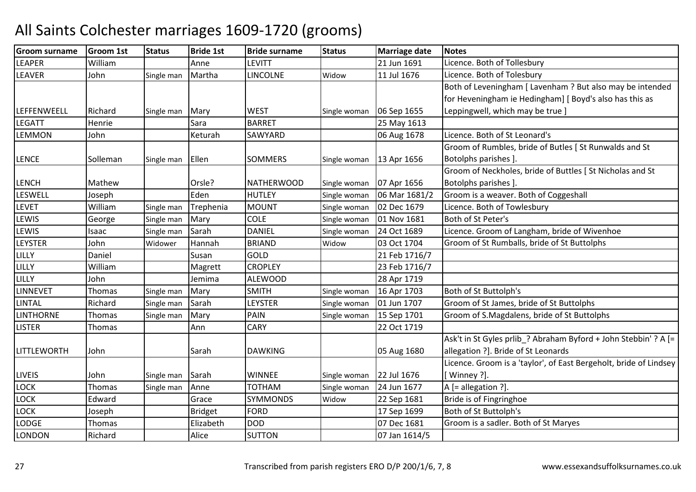#### Groom surnamee Groom 1st Status Bride 1st Bride surname Status Marriage date Notes **LEAPER** William<br>John Anne LEVITT 21 Jun 1691 Licence. Both of Tollesbury 21 Jun 1691 Licence. Both of Tollesbury |<br>| Single man | Martha | LINCOLNE | Widow | 11 Jul 1676 | Licence. Both of Tolesbury **LEAVER** R John Single man Martha LINCOLNE Widow Licence. Both of Tolesbury LEFFENWEELL RichardSingle man Mary WEST Single woman 06 Sep 1655<br>Sara BARRET 25 May 1613 Both of Leveningham [ Lavenham ? But also may be intended for Heveningham ie Hedingham] [ Boyd's also has this as Leppingwell, which may be true ]**LEGATT Henrie**  Sara BARRET 25 May 161306 Aug 1678 LEMMON John Keturah SAWYARD 06 Aug 1678 Licence. Both of St Leonard's LENCE Sollemann Single man Ellen SOMMERS Single woman 13 Apr 1656 Groom of Rumbles, bride of Butles [ St Runwalds and StBotolphs parishes ].LENCH Mathew Orsle? NATHERWOOD<br>LESWELL Joseph Eden HUTLEY Single woman 107 Apr 1656<br>Single woman 106 Mar 1681/2 Groom of Neckholes, bride of Buttles [ St Nicholas and St Botolphs parishes ]. LESWELL JosephEden HUTLEY Single woman 06 Mar 1681/2 Groom is a weaver. Both of Coggeshall<br>Single man Trephenia MOUNT Single woman 02 Dec 1679 Licence. Both of Towlesbury LEVET WilliamSingle man Trephenia MOUNT Single woman 02 Dec 1679 Licence. Both of Towlesbury<br>Single man Mary COLE Single woman 01 Nov 1681 Both of St Peter's LEWIS Georgee Single man Mary COLE Single woman 01 Nov 1681 Both of St Peter's LEWISIsaac Single man SarahDANIEL Single woman 24 Oct 1689 Licence. Groom of Langham, bride of Wivenhoe<br>BRIAND Widow 03 Oct 1704 Groom of St Rumballs, bride of St Buttolphs LEYSTERR John Widower Hannah BRIAND WidowGroom of St Rumballs, bride of St Buttolphs LILLYY Daniel Susan Susan GOLD<br>Magrett CROPLEY 21 Feb 1716/7<br>23 Feb 1716/7 LILLY Williamm Magrett CROPLEY 23 Feb 1716/7<br>All Discusses Contract CROPLEY 23 Feb 1716/7 LILLY John Jemima ALEWOOD28 Apr 1719<br>
Single woman 16 Apr 1703 LINNEVETThomas Single man Mary SMITH SMITH Single woman 16 Apr 1703 Both of St Buttolph's<br>LEYSTER Single woman 01 Jun 1707 Groom of St James, b LINTAL RichardRichard Single man Sarah LEYS<br>Thomas Single man Mary PAIN Single woman | 01 Jun 1707 | Groom of St James, bride of St Buttolphs<br>Single woman | 15 Sep 1701 | Groom of S.Magdalens, bride of St Buttol **LINTHORNE** Single man PAIN Single woman 15 Sep 1701 Groom of S.Magdalens, bride of St Buttolphs<br>CARY 22 Oct 1719 LISTERR Thomas | Ann CARY | 22 Oct 1719 LITTLEWORTH John | Sarah DAWKING | 05 Aug 1680 Ask't in St Gyles prlib ? Abraham Byford + John Stebbin' ? A [= allegation ?]. Bride of St Leonards Licence. Groom is a 'taylor', of East Bergeholt, bride of Lindsey LIVEIS JohnSingle man Sarah MINNEE Single woman 22 Jul 1676<br>Thomas Single man Anne TOTHAM Single woman 24 Jun 1677 [ Winney ?].LOCKSingle man Anne Single woman 24 Jun 1677  $A$  [= allegation ?].<br>Widow 22 Sep 1681 Bride is of Fingring LOCK EdwardSYMMONDS<br>FORD 22 Sep 1681 Bride is of Fingringhoe<br>17 Sep 1699 Both of St Buttolph's LOCK Joseph**Bridget**<br>Elizabeth 17 Sep 1699 Both of St Buttolph's<br>07 Dec 1681 Groom is a sadler. Bo LODGEThomas DOD<br>SUTTON 07 Dec 1681 Groom is a sadler. Both of St Maryes<br>07 Jan 1614/5 LONDONN Richard | Alice SUTTON | 07 Jan 1614/5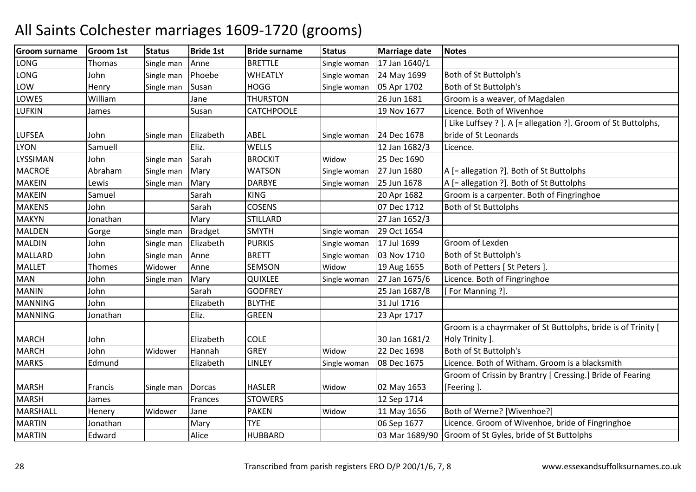| <b>Groom surname</b> | <b>Groom 1st</b> | <b>Status</b> | <b>Bride 1st</b> | <b>Bride surname</b> | <b>Status</b> | <b>Marriage date</b> | <b>Notes</b>                                                 |
|----------------------|------------------|---------------|------------------|----------------------|---------------|----------------------|--------------------------------------------------------------|
| LONG                 | Thomas           | Single man    | Anne             | <b>BRETTLE</b>       | Single woman  | 17 Jan 1640/1        |                                                              |
| LONG                 | John             | Single man    | Phoebe           | <b>WHEATLY</b>       | Single woman  | 24 May 1699          | Both of St Buttolph's                                        |
| LOW                  | Henry            | Single man    | Susan            | <b>HOGG</b>          | Single woman  | 05 Apr 1702          | Both of St Buttolph's                                        |
| LOWES                | William          |               | Jane             | <b>THURSTON</b>      |               | 26 Jun 1681          | Groom is a weaver, of Magdalen                               |
| <b>LUFKIN</b>        | James            |               | Susan            | <b>CATCHPOOLE</b>    |               | 19 Nov 1677          | Licence. Both of Wivenhoe                                    |
|                      |                  |               |                  |                      |               |                      | Like Luffsey ? ]. A [= allegation ?]. Groom of St Buttolphs, |
| <b>LUFSEA</b>        | John             | Single man    | Elizabeth        | <b>ABEL</b>          | Single woman  | 24 Dec 1678          | bride of St Leonards                                         |
| <b>LYON</b>          | Samuell          |               | Eliz.            | <b>WELLS</b>         |               | 12 Jan 1682/3        | Licence.                                                     |
| LYSSIMAN             | John             | Single man    | Sarah            | <b>BROCKIT</b>       | Widow         | 25 Dec 1690          |                                                              |
| <b>MACROE</b>        | Abraham          | Single man    | Mary             | <b>WATSON</b>        | Single woman  | 27 Jun 1680          | A [= allegation ?]. Both of St Buttolphs                     |
| <b>MAKEIN</b>        | Lewis            | Single man    | Mary             | <b>DARBYE</b>        | Single woman  | 25 Jun 1678          | A [= allegation ?]. Both of St Buttolphs                     |
| <b>MAKEIN</b>        | Samuel           |               | Sarah            | <b>KING</b>          |               | 20 Apr 1682          | Groom is a carpenter. Both of Fingringhoe                    |
| <b>MAKENS</b>        | John             |               | Sarah            | <b>COSENS</b>        |               | 07 Dec 1712          | <b>Both of St Buttolphs</b>                                  |
| <b>MAKYN</b>         | Jonathan         |               | Mary             | <b>STILLARD</b>      |               | 27 Jan 1652/3        |                                                              |
| <b>MALDEN</b>        | Gorge            | Single man    | <b>Bradget</b>   | <b>SMYTH</b>         | Single woman  | 29 Oct 1654          |                                                              |
| <b>MALDIN</b>        | John             | Single man    | Elizabeth        | <b>PURKIS</b>        | Single woman  | 17 Jul 1699          | Groom of Lexden                                              |
| <b>MALLARD</b>       | John             | Single man    | Anne             | <b>BRETT</b>         | Single woman  | 03 Nov 1710          | Both of St Buttolph's                                        |
| <b>MALLET</b>        | Thomes           | Widower       | Anne             | <b>SEMSON</b>        | Widow         | 19 Aug 1655          | Both of Petters   St Peters ].                               |
| <b>MAN</b>           | John             | Single man    | Mary             | <b>QUIXLEE</b>       | Single woman  | 27 Jan 1675/6        | Licence. Both of Fingringhoe                                 |
| <b>MANIN</b>         | John             |               | Sarah            | <b>GODFREY</b>       |               | 25 Jan 1687/8        | For Manning ?].                                              |
| <b>MANNING</b>       | John             |               | Elizabeth        | <b>BLYTHE</b>        |               | 31 Jul 1716          |                                                              |
| <b>MANNING</b>       | Jonathan         |               | Eliz.            | <b>GREEN</b>         |               | 23 Apr 1717          |                                                              |
|                      |                  |               |                  |                      |               |                      | Groom is a chayrmaker of St Buttolphs, bride is of Trinity [ |
| <b>MARCH</b>         | John             |               | Elizabeth        | <b>COLE</b>          |               | 30 Jan 1681/2        | Holy Trinity ].                                              |
| <b>MARCH</b>         | John             | Widower       | Hannah           | <b>GREY</b>          | Widow         | 22 Dec 1698          | Both of St Buttolph's                                        |
| <b>MARKS</b>         | Edmund           |               | Elizabeth        | LINLEY               | Single woman  | 08 Dec 1675          | Licence. Both of Witham. Groom is a blacksmith               |
|                      |                  |               |                  |                      |               |                      | Groom of Crissin by Brantry [ Cressing.] Bride of Fearing    |
| <b>MARSH</b>         | Francis          | Single man    | <b>Dorcas</b>    | <b>HASLER</b>        | Widow         | 02 May 1653          | [Feering].                                                   |
| <b>MARSH</b>         | James            |               | Frances          | <b>STOWERS</b>       |               | 12 Sep 1714          |                                                              |
| <b>MARSHALL</b>      | Henery           | Widower       | Jane             | <b>PAKEN</b>         | Widow         | 11 May 1656          | Both of Werne? [Wivenhoe?]                                   |
| <b>MARTIN</b>        | Jonathan         |               | Mary             | <b>TYE</b>           |               | 06 Sep 1677          | Licence. Groom of Wivenhoe, bride of Fingringhoe             |
| <b>MARTIN</b>        | Edward           |               | Alice            | <b>HUBBARD</b>       |               | 03 Mar 1689/90       | Groom of St Gyles, bride of St Buttolphs                     |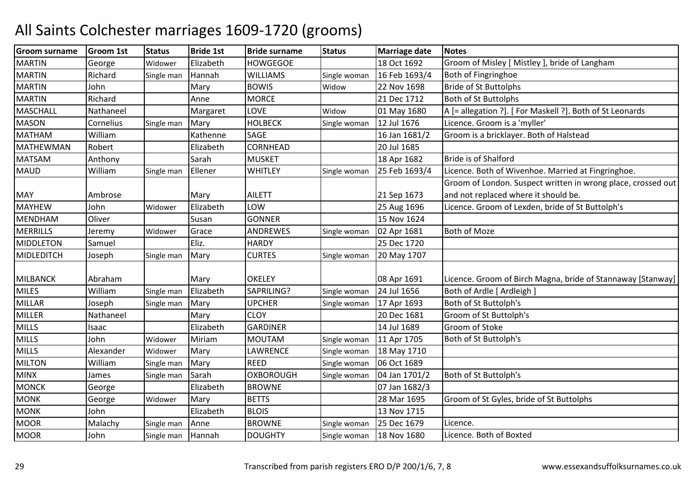| <b>Groom surname</b> | Groom 1st | <b>Status</b> | <b>Bride 1st</b> | <b>Bride surname</b> | <b>Status</b> | <b>Marriage date</b> | <b>Notes</b>                                                 |
|----------------------|-----------|---------------|------------------|----------------------|---------------|----------------------|--------------------------------------------------------------|
| <b>MARTIN</b>        | George    | Widower       | Elizabeth        | <b>HOWGEGOE</b>      |               | 18 Oct 1692          | Groom of Misley [ Mistley ], bride of Langham                |
| <b>MARTIN</b>        | Richard   | Single man    | Hannah           | <b>WILLIAMS</b>      | Single woman  | 16 Feb 1693/4        | Both of Fingringhoe                                          |
| <b>MARTIN</b>        | John      |               | Mary             | <b>BOWIS</b>         | Widow         | 22 Nov 1698          | <b>Bride of St Buttolphs</b>                                 |
| <b>MARTIN</b>        | Richard   |               | Anne             | <b>MORCE</b>         |               | 21 Dec 1712          | <b>Both of St Buttolphs</b>                                  |
| <b>MASCHALL</b>      | Nathaneel |               | Margaret         | LOVE                 | Widow         | 01 May 1680          | A [= allegation ?]. [ For Maskell ?]. Both of St Leonards    |
| <b>MASON</b>         | Cornelius | Single man    | Mary             | <b>HOLBECK</b>       | Single woman  | 12 Jul 1676          | Licence. Groom is a 'myller'                                 |
| <b>MATHAM</b>        | William   |               | Kathenne         | <b>SAGE</b>          |               | 16 Jan 1681/2        | Groom is a bricklayer. Both of Halstead                      |
| MATHEWMAN            | Robert    |               | Elizabeth        | <b>CORNHEAD</b>      |               | 20 Jul 1685          |                                                              |
| <b>MATSAM</b>        | Anthony   |               | Sarah            | <b>MUSKET</b>        |               | 18 Apr 1682          | Bride is of Shalford                                         |
| <b>MAUD</b>          | William   | Single man    | Ellener          | <b>WHITLEY</b>       | Single woman  | 25 Feb 1693/4        | Licence. Both of Wivenhoe. Married at Fingringhoe.           |
|                      |           |               |                  |                      |               |                      | Groom of London. Suspect written in wrong place, crossed out |
| <b>MAY</b>           | Ambrose   |               | Mary             | <b>AILETT</b>        |               | 21 Sep 1673          | and not replaced where it should be.                         |
| <b>MAYHEW</b>        | John      | Widower       | Elizabeth        | LOW                  |               | 25 Aug 1696          | Licence. Groom of Lexden, bride of St Buttolph's             |
| <b>MENDHAM</b>       | Oliver    |               | Susan            | <b>GONNER</b>        |               | 15 Nov 1624          |                                                              |
| <b>MERRILLS</b>      | Jeremy    | Widower       | Grace            | ANDREWES             | Single woman  | 02 Apr 1681          | <b>Both of Moze</b>                                          |
| <b>MIDDLETON</b>     | Samuel    |               | Eliz.            | <b>HARDY</b>         |               | 25 Dec 1720          |                                                              |
| MIDLEDITCH           | Joseph    | Single man    | Mary             | <b>CURTES</b>        | Single woman  | 20 May 1707          |                                                              |
|                      |           |               |                  |                      |               |                      |                                                              |
| <b>MILBANCK</b>      | Abraham   |               | Mary             | <b>OKELEY</b>        |               | 08 Apr 1691          | Licence. Groom of Birch Magna, bride of Stannaway [Stanway]  |
| <b>MILES</b>         | William   | Single man    | Elizabeth        | SAPRILING?           | Single woman  | 24 Jul 1656          | Both of Ardle [ Ardleigh ]                                   |
| <b>MILLAR</b>        | Joseph    | Single man    | Mary             | <b>UPCHER</b>        | Single woman  | 17 Apr 1693          | Both of St Buttolph's                                        |
| <b>MILLER</b>        | Nathaneel |               | Mary             | <b>CLOY</b>          |               | 20 Dec 1681          | Groom of St Buttolph's                                       |
| <b>MILLS</b>         | Isaac     |               | Elizabeth        | <b>GARDINER</b>      |               | 14 Jul 1689          | Groom of Stoke                                               |
| <b>MILLS</b>         | John      | Widower       | Miriam           | <b>MOUTAM</b>        | Single woman  | 11 Apr 1705          | Both of St Buttolph's                                        |
| <b>MILLS</b>         | Alexander | Widower       | Mary             | LAWRENCE             | Single woman  | 18 May 1710          |                                                              |
| <b>MILTON</b>        | William   | Single man    | Mary             | <b>REED</b>          | Single woman  | 06 Oct 1689          |                                                              |
| <b>MINX</b>          | James     | Single man    | Sarah            | <b>OXBOROUGH</b>     | Single woman  | 04 Jan 1701/2        | Both of St Buttolph's                                        |
| <b>MONCK</b>         | George    |               | Elizabeth        | <b>BROWNE</b>        |               | 07 Jan 1682/3        |                                                              |
| <b>MONK</b>          | George    | Widower       | Mary             | <b>BETTS</b>         |               | 28 Mar 1695          | Groom of St Gyles, bride of St Buttolphs                     |
| <b>MONK</b>          | John      |               | Elizabeth        | <b>BLOIS</b>         |               | 13 Nov 1715          |                                                              |
| <b>MOOR</b>          | Malachy   | Single man    | Anne             | <b>BROWNE</b>        | Single woman  | 25 Dec 1679          | Licence.                                                     |
| <b>MOOR</b>          | John      | Single man    | Hannah           | <b>DOUGHTY</b>       | Single woman  | 18 Nov 1680          | Licence. Both of Boxted                                      |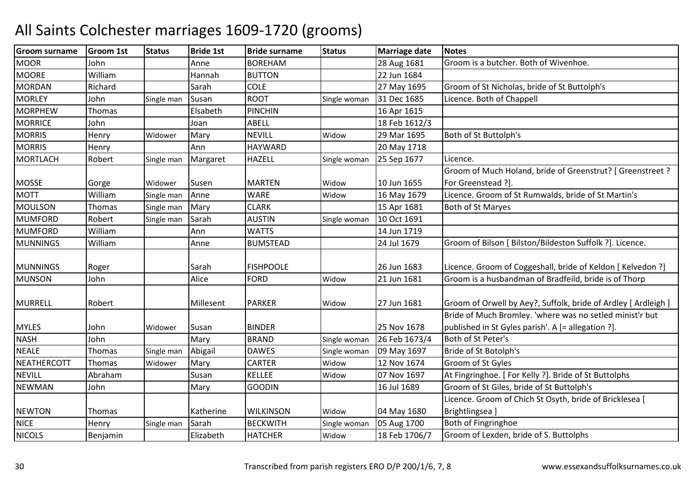| <b>Groom surname</b> | <b>Groom 1st</b> | <b>Status</b> | <b>Bride 1st</b> | <b>Bride surname</b> | <b>Status</b> | <b>Marriage date</b> | <b>Notes</b>                                                   |
|----------------------|------------------|---------------|------------------|----------------------|---------------|----------------------|----------------------------------------------------------------|
| <b>MOOR</b>          | John             |               | Anne             | <b>BOREHAM</b>       |               | 28 Aug 1681          | Groom is a butcher. Both of Wivenhoe.                          |
| <b>MOORE</b>         | William          |               | Hannah           | <b>BUTTON</b>        |               | 22 Jun 1684          |                                                                |
| <b>MORDAN</b>        | Richard          |               | Sarah            | <b>COLE</b>          |               | 27 May 1695          | Groom of St Nicholas, bride of St Buttolph's                   |
| <b>MORLEY</b>        | John             | Single man    | Susan            | <b>ROOT</b>          | Single woman  | 31 Dec 1685          | Licence. Both of Chappell                                      |
| <b>MORPHEW</b>       | <b>Thomas</b>    |               | Elsabeth         | <b>PINCHIN</b>       |               | 16 Apr 1615          |                                                                |
| <b>MORRICE</b>       | John             |               | Joan             | ABELL                |               | 18 Feb 1612/3        |                                                                |
| <b>MORRIS</b>        | Henry            | Widower       | Mary             | <b>NEVILL</b>        | Widow         | 29 Mar 1695          | Both of St Buttolph's                                          |
| <b>MORRIS</b>        | Henry            |               | Ann              | <b>HAYWARD</b>       |               | 20 May 1718          |                                                                |
| <b>MORTLACH</b>      | Robert           | Single man    | Margaret         | <b>HAZELL</b>        | Single woman  | 25 Sep 1677          | Licence.                                                       |
|                      |                  |               |                  |                      |               |                      | Groom of Much Holand, bride of Greenstrut? [ Greenstreet ?     |
| <b>MOSSE</b>         | Gorge            | Widower       | Susen            | <b>MARTEN</b>        | Widow         | 10 Jun 1655          | For Greenstead ?].                                             |
| <b>MOTT</b>          | William          | Single man    | Anne             | <b>WARE</b>          | Widow         | 16 May 1679          | Licence. Groom of St Rumwalds, bride of St Martin's            |
| <b>MOULSON</b>       | Thomas           | Single man    | Mary             | <b>CLARK</b>         |               | 15 Apr 1681          | Both of St Maryes                                              |
| <b>MUMFORD</b>       | Robert           | Single man    | Sarah            | <b>AUSTIN</b>        | Single woman  | 10 Oct 1691          |                                                                |
| <b>MUMFORD</b>       | William          |               | Ann              | <b>WATTS</b>         |               | 14 Jun 1719          |                                                                |
| <b>MUNNINGS</b>      | William          |               | Anne             | <b>BUMSTEAD</b>      |               | 24 Jul 1679          | Groom of Bilson [ Bilston/Bildeston Suffolk ?]. Licence.       |
|                      |                  |               |                  |                      |               |                      |                                                                |
| <b>MUNNINGS</b>      | Roger            |               | Sarah            | <b>FISHPOOLE</b>     |               | 26 Jun 1683          | Licence. Groom of Coggeshall, bride of Keldon [ Kelvedon ?]    |
| <b>MUNSON</b>        | John             |               | Alice            | <b>FORD</b>          | Widow         | 21 Jun 1681          | Groom is a husbandman of Bradfeild, bride is of Thorp          |
| <b>MURRELL</b>       | Robert           |               | Millesent        | <b>PARKER</b>        | Widow         | 27 Jun 1681          | Groom of Orwell by Aey?, Suffolk, bride of Ardley [ Ardleigh ] |
|                      |                  |               |                  |                      |               |                      | Bride of Much Bromley. 'where was no setled minist'r but       |
| <b>MYLES</b>         | John             | Widower       | Susan            | <b>BINDER</b>        |               | 25 Nov 1678          | published in St Gyles parish'. A [= allegation ?].             |
| <b>NASH</b>          | John             |               | Mary             | <b>BRAND</b>         | Single woman  | 26 Feb 1673/4        | Both of St Peter's                                             |
| <b>NEALE</b>         | Thomas           | Single man    | Abigail          | <b>DAWES</b>         | Single woman  | 09 May 1697          | Bride of St Botolph's                                          |
| <b>NEATHERCOTT</b>   | Thomas           | Widower       | Mary             | <b>CARTER</b>        | Widow         | 12 Nov 1674          | Groom of St Gyles                                              |
| <b>NEVILL</b>        | Abraham          |               | Susan            | <b>KELLEE</b>        | Widow         | 07 Nov 1697          | At Fingringhoe. [ For Kelly ?]. Bride of St Buttolphs          |
| <b>NEWMAN</b>        | John             |               | Mary             | <b>GOODIN</b>        |               | 16 Jul 1689          | Groom of St Giles, bride of St Buttolph's                      |
|                      |                  |               |                  |                      |               |                      | Licence. Groom of Chich St Osyth, bride of Bricklesea [        |
| <b>NEWTON</b>        | Thomas           |               | Katherine        | <b>WILKINSON</b>     | Widow         | 04 May 1680          | Brightlingsea]                                                 |
| <b>NICE</b>          | Henry            | Single man    | Sarah            | <b>BECKWITH</b>      | Single woman  | 05 Aug 1700          | Both of Fingringhoe                                            |
| <b>NICOLS</b>        | Benjamin         |               | Elizabeth        | <b>HATCHER</b>       | Widow         | 18 Feb 1706/7        | Groom of Lexden, bride of S. Buttolphs                         |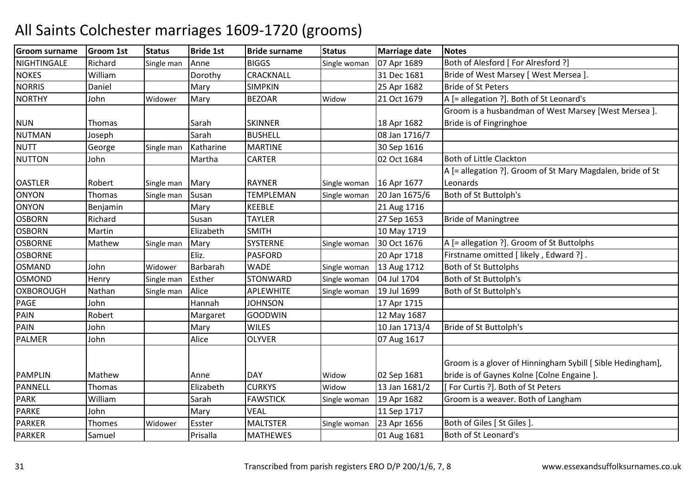| <b>Groom surname</b> | <b>Groom 1st</b> | <b>Status</b> | <b>Bride 1st</b> | <b>Bride surname</b> | <b>Status</b> | <b>Marriage date</b> | <b>Notes</b>                                               |
|----------------------|------------------|---------------|------------------|----------------------|---------------|----------------------|------------------------------------------------------------|
| NIGHTINGALE          | Richard          | Single man    | Anne             | <b>BIGGS</b>         | Single woman  | 07 Apr 1689          | Both of Alesford [ For Alresford ?]                        |
| <b>NOKES</b>         | William          |               | Dorothy          | CRACKNALL            |               | 31 Dec 1681          | Bride of West Marsey [ West Mersea ].                      |
| <b>NORRIS</b>        | Daniel           |               | Mary             | <b>SIMPKIN</b>       |               | 25 Apr 1682          | <b>Bride of St Peters</b>                                  |
| <b>NORTHY</b>        | John             | Widower       | Mary             | <b>BEZOAR</b>        | Widow         | 21 Oct 1679          | A [= allegation ?]. Both of St Leonard's                   |
|                      |                  |               |                  |                      |               |                      | Groom is a husbandman of West Marsey [West Mersea].        |
| <b>NUN</b>           | Thomas           |               | Sarah            | <b>SKINNER</b>       |               | 18 Apr 1682          | Bride is of Fingringhoe                                    |
| <b>NUTMAN</b>        | Joseph           |               | Sarah            | <b>BUSHELL</b>       |               | 08 Jan 1716/7        |                                                            |
| <b>NUTT</b>          | George           | Single man    | Katharine        | <b>MARTINE</b>       |               | 30 Sep 1616          |                                                            |
| <b>NUTTON</b>        | John             |               | Martha           | <b>CARTER</b>        |               | 02 Oct 1684          | Both of Little Clackton                                    |
|                      |                  |               |                  |                      |               |                      | A [= allegation ?]. Groom of St Mary Magdalen, bride of St |
| <b>OASTLER</b>       | Robert           | Single man    | Mary             | <b>RAYNER</b>        | Single woman  | 16 Apr 1677          | Leonards                                                   |
| <b>ONYON</b>         | Thomas           | Single man    | Susan            | TEMPLEMAN            | Single woman  | 20 Jan 1675/6        | Both of St Buttolph's                                      |
| <b>ONYON</b>         | Benjamin         |               | Mary             | <b>KEEBLE</b>        |               | 21 Aug 1716          |                                                            |
| <b>OSBORN</b>        | Richard          |               | Susan            | <b>TAYLER</b>        |               | 27 Sep 1653          | <b>Bride of Maningtree</b>                                 |
| <b>OSBORN</b>        | Martin           |               | Elizabeth        | <b>SMITH</b>         |               | 10 May 1719          |                                                            |
| <b>OSBORNE</b>       | Mathew           | Single man    | Mary             | <b>SYSTERNE</b>      | Single woman  | 30 Oct 1676          | A [= allegation ?]. Groom of St Buttolphs                  |
| <b>OSBORNE</b>       |                  |               | Eliz.            | <b>PASFORD</b>       |               | 20 Apr 1718          | Firstname omitted [ likely, Edward ?].                     |
| <b>OSMAND</b>        | John             | Widower       | Barbarah         | <b>WADE</b>          | Single woman  | 13 Aug 1712          | <b>Both of St Buttolphs</b>                                |
| <b>OSMOND</b>        | Henry            | Single man    | Esther           | <b>STONWARD</b>      | Single woman  | 04 Jul 1704          | Both of St Buttolph's                                      |
| <b>OXBOROUGH</b>     | Nathan           | Single man    | Alice            | <b>APLEWHITE</b>     | Single woman  | 19 Jul 1699          | Both of St Buttolph's                                      |
| PAGE                 | John             |               | Hannah           | <b>JOHNSON</b>       |               | 17 Apr 1715          |                                                            |
| <b>PAIN</b>          | Robert           |               | Margaret         | GOODWIN              |               | 12 May 1687          |                                                            |
| <b>PAIN</b>          | John             |               | Mary             | <b>WILES</b>         |               | 10 Jan 1713/4        | Bride of St Buttolph's                                     |
| <b>PALMER</b>        | John             |               | Alice            | <b>OLYVER</b>        |               | 07 Aug 1617          |                                                            |
|                      |                  |               |                  |                      |               |                      |                                                            |
|                      |                  |               |                  |                      |               |                      | Groom is a glover of Hinningham Sybill [Sible Hedingham],  |
| <b>PAMPLIN</b>       | Mathew           |               | Anne             | <b>DAY</b>           | Widow         | 02 Sep 1681          | bride is of Gaynes Kolne [Colne Engaine ].                 |
| <b>PANNELL</b>       | Thomas           |               | Elizabeth        | <b>CURKYS</b>        | Widow         | 13 Jan 1681/2        | [For Curtis ?]. Both of St Peters                          |
| <b>PARK</b>          | William          |               | Sarah            | <b>FAWSTICK</b>      | Single woman  | 19 Apr 1682          | Groom is a weaver. Both of Langham                         |
| <b>PARKE</b>         | John             |               | Mary             | <b>VEAL</b>          |               | 11 Sep 1717          |                                                            |
| <b>PARKER</b>        | Thomes           | Widower       | Esster           | <b>MALTSTER</b>      | Single woman  | 23 Apr 1656          | Both of Giles [ St Giles ].                                |
| <b>PARKER</b>        | Samuel           |               | Prisalla         | <b>MATHEWES</b>      |               | 01 Aug 1681          | Both of St Leonard's                                       |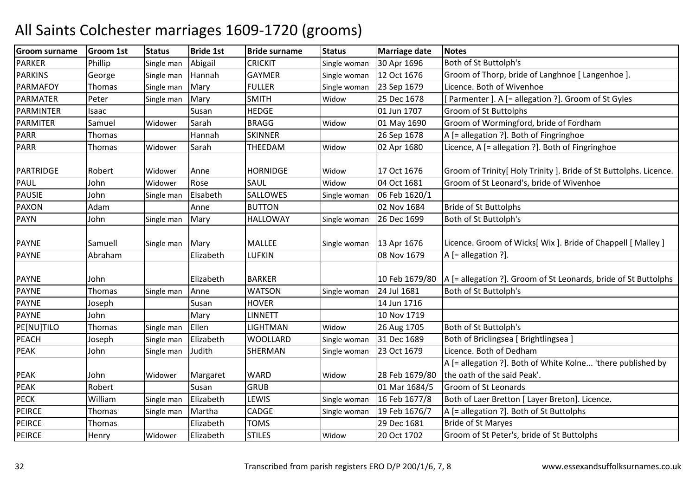| <b>Groom surname</b> | <b>Groom 1st</b> | <b>Status</b> | <b>Bride 1st</b> | <b>Bride surname</b> | <b>Status</b> | <b>Marriage date</b> | <b>Notes</b>                                                       |
|----------------------|------------------|---------------|------------------|----------------------|---------------|----------------------|--------------------------------------------------------------------|
| <b>PARKER</b>        | Phillip          | Single man    | Abigail          | <b>CRICKIT</b>       | Single woman  | 30 Apr 1696          | Both of St Buttolph's                                              |
| <b>PARKINS</b>       | George           | Single man    | Hannah           | <b>GAYMER</b>        | Single woman  | 12 Oct 1676          | Groom of Thorp, bride of Langhnoe [ Langenhoe ]                    |
| <b>PARMAFOY</b>      | Thomas           | Single man    | Mary             | <b>FULLER</b>        | Single woman  | 23 Sep 1679          | Licence. Both of Wivenhoe                                          |
| <b>PARMATER</b>      | Peter            | Single man    | Mary             | <b>SMITH</b>         | Widow         | 25 Dec 1678          | Parmenter ]. A [= allegation ?]. Groom of St Gyles                 |
| <b>PARMINTER</b>     | Isaac            |               | Susan            | <b>HEDGE</b>         |               | 01 Jun 1707          | Groom of St Buttolphs                                              |
| PARMITER             | Samuel           | Widower       | Sarah            | <b>BRAGG</b>         | Widow         | 01 May 1690          | Groom of Wormingford, bride of Fordham                             |
| <b>PARR</b>          | Thomas           |               | Hannah           | <b>SKINNER</b>       |               | 26 Sep 1678          | A [= allegation ?]. Both of Fingringhoe                            |
| <b>PARR</b>          | Thomas           | Widower       | Sarah            | <b>THEEDAM</b>       | Widow         | 02 Apr 1680          | Licence, A [= allegation ?]. Both of Fingringhoe                   |
|                      |                  |               |                  |                      |               |                      |                                                                    |
| PARTRIDGE            | Robert           | Widower       | Anne             | <b>HORNIDGE</b>      | Widow         | 17 Oct 1676          | Groom of Trinity [ Holy Trinity ]. Bride of St Buttolphs. Licence. |
| <b>PAUL</b>          | John             | Widower       | Rose             | SAUL                 | Widow         | 04 Oct 1681          | Groom of St Leonard's, bride of Wivenhoe                           |
| <b>PAUSIE</b>        | John             | Single man    | Elsabeth         | SALLOWES             | Single woman  | 06 Feb 1620/1        |                                                                    |
| <b>PAXON</b>         | Adam             |               | Anne             | <b>BUTTON</b>        |               | 02 Nov 1684          | <b>Bride of St Buttolphs</b>                                       |
| <b>PAYN</b>          | John             | Single man    | Mary             | <b>HALLOWAY</b>      | Single woman  | 26 Dec 1699          | Both of St Buttolph's                                              |
|                      |                  |               |                  |                      |               |                      |                                                                    |
| <b>PAYNE</b>         | Samuell          | Single man    | Mary             | <b>MALLEE</b>        | Single woman  | 13 Apr 1676          | Licence. Groom of Wicks[ Wix ]. Bride of Chappell [ Malley ]       |
| <b>PAYNE</b>         | Abraham          |               | Elizabeth        | LUFKIN               |               | 08 Nov 1679          | $A$ [= allegation ?].                                              |
| <b>PAYNE</b>         | John             |               | Elizabeth        | <b>BARKER</b>        |               | 10 Feb 1679/80       | A [= allegation ?]. Groom of St Leonards, bride of St Buttolphs    |
| <b>PAYNE</b>         | Thomas           |               | Anne             | <b>WATSON</b>        |               | 24 Jul 1681          | Both of St Buttolph's                                              |
| <b>PAYNE</b>         | Joseph           | Single man    | Susan            | <b>HOVER</b>         | Single woman  | 14 Jun 1716          |                                                                    |
| <b>PAYNE</b>         | John             |               | Mary             | <b>LINNETT</b>       |               | 10 Nov 1719          |                                                                    |
| PE[NU]TILO           | Thomas           | Single man    | Ellen            | LIGHTMAN             | Widow         | 26 Aug 1705          | Both of St Buttolph's                                              |
| <b>PEACH</b>         | Joseph           | Single man    | Elizabeth        | <b>WOOLLARD</b>      | Single woman  | 31 Dec 1689          | Both of Briclingsea [ Brightlingsea ]                              |
| <b>PEAK</b>          | John             | Single man    | Judith           | SHERMAN              | Single woman  | 23 Oct 1679          | Licence. Both of Dedham                                            |
|                      |                  |               |                  |                      |               |                      | A [= allegation ?]. Both of White Kolne 'there published by        |
| <b>PEAK</b>          | John             | Widower       | Margaret         | <b>WARD</b>          | Widow         | 28 Feb 1679/80       | the oath of the said Peak'.                                        |
| PEAK                 | Robert           |               | Susan            | <b>GRUB</b>          |               | 01 Mar 1684/5        | Groom of St Leonards                                               |
| <b>PECK</b>          | William          | Single man    | Elizabeth        | LEWIS                | Single woman  | 16 Feb 1677/8        | Both of Laer Bretton [ Layer Breton]. Licence.                     |
| PEIRCE               | <b>Thomas</b>    | Single man    | Martha           | CADGE                | Single woman  | 19 Feb 1676/7        | A [= allegation ?]. Both of St Buttolphs                           |
| <b>PEIRCE</b>        | <b>Thomas</b>    |               | Elizabeth        | <b>TOMS</b>          |               | 29 Dec 1681          | <b>Bride of St Maryes</b>                                          |
| <b>PEIRCE</b>        | Henry            | Widower       | Elizabeth        | <b>STILES</b>        | Widow         | 20 Oct 1702          | Groom of St Peter's, bride of St Buttolphs                         |
|                      |                  |               |                  |                      |               |                      |                                                                    |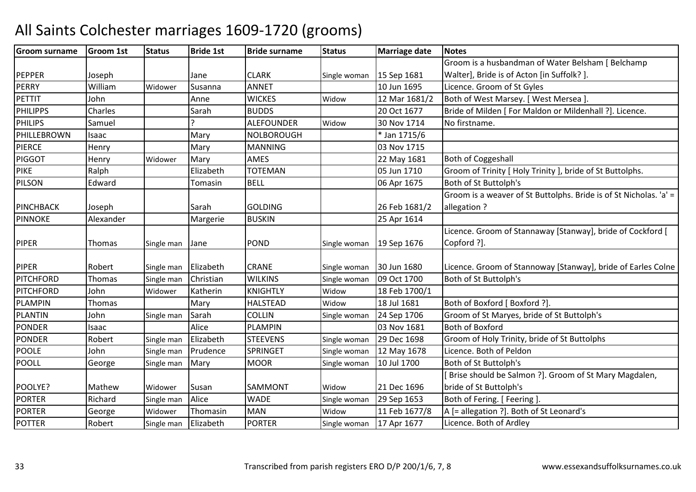#### Groom surnamee Groom 1st Status Bride 1st Bride surname Status Marriage date Notes PEPPER Joseph Jane CLARK CLARK Single woman 15 Sep 1681<br>ANNET 10 Jun 1695 Groom is a husbandman of Water Belsham [ Belchamp Walter], Bride is of Acton [in Suffolk? ]. **PFRRY**  WilliamWidower Susanna ANNET | 10 Jun 1695 Licence. Groom of St Gyles<br>Anne WICKES Widow 12 Mar 1681/2 Both of West Marsey. [We PETTIT Johnn | Anne | WICKES | Widow 12 Mar 1681/2 Both of West Marsey. [West Mersea ].<br>20 Oct 1677 Bride of Milden [For Maldon or Milder PHILIPPSS Charles | Sarah Sarah BUDDS 20 Oct 1677 Bride of Milden [ For Maldon or Mildenhall ?]. Licence.<br>
20 Oct 1677 Bride of Milden [ For Maldon or Mildenhall ?]. Licence. PHILIPS**Samuel**  ALEFOUNDERALEFOUNDER Widow<br>NOLBOROUGH 30 Nov 1714 No firstname.<br>\* Jan 1715/6 PHILLEBROWNN Isaac Mary NOLBOROUGH \* Jan 1715/6 PIERCEE Henry Mary Mary MANNING MANNING 103 Nov 1715<br>AMES 22 May 1681 **PIGGOT** T Henry Widower Mary AMES 122 May 1681 Both of Coggeshall PIKERalph<br>Edward Elizabeth TOTEMAN<br>Tomasin BELL 05 Jun 1710 Groom of Trinity [ Holy Trinity ], bride of St Buttolphs.<br>06 Apr 1675 Both of St Buttolph's PILSONN Edward Tomasin BELL 06 Apr 1675 Both of St Buttolph's PINCHBACK Joseph Sarah GOLDING 26 Feb 1681/2 Groom is a weaver of St Buttolphs. Bride is of St Nicholas. 'a' = allegation ? **PINNOKE** Alexander | Margerie BUSKIN 25 Apr 1614 PIPER Thomas Single man Jane POND POND Single woman 19 Sep 1676 Licence. Groom of Stannaway [Stanway], bride of Cockford [ Copford ?]. PIPER Robert Single man Elizabeth CRANE Single woman 30 Jun 1680 30 Jun 1680 Licence. Groom of Stannoway [Stanway], bride of Earles Colne<br>09 Oct 1700 Both of St Buttolph's **PITCHFORD** D Thomas Single man Christian WILKINS Single woman 09 Oct 1700 Both of St Buttolph's **PITCHFORD** D John Widower Katherin KNIGHTLY Widow Widow 18 Feb 1700/1<br>Widow 18 Jul 1681 PLAMPINThomas Mary HALSTEAD Widow 18 Jul 1681 Both of Boxford [ Boxford ?].<br>John Single man Sarah COLLIN Single woman 24 Sep 1706 Groom of St Maryes, bride of PLANTINJohn Single man Sarah COLLIN Single woman 24 Sep 1706 Groom of St Maryes, bride of St Buttolph's John Single woman 24 Sep 1706 Groom of St Maryes, bride of St Buttolph's PONDERR Isaac | Alice PLAMPIN PLAMPIN 103 Nov 1681 Both of Boxford<br>STEEVENS Single woman 29 Dec 1698 Groom of Holy T PONDERRobert Single man Elizabeth STEEVENS Single woman 29 Dec 1698 Groom of Holy Trinity, bride of St Buttolphs John<br>John Single man Prudence SPRINGET Single woman 12 May 1678 Licence. Both of Peldon POOLE JohnLicence. Both of Peldon POOLL GeorgeSingle man Mary MOOR Single woman | 10 Jul 1700 | Both of St Buttolph's POOLYE? Mathew<br>PORTER Richard Widower Susan SAMMONT Widow 21 Dec 1696 [ Brise should be Salmon ?]. Groom of St Mary Magdalen, bride of St Buttolph'sPORTERRichard Single man Alice MADE Single woman 29 Sep 1653 Both of Fering. [ Feering ]<br>George Widower Thomasin MAN Widow 11 Feb 1677/8 A [= allegation ?]. Both of PORTERR George Widower Thomasin MAN MAN Widow 11 Feb 1677/8 A [= allegation ?]. Both of St Leonard's<br>PORTER Single woman 17 Apr 1677 Licence. Both of Ardley POTTERRobert Single man Elizabeth PORTER Single woman 17 Apr 1677 Licence. Both of Ardley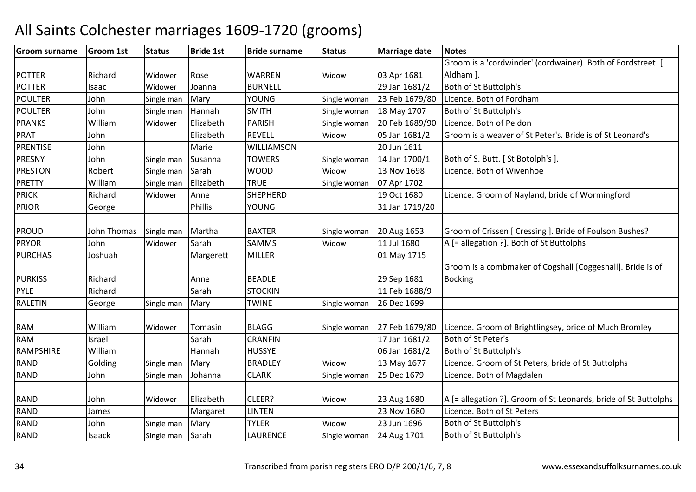#### Groom surnamee Groom 1st Status Bride 1st Bride surname Status Marriage date Notes POTTER Richard Widower Rose WARREN<br>Widower Joanna BURNELL Widow 03 Apr 1681<br>29 Jan 1681/2 Groom is a 'cordwinder' (cordwainer). Both of Fordstreet. [ Aldham ].POTTERR 1583 | Isaac Widower Joanna BURNELL | 29 Jan 1681/2 Both of St Buttolph's POULTERJohn Single man Mary YOUNG<br>John Single man Hannah SMITH Single woman 23 Feb 1679/80 Licence. Both of Fordham<br>Single woman 18 May 1707 Both of St Buttolph's POULTERJohn Single man Hannah SMITH<br>William Widower Elizabeth PARISH Single woman 18 May 1707 Both of St Buttolph's<br>Single woman 20 Feb 1689/90 Licence. Both of Peldon PRANKS Williamm Widower Elizabeth PARISH Single woman 20 Feb 1689/90 Licence. Both of Peldon<br>And Single Widower Elizabeth Single Widowell Single Woman 20 Feb 1689/90 Licence. Both of Peldon PRAT John Elizabeth REVELL Widow 05 Jan 1681/2 Groom is a weaver of St Peter's. Bride is of St Leonard's PRENTISE JohnMarie WILLIAMSON<br>Susanna TOWERS 20 Jun 1611<br>Single woman 14 Jan 1700/1 PRESNY JohnSingle man Susanna TOWERS Single woman 14 Jan 1700/1 Both of S. Butt. [St Botolph's ].<br>Single man Sarah WOOD Widow 13 Nov 1698 Licence. Both of Wivenhoe PRESTONRobert Single man Sarah MOOD Widow 13 Nov 1698 Licence. Both of Wivenhoe Nilliam Single man Elizabeth TRUE Single woman 07 Apr 1702 PRETTY Williamm Single man Elizabeth TRUE Single woman 07 Apr 1702 PRICKRichard<br>George Widower Anne SHEPHERD<br>Phillis YOUNG 19 Oct 1680 Licence. Groom of Nayland, bride of Wormingford PRIORR George Phillis YOUNG 31 Jan 1719/20 PROUD John Thomas Single man Martha BAXTER<br>PRYOR John Widower Sarah SAMMS Single woman 20 Aug 1653 Groom of Crissen [ Cressing ]. Bride of Foulson Bushes?<br>Widow 11 Jul 1680 A [= allegation ?]. Both of St Buttolphs PRYORR John Widower Sarah SAMMS Widow  $A$  [= allegation ?]. Both of St Buttolphs PURCHAS JoshuahMargerett | MILLER 01 May 1715 PURKISS Richard | Anne BEADLE | 29 Sep 1681 N 11 Feb 1688/9 Groom is a combmaker of Cogshall [Coggeshall]. Bride is of BockingPYLE RichardSarah ISTOCKIN RALETINN George Single man Mary TWINE Single woman 26 Dec 1699 RAM William<br>RAM Israel Widower Tomasin BLAGG Single woman 27 Feb 1679/80 Licence. Groom of Brightlingsey, bride of Much Bromley Sarah CRANFIN 17 Jan 1681/2 Both of St Peter's RAMM Israel Sarah CRANFIN 17 Jan 1681/2 Both of St Peter's<br>Massius Williams Hotel Development (UNISONS) Number of St Peter's RAMPSHIRE William Hannah HUSSYE 06 Jan 1681/2 Both of St Buttolph's RANDD Golding Single man Mary BRADLEY Widow Widow 13 May 1677 Licence. Groom of St Peters, bride of St Buttolphs<br>Single woman 25 Dec 1679 Licence. Both of Magdalen RAND John Single man Johanna CLARK Single woman 25 Dec 1679 Licence. Both of Magdalen RAND John n Widower Elizabeth CLEER? Widow Widow 23 Aug 1680 A [= allegation ?]. Groom of St Leonards, bride of St Buttolphs<br>23 Nov 1680 Licence. Both of St Peters RANDD James Margaret LINTEN LINTEN 23 Nov 1680 Licence. Both of St Peters<br>
TYLER Widow 23 Jun 1696 Both of St Buttolph's RANDD John Single man Mary TYLER Widow Widow 23 Jun 1696 Both of St Buttolph's<br>Single woman 24 Aug 1701 Both of St Buttolph's RANDD 1583 and Single man Sarah 1 | LAURENCE Single woman 24 Aug 1701 Both of St Buttolph's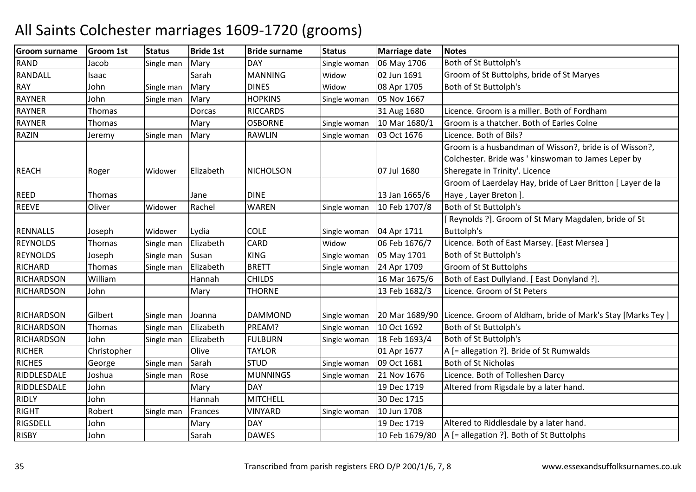| <b>Groom surname</b> | <b>Groom 1st</b> | <b>Status</b> | <b>Bride 1st</b> | <b>Bride surname</b> | <b>Status</b> | <b>Marriage date</b> | <b>Notes</b>                                                |
|----------------------|------------------|---------------|------------------|----------------------|---------------|----------------------|-------------------------------------------------------------|
| <b>RAND</b>          | Jacob            | Single man    | Mary             | <b>DAY</b>           | Single woman  | 06 May 1706          | Both of St Buttolph's                                       |
| <b>RANDALL</b>       | Isaac            |               | Sarah            | <b>MANNING</b>       | Widow         | 02 Jun 1691          | Groom of St Buttolphs, bride of St Maryes                   |
| <b>RAY</b>           | John             | Single man    | Mary             | <b>DINES</b>         | Widow         | 08 Apr 1705          | Both of St Buttolph's                                       |
| <b>RAYNER</b>        | John             | Single man    | Mary             | <b>HOPKINS</b>       | Single woman  | 05 Nov 1667          |                                                             |
| <b>RAYNER</b>        | Thomas           |               | <b>Dorcas</b>    | <b>RICCARDS</b>      |               | 31 Aug 1680          | Licence. Groom is a miller. Both of Fordham                 |
| <b>RAYNER</b>        | Thomas           |               | Mary             | <b>OSBORNE</b>       | Single woman  | 10 Mar 1680/1        | Groom is a thatcher. Both of Earles Colne                   |
| <b>RAZIN</b>         | Jeremy           | Single man    | Mary             | <b>RAWLIN</b>        | Single woman  | 03 Oct 1676          | Licence. Both of Bils?                                      |
|                      |                  |               |                  |                      |               |                      | Groom is a husbandman of Wisson?, bride is of Wisson?,      |
|                      |                  |               |                  |                      |               |                      | Colchester. Bride was ' kinswoman to James Leper by         |
| <b>REACH</b>         | Roger            | Widower       | Elizabeth        | <b>NICHOLSON</b>     |               | 07 Jul 1680          | Sheregate in Trinity'. Licence                              |
|                      |                  |               |                  |                      |               |                      | Groom of Laerdelay Hay, bride of Laer Britton [ Layer de la |
| <b>REED</b>          | Thomas           |               | Jane             | <b>DINE</b>          |               | 13 Jan 1665/6        | Haye, Layer Breton ].                                       |
| <b>REEVE</b>         | Oliver           | Widower       | Rachel           | <b>WAREN</b>         | Single woman  | 10 Feb 1707/8        | Both of St Buttolph's                                       |
|                      |                  |               |                  |                      |               |                      | Reynolds ?]. Groom of St Mary Magdalen, bride of St         |
| <b>RENNALLS</b>      | Joseph           | Widower       | Lydia            | <b>COLE</b>          | Single woman  | 04 Apr 1711          | <b>Buttolph's</b>                                           |
| <b>REYNOLDS</b>      | Thomas           | Single man    | Elizabeth        | CARD                 | Widow         | 06 Feb 1676/7        | Licence. Both of East Marsey. [East Mersea]                 |
| <b>REYNOLDS</b>      | Joseph           | Single man    | Susan            | <b>KING</b>          | Single woman  | 05 May 1701          | Both of St Buttolph's                                       |
| <b>RICHARD</b>       | Thomas           | Single man    | Elizabeth        | <b>BRETT</b>         | Single woman  | 24 Apr 1709          | <b>Groom of St Buttolphs</b>                                |
| <b>RICHARDSON</b>    | William          |               | Hannah           | <b>CHILDS</b>        |               | 16 Mar 1675/6        | Both of East Dullyland. [ East Donyland ?].                 |
| <b>RICHARDSON</b>    | John             |               | Mary             | <b>THORNE</b>        |               | 13 Feb 1682/3        | Licence. Groom of St Peters                                 |
|                      |                  |               |                  |                      |               |                      |                                                             |
| <b>RICHARDSON</b>    | Gilbert          | Single man    | Joanna           | <b>DAMMOND</b>       | Single woman  | 20 Mar 1689/90       | Licence. Groom of Aldham, bride of Mark's Stay [Marks Tey]  |
| <b>RICHARDSON</b>    | <b>Thomas</b>    | Single man    | Elizabeth        | PREAM?               | Single woman  | 10 Oct 1692          | Both of St Buttolph's                                       |
| <b>RICHARDSON</b>    | John             | Single man    | Elizabeth        | <b>FULBURN</b>       | Single woman  | 18 Feb 1693/4        | Both of St Buttolph's                                       |
| <b>RICHER</b>        | Christopher      |               | Olive            | <b>TAYLOR</b>        |               | 01 Apr 1677          | A [= allegation ?]. Bride of St Rumwalds                    |
| <b>RICHES</b>        | George           | Single man    | Sarah            | <b>STUD</b>          | Single woman  | 09 Oct 1681          | <b>Both of St Nicholas</b>                                  |
| RIDDLESDALE          | Joshua           | Single man    | Rose             | <b>MUNNINGS</b>      | Single woman  | 21 Nov 1676          | Licence. Both of Tolleshen Darcy                            |
| RIDDLESDALE          | John             |               | Mary             | <b>DAY</b>           |               | 19 Dec 1719          | Altered from Rigsdale by a later hand.                      |
| <b>RIDLY</b>         | John             |               | Hannah           | <b>MITCHELL</b>      |               | 30 Dec 1715          |                                                             |
| <b>RIGHT</b>         | Robert           | Single man    | Frances          | <b>VINYARD</b>       | Single woman  | 10 Jun 1708          |                                                             |
| <b>RIGSDELL</b>      | John             |               | Mary             | <b>DAY</b>           |               | 19 Dec 1719          | Altered to Riddlesdale by a later hand.                     |
| <b>RISBY</b>         | John             |               | Sarah            | <b>DAWES</b>         |               | 10 Feb 1679/80       | A [= allegation ?]. Both of St Buttolphs                    |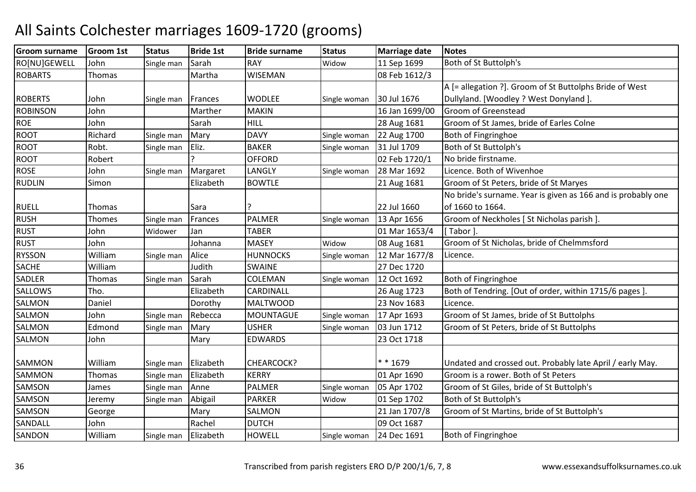| Groom surname   | <b>Groom 1st</b> | <b>Status</b> | <b>Bride 1st</b> | <b>Bride surname</b> | <b>Status</b> | <b>Marriage date</b> | <b>Notes</b>                                                 |
|-----------------|------------------|---------------|------------------|----------------------|---------------|----------------------|--------------------------------------------------------------|
| RO[NU]GEWELL    | John             | Single man    | Sarah            | <b>RAY</b>           | Widow         | 11 Sep 1699          | Both of St Buttolph's                                        |
| <b>ROBARTS</b>  | Thomas           |               | Martha           | <b>WISEMAN</b>       |               | 08 Feb 1612/3        |                                                              |
|                 |                  |               |                  |                      |               |                      | A [= allegation ?]. Groom of St Buttolphs Bride of West      |
| <b>ROBERTS</b>  | John             | Single man    | Frances          | <b>WODLEE</b>        | Single woman  | 30 Jul 1676          | Dullyland. [Woodley ? West Donyland ].                       |
| <b>ROBINSON</b> | John             |               | Marther          | <b>MAKIN</b>         |               | 16 Jan 1699/00       | Groom of Greenstead                                          |
| <b>ROE</b>      | John             |               | Sarah            | <b>HILL</b>          |               | 28 Aug 1681          | Groom of St James, bride of Earles Colne                     |
| <b>ROOT</b>     | Richard          | Single man    | Mary             | <b>DAVY</b>          | Single woman  | 22 Aug 1700          | Both of Fingringhoe                                          |
| <b>ROOT</b>     | Robt.            | Single man    | Eliz.            | <b>BAKER</b>         | Single woman  | 31 Jul 1709          | Both of St Buttolph's                                        |
| <b>ROOT</b>     | Robert           |               |                  | <b>OFFORD</b>        |               | 02 Feb 1720/1        | No bride firstname.                                          |
| <b>ROSE</b>     | John             | Single man    | Margaret         | LANGLY               | Single woman  | 28 Mar 1692          | Licence. Both of Wivenhoe                                    |
| <b>RUDLIN</b>   | Simon            |               | Elizabeth        | <b>BOWTLE</b>        |               | 21 Aug 1681          | Groom of St Peters, bride of St Maryes                       |
|                 |                  |               |                  |                      |               |                      | No bride's surname. Year is given as 166 and is probably one |
| <b>RUELL</b>    | Thomas           |               | Sara             |                      |               | 22 Jul 1660          | of 1660 to 1664.                                             |
| <b>RUSH</b>     | Thomes           | Single man    | Frances          | <b>PALMER</b>        | Single woman  | 13 Apr 1656          | Groom of Neckholes [ St Nicholas parish ]                    |
| <b>RUST</b>     | John             | Widower       | Jan              | <b>TABER</b>         |               | 01 Mar 1653/4        | [Tabor].                                                     |
| <b>RUST</b>     | John             |               | Johanna          | <b>MASEY</b>         | Widow         | 08 Aug 1681          | Groom of St Nicholas, bride of Chelmmsford                   |
| <b>RYSSON</b>   | William          | Single man    | Alice            | <b>HUNNOCKS</b>      | Single woman  | 12 Mar 1677/8        | Licence.                                                     |
| <b>SACHE</b>    | William          |               | Judith           | <b>SWAINE</b>        |               | 27 Dec 1720          |                                                              |
| SADLER          | <b>Thomas</b>    | Single man    | Sarah            | COLEMAN              | Single woman  | 12 Oct 1692          | Both of Fingringhoe                                          |
| SALLOWS         | Tho.             |               | Elizabeth        | CARDINALL            |               | 26 Aug 1723          | Both of Tendring. [Out of order, within 1715/6 pages].       |
| SALMON          | Daniel           |               | Dorothy          | <b>MALTWOOD</b>      |               | 23 Nov 1683          | Licence.                                                     |
| SALMON          | John             | Single man    | Rebecca          | <b>MOUNTAGUE</b>     | Single woman  | 17 Apr 1693          | Groom of St James, bride of St Buttolphs                     |
| SALMON          | Edmond           | Single man    | Mary             | <b>USHER</b>         | Single woman  | 03 Jun 1712          | Groom of St Peters, bride of St Buttolphs                    |
| SALMON          | John             |               | Mary             | <b>EDWARDS</b>       |               | 23 Oct 1718          |                                                              |
|                 |                  |               |                  |                      |               |                      |                                                              |
| SAMMON          | William          | Single man    | Elizabeth        | CHEARCOCK?           |               | * * 1679             | Undated and crossed out. Probably late April / early May.    |
| SAMMON          | <b>Thomas</b>    | Single man    | Elizabeth        | <b>KERRY</b>         |               | 01 Apr 1690          | Groom is a rower. Both of St Peters                          |
| SAMSON          | James            | Single man    | Anne             | <b>PALMER</b>        | Single woman  | 05 Apr 1702          | Groom of St Giles, bride of St Buttolph's                    |
| SAMSON          | Jeremy           | Single man    | Abigail          | <b>PARKER</b>        | Widow         | 01 Sep 1702          | Both of St Buttolph's                                        |
| SAMSON          | George           |               | Mary             | SALMON               |               | 21 Jan 1707/8        | Groom of St Martins, bride of St Buttolph's                  |
| SANDALL         | John             |               | Rachel           | <b>DUTCH</b>         |               | 09 Oct 1687          |                                                              |
| SANDON          | William          | Single man    | Elizabeth        | <b>HOWELL</b>        | Single woman  | 24 Dec 1691          | Both of Fingringhoe                                          |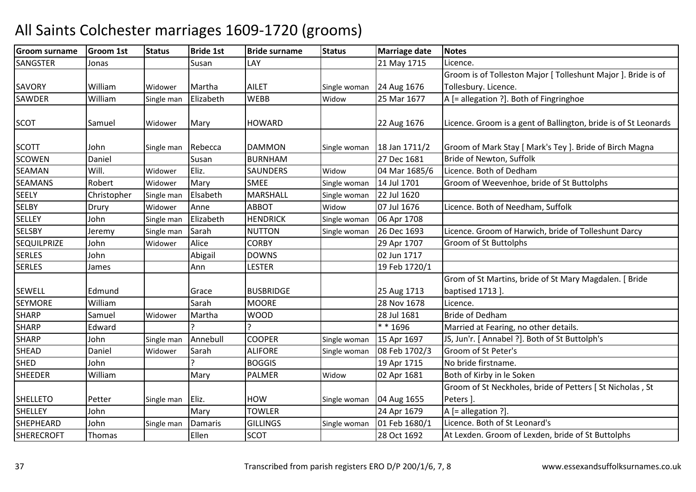| <b>Groom surname</b> | <b>Groom 1st</b> | <b>Status</b> | <b>Bride 1st</b> | <b>Bride surname</b> | <b>Status</b> | <b>Marriage date</b> | <b>Notes</b>                                                    |
|----------------------|------------------|---------------|------------------|----------------------|---------------|----------------------|-----------------------------------------------------------------|
| SANGSTER             | Jonas            |               | Susan            | LAY                  |               | 21 May 1715          | Licence.                                                        |
|                      |                  |               |                  |                      |               |                      | Groom is of Tolleston Major [ Tolleshunt Major ]. Bride is of   |
| SAVORY               | William          | Widower       | Martha           | <b>AILET</b>         | Single woman  | 24 Aug 1676          | Tollesbury. Licence.                                            |
| SAWDER               | William          | Single man    | Elizabeth        | WEBB                 | Widow         | 25 Mar 1677          | A [= allegation ?]. Both of Fingringhoe                         |
| <b>SCOT</b>          | Samuel           | Widower       | Mary             | <b>HOWARD</b>        |               | 22 Aug 1676          | Licence. Groom is a gent of Ballington, bride is of St Leonards |
|                      |                  |               |                  |                      |               |                      |                                                                 |
| <b>SCOTT</b>         | John             | Single man    | Rebecca          | <b>DAMMON</b>        | Single woman  | 18 Jan 1711/2        | Groom of Mark Stay [ Mark's Tey ]. Bride of Birch Magna         |
| <b>SCOWEN</b>        | Daniel           |               | Susan            | <b>BURNHAM</b>       |               | 27 Dec 1681          | Bride of Newton, Suffolk                                        |
| <b>SEAMAN</b>        | Will.            | Widower       | Eliz.            | <b>SAUNDERS</b>      | Widow         | 04 Mar 1685/6        | Licence. Both of Dedham                                         |
| <b>SEAMANS</b>       | Robert           | Widower       | Mary             | <b>SMEE</b>          | Single woman  | 14 Jul 1701          | Groom of Weevenhoe, bride of St Buttolphs                       |
| <b>SEELY</b>         | Christopher      | Single man    | Elsabeth         | MARSHALL             | Single woman  | 22 Jul 1620          |                                                                 |
| <b>SELBY</b>         | Drury            | Widower       | Anne             | <b>ABBOT</b>         | Widow         | 07 Jul 1676          | Licence. Both of Needham, Suffolk                               |
| <b>SELLEY</b>        | John             | Single man    | Elizabeth        | <b>HENDRICK</b>      | Single woman  | 06 Apr 1708          |                                                                 |
| <b>SELSBY</b>        | Jeremy           | Single man    | Sarah            | <b>NUTTON</b>        | Single woman  | 26 Dec 1693          | Licence. Groom of Harwich, bride of Tolleshunt Darcy            |
| <b>SEQUILPRIZE</b>   | John             | Widower       | Alice            | <b>CORBY</b>         |               | 29 Apr 1707          | Groom of St Buttolphs                                           |
| <b>SERLES</b>        | John             |               | Abigail          | <b>DOWNS</b>         |               | 02 Jun 1717          |                                                                 |
| <b>SERLES</b>        | James            |               | Ann              | <b>LESTER</b>        |               | 19 Feb 1720/1        |                                                                 |
|                      |                  |               |                  |                      |               |                      | Grom of St Martins, bride of St Mary Magdalen. [ Bride          |
| <b>SEWELL</b>        | Edmund           |               | Grace            | <b>BUSBRIDGE</b>     |               | 25 Aug 1713          | baptised 1713].                                                 |
| <b>SEYMORE</b>       | William          |               | Sarah            | <b>MOORE</b>         |               | 28 Nov 1678          | Licence.                                                        |
| <b>SHARP</b>         | Samuel           | Widower       | Martha           | <b>WOOD</b>          |               | 28 Jul 1681          | <b>Bride of Dedham</b>                                          |
| <b>SHARP</b>         | Edward           |               |                  |                      |               | ** 1696              | Married at Fearing, no other details.                           |
| <b>SHARP</b>         | John             | Single man    | Annebull         | <b>COOPER</b>        | Single woman  | 15 Apr 1697          | JS, Jun'r. [ Annabel ?]. Both of St Buttolph's                  |
| <b>SHEAD</b>         | Daniel           | Widower       | Sarah            | <b>ALIFORE</b>       | Single woman  | 08 Feb 1702/3        | Groom of St Peter's                                             |
| <b>SHED</b>          | John             |               |                  | <b>BOGGIS</b>        |               | 19 Apr 1715          | No bride firstname.                                             |
| <b>SHEEDER</b>       | William          |               | Mary             | <b>PALMER</b>        | Widow         | 02 Apr 1681          | Both of Kirby in le Soken                                       |
|                      |                  |               |                  |                      |               |                      | Groom of St Neckholes, bride of Petters [ St Nicholas, St       |
| <b>SHELLETO</b>      | Petter           | Single man    | Eliz.            | HOW                  | Single woman  | 04 Aug 1655          | Peters ].                                                       |
| <b>SHELLEY</b>       | John             |               | Mary             | <b>TOWLER</b>        |               | 24 Apr 1679          | A [= allegation ?].                                             |
| SHEPHEARD            | John             | Single man    | Damaris          | <b>GILLINGS</b>      | Single woman  | 01 Feb 1680/1        | Licence. Both of St Leonard's                                   |
| <b>SHERECROFT</b>    | Thomas           |               | Ellen            | <b>SCOT</b>          |               | 28 Oct 1692          | At Lexden. Groom of Lexden, bride of St Buttolphs               |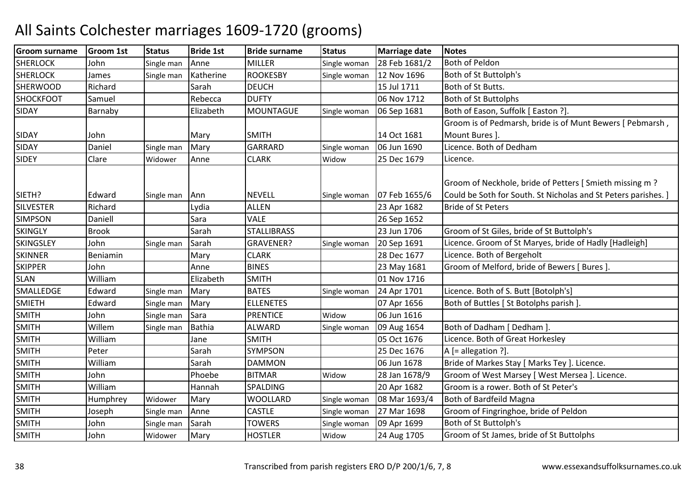| <b>Groom surname</b> | <b>Groom 1st</b> | <b>Status</b> | <b>Bride 1st</b> | <b>Bride surname</b> | <b>Status</b> | <b>Marriage date</b> | <b>Notes</b>                                                                                                              |
|----------------------|------------------|---------------|------------------|----------------------|---------------|----------------------|---------------------------------------------------------------------------------------------------------------------------|
| <b>SHERLOCK</b>      | John             | Single man    | Anne             | <b>MILLER</b>        | Single woman  | 28 Feb 1681/2        | Both of Peldon                                                                                                            |
| <b>SHERLOCK</b>      | James            | Single man    | Katherine        | <b>ROOKESBY</b>      | Single woman  | 12 Nov 1696          | Both of St Buttolph's                                                                                                     |
| <b>SHERWOOD</b>      | Richard          |               | Sarah            | <b>DEUCH</b>         |               | 15 Jul 1711          | Both of St Butts.                                                                                                         |
| SHOCKFOOT            | Samuel           |               | Rebecca          | <b>DUFTY</b>         |               | 06 Nov 1712          | <b>Both of St Buttolphs</b>                                                                                               |
| <b>SIDAY</b>         | Barnaby          |               | Elizabeth        | <b>MOUNTAGUE</b>     | Single woman  | 06 Sep 1681          | Both of Eason, Suffolk [ Easton ?].                                                                                       |
|                      |                  |               |                  |                      |               |                      | Groom is of Pedmarsh, bride is of Munt Bewers [ Pebmarsh,                                                                 |
| <b>SIDAY</b>         | John             |               | Mary             | <b>SMITH</b>         |               | 14 Oct 1681          | Mount Bures ].                                                                                                            |
| SIDAY                | Daniel           | Single man    | Mary             | <b>GARRARD</b>       | Single woman  | 06 Jun 1690          | Licence. Both of Dedham                                                                                                   |
| <b>SIDEY</b>         | Clare            | Widower       | Anne             | <b>CLARK</b>         | Widow         | 25 Dec 1679          | Licence.                                                                                                                  |
| SIETH?               | Edward           | Single man    | Ann              | <b>NEVELL</b>        | Single woman  | 07 Feb 1655/6        | Groom of Neckhole, bride of Petters [Smieth missing m ?<br>Could be Soth for South. St Nicholas and St Peters parishes. ] |
| <b>SILVESTER</b>     | Richard          |               | Lydia            | <b>ALLEN</b>         |               | 23 Apr 1682          | <b>Bride of St Peters</b>                                                                                                 |
| <b>SIMPSON</b>       | Daniell          |               | Sara             | <b>VALE</b>          |               | 26 Sep 1652          |                                                                                                                           |
| <b>SKINGLY</b>       | <b>Brook</b>     |               | Sarah            | <b>STALLIBRASS</b>   |               | 23 Jun 1706          | Groom of St Giles, bride of St Buttolph's                                                                                 |
| SKINGSLEY            | John             | Single man    | Sarah            | GRAVENER?            | Single woman  | 20 Sep 1691          | Licence. Groom of St Maryes, bride of Hadly [Hadleigh]                                                                    |
| <b>SKINNER</b>       | Beniamin         |               | Mary             | <b>CLARK</b>         |               | 28 Dec 1677          | Licence. Both of Bergeholt                                                                                                |
| <b>SKIPPER</b>       | John             |               | Anne             | <b>BINES</b>         |               | 23 May 1681          | Groom of Melford, bride of Bewers [ Bures ].                                                                              |
| <b>SLAN</b>          | William          |               | Elizabeth        | <b>SMITH</b>         |               | 01 Nov 1716          |                                                                                                                           |
| SMALLEDGE            | Edward           | Single man    | Mary             | <b>BATES</b>         | Single woman  | 24 Apr 1701          | Licence. Both of S. Butt [Botolph's]                                                                                      |
| <b>SMIETH</b>        | Edward           | Single man    | Mary             | <b>ELLENETES</b>     |               | 07 Apr 1656          | Both of Buttles [ St Botolphs parish ].                                                                                   |
| <b>SMITH</b>         | John             | Single man    | Sara             | <b>PRENTICE</b>      | Widow         | 06 Jun 1616          |                                                                                                                           |
| <b>SMITH</b>         | Willem           | Single man    | <b>Bathia</b>    | <b>ALWARD</b>        | Single woman  | 09 Aug 1654          | Both of Dadham [ Dedham ]                                                                                                 |
| <b>SMITH</b>         | William          |               | Jane             | <b>SMITH</b>         |               | 05 Oct 1676          | Licence. Both of Great Horkesley                                                                                          |
| <b>SMITH</b>         | Peter            |               | Sarah            | <b>SYMPSON</b>       |               | 25 Dec 1676          | A [= allegation ?].                                                                                                       |
| <b>SMITH</b>         | William          |               | Sarah            | <b>DAMMON</b>        |               | 06 Jun 1678          | Bride of Markes Stay [ Marks Tey ]. Licence.                                                                              |
| <b>SMITH</b>         | John             |               | Phoebe           | <b>BITMAR</b>        | Widow         | 28 Jan 1678/9        | Groom of West Marsey [ West Mersea ]. Licence.                                                                            |
| <b>SMITH</b>         | William          |               | Hannah           | SPALDING             |               | 20 Apr 1682          | Groom is a rower. Both of St Peter's                                                                                      |
| <b>SMITH</b>         | Humphrey         | Widower       | Mary             | <b>WOOLLARD</b>      | Single woman  | 08 Mar 1693/4        | Both of Bardfeild Magna                                                                                                   |
| <b>SMITH</b>         | Joseph           | Single man    | Anne             | <b>CASTLE</b>        | Single woman  | 27 Mar 1698          | Groom of Fingringhoe, bride of Peldon                                                                                     |
| <b>SMITH</b>         | John             | Single man    | Sarah            | <b>TOWERS</b>        | Single woman  | 09 Apr 1699          | Both of St Buttolph's                                                                                                     |
| <b>SMITH</b>         | John             | Widower       | Mary             | <b>HOSTLER</b>       | Widow         | 24 Aug 1705          | Groom of St James, bride of St Buttolphs                                                                                  |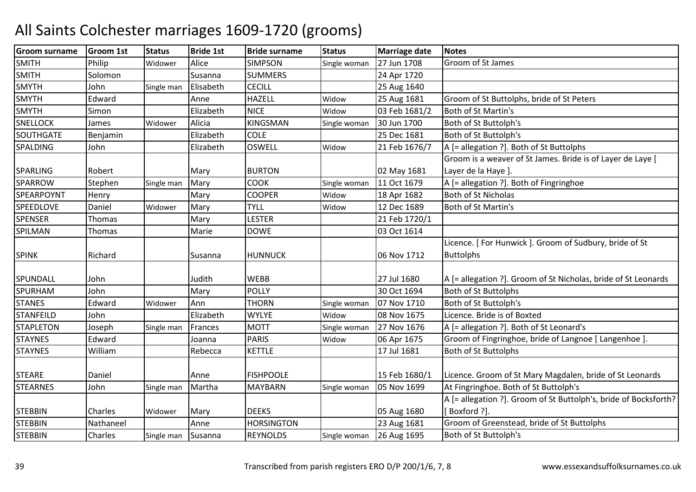| Philip<br><b>SIMPSON</b><br>27 Jun 1708<br>Groom of St James<br><b>SMITH</b><br>Alice<br>Widower<br>Single woman<br><b>SUMMERS</b><br><b>SMITH</b><br>24 Apr 1720<br>Solomon<br>Susanna<br><b>SMYTH</b><br>John<br><b>CECILL</b><br>Elisabeth<br>25 Aug 1640<br>Single man<br><b>SMYTH</b><br><b>HAZELL</b><br>Groom of St Buttolphs, bride of St Peters<br>Edward<br>25 Aug 1681<br>Widow<br>Anne<br><b>SMYTH</b><br><b>NICE</b><br>03 Feb 1681/2<br>Both of St Martin's<br>Simon<br>Elizabeth<br>Widow<br><b>KINGSMAN</b><br>SNELLOCK<br>Alicia<br>30 Jun 1700<br>Both of St Buttolph's<br>James<br>Widower<br>Single woman<br><b>COLE</b><br>SOUTHGATE<br>Elizabeth<br>25 Dec 1681<br>Both of St Buttolph's<br>Benjamin<br>A [= allegation ?]. Both of St Buttolphs<br>SPALDING<br>Elizabeth<br><b>OSWELL</b><br>21 Feb 1676/7<br>John<br>Widow<br>Groom is a weaver of St James. Bride is of Layer de Laye [<br><b>BURTON</b><br>02 May 1681<br><b>SPARLING</b><br>Robert<br>Layer de la Haye ].<br>Mary<br><b>SPARROW</b><br><b>COOK</b><br>11 Oct 1679<br>Stephen<br>Mary<br>A [= allegation ?]. Both of Fingringhoe<br>Single woman<br>Single man<br><b>COOPER</b><br>SPEARPOYNT<br>Both of St Nicholas<br>Mary<br>Widow<br>18 Apr 1682<br>Henry<br><b>TYLL</b><br>Both of St Martin's<br>SPEEDLOVE<br>Daniel<br>12 Dec 1689<br>Mary<br>Widower<br>Widow<br><b>SPENSER</b><br>LESTER<br>21 Feb 1720/1<br>Mary<br>Thomas<br>SPILMAN<br>Marie<br><b>DOWE</b><br>03 Oct 1614<br>Thomas<br>Licence. [For Hunwick]. Groom of Sudbury, bride of St<br><b>SPINK</b><br>06 Nov 1712<br><b>Buttolphs</b><br>Richard<br><b>HUNNUCK</b><br>Susanna<br>SPUNDALL<br>Judith<br><b>WEBB</b><br>27 Jul 1680<br>A [= allegation ?]. Groom of St Nicholas, bride of St Leonards<br>John<br>SPURHAM<br><b>POLLY</b><br><b>Both of St Buttolphs</b><br>John<br>30 Oct 1694<br>Mary<br><b>STANES</b><br>Edward<br>07 Nov 1710<br>Both of St Buttolph's<br><b>THORN</b><br>Widower<br>Ann<br>Single woman<br><b>STANFEILD</b><br><b>WYLYE</b><br>Licence. Bride is of Boxted<br>John<br>Elizabeth<br>08 Nov 1675<br>Widow<br><b>STAPLETON</b><br><b>MOTT</b><br>27 Nov 1676<br>A [= allegation ?]. Both of St Leonard's<br>Joseph<br>Frances<br>Single man<br>Single woman<br>Groom of Fingringhoe, bride of Langnoe [ Langenhoe ].<br><b>STAYNES</b><br><b>PARIS</b><br>Edward<br>06 Apr 1675<br>Widow<br>Joanna<br><b>STAYNES</b><br>William<br><b>KETTLE</b><br>17 Jul 1681<br><b>Both of St Buttolphs</b><br>Rebecca<br>15 Feb 1680/1<br><b>STEARE</b><br><b>FISHPOOLE</b><br>Licence. Groom of St Mary Magdalen, bride of St Leonards<br>Daniel<br>Anne<br>At Fingringhoe. Both of St Buttolph's<br>05 Nov 1699<br><b>STEARNES</b><br>John<br>Martha<br><b>MAYBARN</b><br>Single man<br>Single woman<br><b>DEEKS</b><br>[Boxford ?].<br><b>STEBBIN</b><br>Charles<br>05 Aug 1680<br>Mary<br>Widower<br>Groom of Greenstead, bride of St Buttolphs<br>23 Aug 1681<br><b>STEBBIN</b><br><b>HORSINGTON</b><br>Nathaneel<br>Anne<br><b>STEBBIN</b><br>Charles<br><b>REYNOLDS</b><br>26 Aug 1695<br>Both of St Buttolph's<br>Single man<br>Susanna<br>Single woman | <b>Groom surname</b> | <b>Groom 1st</b> | <b>Status</b> | <b>Bride 1st</b> | <b>Bride surname</b> | <b>Status</b> | <b>Marriage date</b> | <b>Notes</b>                                                     |
|-----------------------------------------------------------------------------------------------------------------------------------------------------------------------------------------------------------------------------------------------------------------------------------------------------------------------------------------------------------------------------------------------------------------------------------------------------------------------------------------------------------------------------------------------------------------------------------------------------------------------------------------------------------------------------------------------------------------------------------------------------------------------------------------------------------------------------------------------------------------------------------------------------------------------------------------------------------------------------------------------------------------------------------------------------------------------------------------------------------------------------------------------------------------------------------------------------------------------------------------------------------------------------------------------------------------------------------------------------------------------------------------------------------------------------------------------------------------------------------------------------------------------------------------------------------------------------------------------------------------------------------------------------------------------------------------------------------------------------------------------------------------------------------------------------------------------------------------------------------------------------------------------------------------------------------------------------------------------------------------------------------------------------------------------------------------------------------------------------------------------------------------------------------------------------------------------------------------------------------------------------------------------------------------------------------------------------------------------------------------------------------------------------------------------------------------------------------------------------------------------------------------------------------------------------------------------------------------------------------------------------------------------------------------------------------------------------------------------------------------------------------------------------------------------------------------------------------------------------------------------------------------------------------------------------------------------------------------------------------------------------------------------------------------------------------------------------------------------------------------------------------------------------|----------------------|------------------|---------------|------------------|----------------------|---------------|----------------------|------------------------------------------------------------------|
|                                                                                                                                                                                                                                                                                                                                                                                                                                                                                                                                                                                                                                                                                                                                                                                                                                                                                                                                                                                                                                                                                                                                                                                                                                                                                                                                                                                                                                                                                                                                                                                                                                                                                                                                                                                                                                                                                                                                                                                                                                                                                                                                                                                                                                                                                                                                                                                                                                                                                                                                                                                                                                                                                                                                                                                                                                                                                                                                                                                                                                                                                                                                                     |                      |                  |               |                  |                      |               |                      |                                                                  |
|                                                                                                                                                                                                                                                                                                                                                                                                                                                                                                                                                                                                                                                                                                                                                                                                                                                                                                                                                                                                                                                                                                                                                                                                                                                                                                                                                                                                                                                                                                                                                                                                                                                                                                                                                                                                                                                                                                                                                                                                                                                                                                                                                                                                                                                                                                                                                                                                                                                                                                                                                                                                                                                                                                                                                                                                                                                                                                                                                                                                                                                                                                                                                     |                      |                  |               |                  |                      |               |                      |                                                                  |
|                                                                                                                                                                                                                                                                                                                                                                                                                                                                                                                                                                                                                                                                                                                                                                                                                                                                                                                                                                                                                                                                                                                                                                                                                                                                                                                                                                                                                                                                                                                                                                                                                                                                                                                                                                                                                                                                                                                                                                                                                                                                                                                                                                                                                                                                                                                                                                                                                                                                                                                                                                                                                                                                                                                                                                                                                                                                                                                                                                                                                                                                                                                                                     |                      |                  |               |                  |                      |               |                      |                                                                  |
|                                                                                                                                                                                                                                                                                                                                                                                                                                                                                                                                                                                                                                                                                                                                                                                                                                                                                                                                                                                                                                                                                                                                                                                                                                                                                                                                                                                                                                                                                                                                                                                                                                                                                                                                                                                                                                                                                                                                                                                                                                                                                                                                                                                                                                                                                                                                                                                                                                                                                                                                                                                                                                                                                                                                                                                                                                                                                                                                                                                                                                                                                                                                                     |                      |                  |               |                  |                      |               |                      |                                                                  |
|                                                                                                                                                                                                                                                                                                                                                                                                                                                                                                                                                                                                                                                                                                                                                                                                                                                                                                                                                                                                                                                                                                                                                                                                                                                                                                                                                                                                                                                                                                                                                                                                                                                                                                                                                                                                                                                                                                                                                                                                                                                                                                                                                                                                                                                                                                                                                                                                                                                                                                                                                                                                                                                                                                                                                                                                                                                                                                                                                                                                                                                                                                                                                     |                      |                  |               |                  |                      |               |                      |                                                                  |
|                                                                                                                                                                                                                                                                                                                                                                                                                                                                                                                                                                                                                                                                                                                                                                                                                                                                                                                                                                                                                                                                                                                                                                                                                                                                                                                                                                                                                                                                                                                                                                                                                                                                                                                                                                                                                                                                                                                                                                                                                                                                                                                                                                                                                                                                                                                                                                                                                                                                                                                                                                                                                                                                                                                                                                                                                                                                                                                                                                                                                                                                                                                                                     |                      |                  |               |                  |                      |               |                      |                                                                  |
|                                                                                                                                                                                                                                                                                                                                                                                                                                                                                                                                                                                                                                                                                                                                                                                                                                                                                                                                                                                                                                                                                                                                                                                                                                                                                                                                                                                                                                                                                                                                                                                                                                                                                                                                                                                                                                                                                                                                                                                                                                                                                                                                                                                                                                                                                                                                                                                                                                                                                                                                                                                                                                                                                                                                                                                                                                                                                                                                                                                                                                                                                                                                                     |                      |                  |               |                  |                      |               |                      |                                                                  |
|                                                                                                                                                                                                                                                                                                                                                                                                                                                                                                                                                                                                                                                                                                                                                                                                                                                                                                                                                                                                                                                                                                                                                                                                                                                                                                                                                                                                                                                                                                                                                                                                                                                                                                                                                                                                                                                                                                                                                                                                                                                                                                                                                                                                                                                                                                                                                                                                                                                                                                                                                                                                                                                                                                                                                                                                                                                                                                                                                                                                                                                                                                                                                     |                      |                  |               |                  |                      |               |                      |                                                                  |
|                                                                                                                                                                                                                                                                                                                                                                                                                                                                                                                                                                                                                                                                                                                                                                                                                                                                                                                                                                                                                                                                                                                                                                                                                                                                                                                                                                                                                                                                                                                                                                                                                                                                                                                                                                                                                                                                                                                                                                                                                                                                                                                                                                                                                                                                                                                                                                                                                                                                                                                                                                                                                                                                                                                                                                                                                                                                                                                                                                                                                                                                                                                                                     |                      |                  |               |                  |                      |               |                      |                                                                  |
|                                                                                                                                                                                                                                                                                                                                                                                                                                                                                                                                                                                                                                                                                                                                                                                                                                                                                                                                                                                                                                                                                                                                                                                                                                                                                                                                                                                                                                                                                                                                                                                                                                                                                                                                                                                                                                                                                                                                                                                                                                                                                                                                                                                                                                                                                                                                                                                                                                                                                                                                                                                                                                                                                                                                                                                                                                                                                                                                                                                                                                                                                                                                                     |                      |                  |               |                  |                      |               |                      |                                                                  |
|                                                                                                                                                                                                                                                                                                                                                                                                                                                                                                                                                                                                                                                                                                                                                                                                                                                                                                                                                                                                                                                                                                                                                                                                                                                                                                                                                                                                                                                                                                                                                                                                                                                                                                                                                                                                                                                                                                                                                                                                                                                                                                                                                                                                                                                                                                                                                                                                                                                                                                                                                                                                                                                                                                                                                                                                                                                                                                                                                                                                                                                                                                                                                     |                      |                  |               |                  |                      |               |                      |                                                                  |
|                                                                                                                                                                                                                                                                                                                                                                                                                                                                                                                                                                                                                                                                                                                                                                                                                                                                                                                                                                                                                                                                                                                                                                                                                                                                                                                                                                                                                                                                                                                                                                                                                                                                                                                                                                                                                                                                                                                                                                                                                                                                                                                                                                                                                                                                                                                                                                                                                                                                                                                                                                                                                                                                                                                                                                                                                                                                                                                                                                                                                                                                                                                                                     |                      |                  |               |                  |                      |               |                      |                                                                  |
|                                                                                                                                                                                                                                                                                                                                                                                                                                                                                                                                                                                                                                                                                                                                                                                                                                                                                                                                                                                                                                                                                                                                                                                                                                                                                                                                                                                                                                                                                                                                                                                                                                                                                                                                                                                                                                                                                                                                                                                                                                                                                                                                                                                                                                                                                                                                                                                                                                                                                                                                                                                                                                                                                                                                                                                                                                                                                                                                                                                                                                                                                                                                                     |                      |                  |               |                  |                      |               |                      |                                                                  |
|                                                                                                                                                                                                                                                                                                                                                                                                                                                                                                                                                                                                                                                                                                                                                                                                                                                                                                                                                                                                                                                                                                                                                                                                                                                                                                                                                                                                                                                                                                                                                                                                                                                                                                                                                                                                                                                                                                                                                                                                                                                                                                                                                                                                                                                                                                                                                                                                                                                                                                                                                                                                                                                                                                                                                                                                                                                                                                                                                                                                                                                                                                                                                     |                      |                  |               |                  |                      |               |                      |                                                                  |
|                                                                                                                                                                                                                                                                                                                                                                                                                                                                                                                                                                                                                                                                                                                                                                                                                                                                                                                                                                                                                                                                                                                                                                                                                                                                                                                                                                                                                                                                                                                                                                                                                                                                                                                                                                                                                                                                                                                                                                                                                                                                                                                                                                                                                                                                                                                                                                                                                                                                                                                                                                                                                                                                                                                                                                                                                                                                                                                                                                                                                                                                                                                                                     |                      |                  |               |                  |                      |               |                      |                                                                  |
|                                                                                                                                                                                                                                                                                                                                                                                                                                                                                                                                                                                                                                                                                                                                                                                                                                                                                                                                                                                                                                                                                                                                                                                                                                                                                                                                                                                                                                                                                                                                                                                                                                                                                                                                                                                                                                                                                                                                                                                                                                                                                                                                                                                                                                                                                                                                                                                                                                                                                                                                                                                                                                                                                                                                                                                                                                                                                                                                                                                                                                                                                                                                                     |                      |                  |               |                  |                      |               |                      |                                                                  |
|                                                                                                                                                                                                                                                                                                                                                                                                                                                                                                                                                                                                                                                                                                                                                                                                                                                                                                                                                                                                                                                                                                                                                                                                                                                                                                                                                                                                                                                                                                                                                                                                                                                                                                                                                                                                                                                                                                                                                                                                                                                                                                                                                                                                                                                                                                                                                                                                                                                                                                                                                                                                                                                                                                                                                                                                                                                                                                                                                                                                                                                                                                                                                     |                      |                  |               |                  |                      |               |                      |                                                                  |
|                                                                                                                                                                                                                                                                                                                                                                                                                                                                                                                                                                                                                                                                                                                                                                                                                                                                                                                                                                                                                                                                                                                                                                                                                                                                                                                                                                                                                                                                                                                                                                                                                                                                                                                                                                                                                                                                                                                                                                                                                                                                                                                                                                                                                                                                                                                                                                                                                                                                                                                                                                                                                                                                                                                                                                                                                                                                                                                                                                                                                                                                                                                                                     |                      |                  |               |                  |                      |               |                      |                                                                  |
|                                                                                                                                                                                                                                                                                                                                                                                                                                                                                                                                                                                                                                                                                                                                                                                                                                                                                                                                                                                                                                                                                                                                                                                                                                                                                                                                                                                                                                                                                                                                                                                                                                                                                                                                                                                                                                                                                                                                                                                                                                                                                                                                                                                                                                                                                                                                                                                                                                                                                                                                                                                                                                                                                                                                                                                                                                                                                                                                                                                                                                                                                                                                                     |                      |                  |               |                  |                      |               |                      |                                                                  |
|                                                                                                                                                                                                                                                                                                                                                                                                                                                                                                                                                                                                                                                                                                                                                                                                                                                                                                                                                                                                                                                                                                                                                                                                                                                                                                                                                                                                                                                                                                                                                                                                                                                                                                                                                                                                                                                                                                                                                                                                                                                                                                                                                                                                                                                                                                                                                                                                                                                                                                                                                                                                                                                                                                                                                                                                                                                                                                                                                                                                                                                                                                                                                     |                      |                  |               |                  |                      |               |                      |                                                                  |
|                                                                                                                                                                                                                                                                                                                                                                                                                                                                                                                                                                                                                                                                                                                                                                                                                                                                                                                                                                                                                                                                                                                                                                                                                                                                                                                                                                                                                                                                                                                                                                                                                                                                                                                                                                                                                                                                                                                                                                                                                                                                                                                                                                                                                                                                                                                                                                                                                                                                                                                                                                                                                                                                                                                                                                                                                                                                                                                                                                                                                                                                                                                                                     |                      |                  |               |                  |                      |               |                      |                                                                  |
|                                                                                                                                                                                                                                                                                                                                                                                                                                                                                                                                                                                                                                                                                                                                                                                                                                                                                                                                                                                                                                                                                                                                                                                                                                                                                                                                                                                                                                                                                                                                                                                                                                                                                                                                                                                                                                                                                                                                                                                                                                                                                                                                                                                                                                                                                                                                                                                                                                                                                                                                                                                                                                                                                                                                                                                                                                                                                                                                                                                                                                                                                                                                                     |                      |                  |               |                  |                      |               |                      |                                                                  |
|                                                                                                                                                                                                                                                                                                                                                                                                                                                                                                                                                                                                                                                                                                                                                                                                                                                                                                                                                                                                                                                                                                                                                                                                                                                                                                                                                                                                                                                                                                                                                                                                                                                                                                                                                                                                                                                                                                                                                                                                                                                                                                                                                                                                                                                                                                                                                                                                                                                                                                                                                                                                                                                                                                                                                                                                                                                                                                                                                                                                                                                                                                                                                     |                      |                  |               |                  |                      |               |                      |                                                                  |
|                                                                                                                                                                                                                                                                                                                                                                                                                                                                                                                                                                                                                                                                                                                                                                                                                                                                                                                                                                                                                                                                                                                                                                                                                                                                                                                                                                                                                                                                                                                                                                                                                                                                                                                                                                                                                                                                                                                                                                                                                                                                                                                                                                                                                                                                                                                                                                                                                                                                                                                                                                                                                                                                                                                                                                                                                                                                                                                                                                                                                                                                                                                                                     |                      |                  |               |                  |                      |               |                      |                                                                  |
|                                                                                                                                                                                                                                                                                                                                                                                                                                                                                                                                                                                                                                                                                                                                                                                                                                                                                                                                                                                                                                                                                                                                                                                                                                                                                                                                                                                                                                                                                                                                                                                                                                                                                                                                                                                                                                                                                                                                                                                                                                                                                                                                                                                                                                                                                                                                                                                                                                                                                                                                                                                                                                                                                                                                                                                                                                                                                                                                                                                                                                                                                                                                                     |                      |                  |               |                  |                      |               |                      |                                                                  |
|                                                                                                                                                                                                                                                                                                                                                                                                                                                                                                                                                                                                                                                                                                                                                                                                                                                                                                                                                                                                                                                                                                                                                                                                                                                                                                                                                                                                                                                                                                                                                                                                                                                                                                                                                                                                                                                                                                                                                                                                                                                                                                                                                                                                                                                                                                                                                                                                                                                                                                                                                                                                                                                                                                                                                                                                                                                                                                                                                                                                                                                                                                                                                     |                      |                  |               |                  |                      |               |                      |                                                                  |
|                                                                                                                                                                                                                                                                                                                                                                                                                                                                                                                                                                                                                                                                                                                                                                                                                                                                                                                                                                                                                                                                                                                                                                                                                                                                                                                                                                                                                                                                                                                                                                                                                                                                                                                                                                                                                                                                                                                                                                                                                                                                                                                                                                                                                                                                                                                                                                                                                                                                                                                                                                                                                                                                                                                                                                                                                                                                                                                                                                                                                                                                                                                                                     |                      |                  |               |                  |                      |               |                      |                                                                  |
|                                                                                                                                                                                                                                                                                                                                                                                                                                                                                                                                                                                                                                                                                                                                                                                                                                                                                                                                                                                                                                                                                                                                                                                                                                                                                                                                                                                                                                                                                                                                                                                                                                                                                                                                                                                                                                                                                                                                                                                                                                                                                                                                                                                                                                                                                                                                                                                                                                                                                                                                                                                                                                                                                                                                                                                                                                                                                                                                                                                                                                                                                                                                                     |                      |                  |               |                  |                      |               |                      | A [= allegation ?]. Groom of St Buttolph's, bride of Bocksforth? |
|                                                                                                                                                                                                                                                                                                                                                                                                                                                                                                                                                                                                                                                                                                                                                                                                                                                                                                                                                                                                                                                                                                                                                                                                                                                                                                                                                                                                                                                                                                                                                                                                                                                                                                                                                                                                                                                                                                                                                                                                                                                                                                                                                                                                                                                                                                                                                                                                                                                                                                                                                                                                                                                                                                                                                                                                                                                                                                                                                                                                                                                                                                                                                     |                      |                  |               |                  |                      |               |                      |                                                                  |
|                                                                                                                                                                                                                                                                                                                                                                                                                                                                                                                                                                                                                                                                                                                                                                                                                                                                                                                                                                                                                                                                                                                                                                                                                                                                                                                                                                                                                                                                                                                                                                                                                                                                                                                                                                                                                                                                                                                                                                                                                                                                                                                                                                                                                                                                                                                                                                                                                                                                                                                                                                                                                                                                                                                                                                                                                                                                                                                                                                                                                                                                                                                                                     |                      |                  |               |                  |                      |               |                      |                                                                  |
|                                                                                                                                                                                                                                                                                                                                                                                                                                                                                                                                                                                                                                                                                                                                                                                                                                                                                                                                                                                                                                                                                                                                                                                                                                                                                                                                                                                                                                                                                                                                                                                                                                                                                                                                                                                                                                                                                                                                                                                                                                                                                                                                                                                                                                                                                                                                                                                                                                                                                                                                                                                                                                                                                                                                                                                                                                                                                                                                                                                                                                                                                                                                                     |                      |                  |               |                  |                      |               |                      |                                                                  |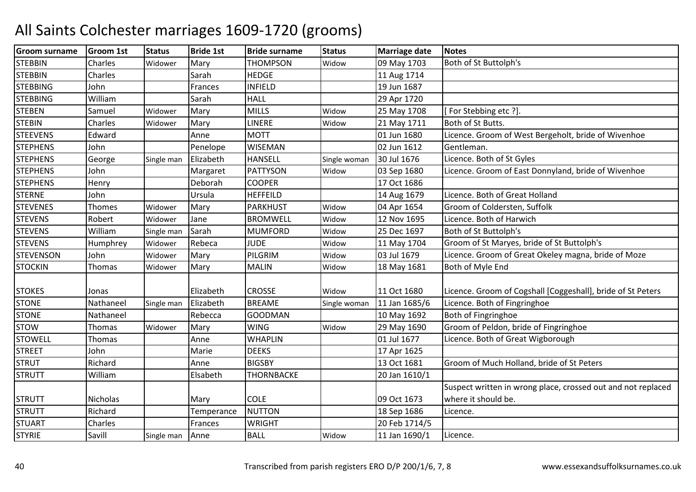| <b>Groom surname</b> | <b>Groom 1st</b> | <b>Status</b> | <b>Bride 1st</b> | <b>Bride surname</b> | <b>Status</b> | <b>Marriage date</b> | <b>Notes</b>                                                 |
|----------------------|------------------|---------------|------------------|----------------------|---------------|----------------------|--------------------------------------------------------------|
| <b>STEBBIN</b>       | Charles          | Widower       | Mary             | <b>THOMPSON</b>      | Widow         | 09 May 1703          | Both of St Buttolph's                                        |
| <b>STEBBIN</b>       | Charles          |               | Sarah            | <b>HEDGE</b>         |               | 11 Aug 1714          |                                                              |
| <b>STEBBING</b>      | John             |               | Frances          | <b>INFIELD</b>       |               | 19 Jun 1687          |                                                              |
| <b>STEBBING</b>      | William          |               | Sarah            | <b>HALL</b>          |               | 29 Apr 1720          |                                                              |
| <b>STEBEN</b>        | Samuel           | Widower       | Mary             | <b>MILLS</b>         | Widow         | 25 May 1708          | For Stebbing etc ?].                                         |
| <b>STEBIN</b>        | Charles          | Widower       | Mary             | <b>LINERE</b>        | Widow         | 21 May 1711          | Both of St Butts.                                            |
| <b>STEEVENS</b>      | Edward           |               | Anne             | <b>MOTT</b>          |               | 01 Jun 1680          | Licence. Groom of West Bergeholt, bride of Wivenhoe          |
| <b>STEPHENS</b>      | John             |               | Penelope         | <b>WISEMAN</b>       |               | 02 Jun 1612          | Gentleman.                                                   |
| <b>STEPHENS</b>      | George           | Single man    | Elizabeth        | <b>HANSELL</b>       | Single woman  | 30 Jul 1676          | Licence. Both of St Gyles                                    |
| <b>STEPHENS</b>      | John             |               | Margaret         | <b>PATTYSON</b>      | Widow         | 03 Sep 1680          | Licence. Groom of East Donnyland, bride of Wivenhoe          |
| <b>STEPHENS</b>      | Henry            |               | Deborah          | <b>COOPER</b>        |               | 17 Oct 1686          |                                                              |
| <b>STERNE</b>        | John             |               | Ursula           | <b>HEFFEILD</b>      |               | 14 Aug 1679          | Licence. Both of Great Holland                               |
| <b>STEVENES</b>      | Thomes           | Widower       | Mary             | <b>PARKHUST</b>      | Widow         | 04 Apr 1654          | Groom of Coldersten, Suffolk                                 |
| <b>STEVENS</b>       | Robert           | Widower       | Jane             | <b>BROMWELL</b>      | Widow         | 12 Nov 1695          | Licence. Both of Harwich                                     |
| <b>STEVENS</b>       | William          | Single man    | Sarah            | <b>MUMFORD</b>       | Widow         | 25 Dec 1697          | Both of St Buttolph's                                        |
| <b>STEVENS</b>       | Humphrey         | Widower       | Rebeca           | <b>JUDE</b>          | Widow         | 11 May 1704          | Groom of St Maryes, bride of St Buttolph's                   |
| <b>STEVENSON</b>     | John             | Widower       | Mary             | PILGRIM              | Widow         | 03 Jul 1679          | Licence. Groom of Great Okeley magna, bride of Moze          |
| <b>STOCKIN</b>       | <b>Thomas</b>    | Widower       | Mary             | <b>MALIN</b>         | Widow         | 18 May 1681          | Both of Myle End                                             |
|                      |                  |               |                  |                      |               |                      |                                                              |
| <b>STOKES</b>        | Jonas            |               | Elizabeth        | <b>CROSSE</b>        | Widow         | 11 Oct 1680          | Licence. Groom of Cogshall [Coggeshall], bride of St Peters  |
| <b>STONE</b>         | Nathaneel        | Single man    | Elizabeth        | <b>BREAME</b>        | Single woman  | 11 Jan 1685/6        | Licence. Both of Fingringhoe                                 |
| <b>STONE</b>         | Nathaneel        |               | Rebecca          | <b>GOODMAN</b>       |               | 10 May 1692          | Both of Fingringhoe                                          |
| <b>STOW</b>          | Thomas           | Widower       | Mary             | <b>WING</b>          | Widow         | 29 May 1690          | Groom of Peldon, bride of Fingringhoe                        |
| <b>STOWELL</b>       | Thomas           |               | Anne             | <b>WHAPLIN</b>       |               | 01 Jul 1677          | Licence. Both of Great Wigborough                            |
| <b>STREET</b>        | John             |               | Marie            | <b>DEEKS</b>         |               | 17 Apr 1625          |                                                              |
| <b>STRUT</b>         | Richard          |               | Anne             | <b>BIGSBY</b>        |               | 13 Oct 1681          | Groom of Much Holland, bride of St Peters                    |
| <b>STRUTT</b>        | William          |               | Elsabeth         | <b>THORNBACKE</b>    |               | 20 Jan 1610/1        |                                                              |
|                      |                  |               |                  |                      |               |                      | Suspect written in wrong place, crossed out and not replaced |
| <b>STRUTT</b>        | <b>Nicholas</b>  |               | Mary             | <b>COLE</b>          |               | 09 Oct 1673          | where it should be.                                          |
| <b>STRUTT</b>        | Richard          |               | Temperance       | <b>NUTTON</b>        |               | 18 Sep 1686          | Licence.                                                     |
| <b>STUART</b>        | Charles          |               | Frances          | <b>WRIGHT</b>        |               | 20 Feb 1714/5        |                                                              |
| <b>STYRIE</b>        | Savill           | Single man    | Anne             | <b>BALL</b>          | Widow         | 11 Jan 1690/1        | Licence.                                                     |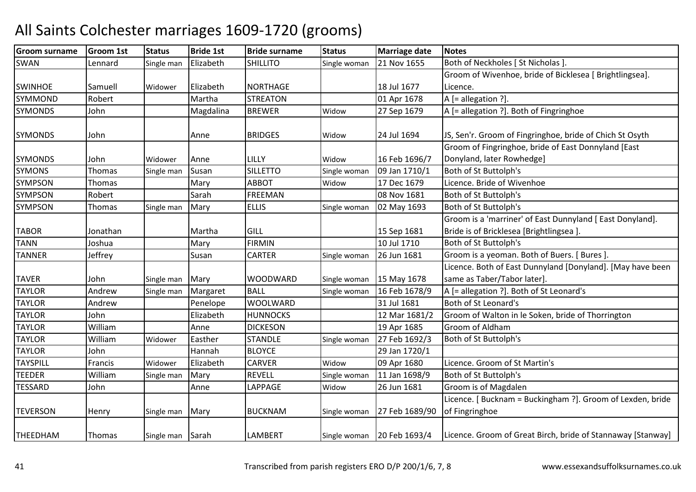| <b>Groom surname</b> | <b>Groom 1st</b> | <b>Status</b>    | <b>Bride 1st</b> | <b>Bride surname</b> | <b>Status</b> | <b>Marriage date</b> | <b>Notes</b>                                                |
|----------------------|------------------|------------------|------------------|----------------------|---------------|----------------------|-------------------------------------------------------------|
| <b>SWAN</b>          | Lennard          | Single man       | Elizabeth        | <b>SHILLITO</b>      | Single woman  | 21 Nov 1655          | Both of Neckholes [ St Nicholas ].                          |
|                      |                  |                  |                  |                      |               |                      | Groom of Wivenhoe, bride of Bicklesea [ Brightlingsea].     |
| <b>SWINHOE</b>       | Samuell          | Widower          | Elizabeth        | <b>NORTHAGE</b>      |               | 18 Jul 1677          | Licence.                                                    |
| SYMMOND              | Robert           |                  | Martha           | <b>STREATON</b>      |               | 01 Apr 1678          | $A$ [= allegation ?].                                       |
| <b>SYMONDS</b>       | John             |                  | Magdalina        | <b>BREWER</b>        | Widow         | 27 Sep 1679          | A [= allegation ?]. Both of Fingringhoe                     |
|                      |                  |                  |                  |                      |               |                      |                                                             |
| <b>SYMONDS</b>       | John             |                  | Anne             | <b>BRIDGES</b>       | Widow         | 24 Jul 1694          | JS, Sen'r. Groom of Fingringhoe, bride of Chich St Osyth    |
|                      |                  |                  |                  |                      |               |                      | Groom of Fingringhoe, bride of East Donnyland [East         |
| <b>SYMONDS</b>       | John             | Widower          | Anne             | LILLY                | Widow         | 16 Feb 1696/7        | Donyland, later Rowhedge]                                   |
| <b>SYMONS</b>        | <b>Thomas</b>    | Single man       | Susan            | <b>SILLETTO</b>      | Single woman  | 09 Jan 1710/1        | Both of St Buttolph's                                       |
| SYMPSON              | Thomas           |                  | Mary             | <b>ABBOT</b>         | Widow         | 17 Dec 1679          | Licence. Bride of Wivenhoe                                  |
| SYMPSON              | Robert           |                  | Sarah            | <b>FREEMAN</b>       |               | 08 Nov 1681          | Both of St Buttolph's                                       |
| <b>SYMPSON</b>       | Thomas           | Single man       | Mary             | <b>ELLIS</b>         | Single woman  | 02 May 1693          | Both of St Buttolph's                                       |
|                      |                  |                  |                  |                      |               |                      | Groom is a 'marriner' of East Dunnyland [ East Donyland].   |
| <b>TABOR</b>         | Jonathan         |                  | Martha           | <b>GILL</b>          |               | 15 Sep 1681          | Bride is of Bricklesea [Brightlingsea].                     |
| <b>TANN</b>          | Joshua           |                  | Mary             | <b>FIRMIN</b>        |               | 10 Jul 1710          | Both of St Buttolph's                                       |
| <b>TANNER</b>        | Jeffrey          |                  | Susan            | <b>CARTER</b>        | Single woman  | 26 Jun 1681          | Groom is a yeoman. Both of Buers. [ Bures ].                |
|                      |                  |                  |                  |                      |               |                      | Licence. Both of East Dunnyland [Donyland]. [May have been  |
| <b>TAVER</b>         | John             | Single man       | Mary             | <b>WOODWARD</b>      | Single woman  | 15 May 1678          | same as Taber/Tabor later].                                 |
| <b>TAYLOR</b>        | Andrew           | Single man       | Margaret         | <b>BALL</b>          | Single woman  | 16 Feb 1678/9        | A [= allegation ?]. Both of St Leonard's                    |
| <b>TAYLOR</b>        | Andrew           |                  | Penelope         | <b>WOOLWARD</b>      |               | 31 Jul 1681          | Both of St Leonard's                                        |
| <b>TAYLOR</b>        | John             |                  | Elizabeth        | <b>HUNNOCKS</b>      |               | 12 Mar 1681/2        | Groom of Walton in le Soken, bride of Thorrington           |
| <b>TAYLOR</b>        | William          |                  | Anne             | <b>DICKESON</b>      |               | 19 Apr 1685          | Groom of Aldham                                             |
| <b>TAYLOR</b>        | William          | Widower          | Easther          | <b>STANDLE</b>       | Single woman  | 27 Feb 1692/3        | Both of St Buttolph's                                       |
| <b>TAYLOR</b>        | John             |                  | Hannah           | <b>BLOYCE</b>        |               | 29 Jan 1720/1        |                                                             |
| <b>TAYSPILL</b>      | Francis          | Widower          | Elizabeth        | <b>CARVER</b>        | Widow         | 09 Apr 1680          | Licence. Groom of St Martin's                               |
| <b>TEEDER</b>        | William          | Single man       | Mary             | <b>REVELL</b>        | Single woman  | 11 Jan 1698/9        | Both of St Buttolph's                                       |
| <b>TESSARD</b>       | John             |                  | Anne             | LAPPAGE              | Widow         | 26 Jun 1681          | Groom is of Magdalen                                        |
|                      |                  |                  |                  |                      |               |                      | Licence. [ Bucknam = Buckingham ?]. Groom of Lexden, bride  |
| <b>TEVERSON</b>      | Henry            | Single man       | Mary             | <b>BUCKNAM</b>       | Single woman  | 27 Feb 1689/90       | of Fingringhoe                                              |
|                      |                  |                  |                  |                      |               |                      |                                                             |
| <b>THEEDHAM</b>      | Thomas           | Single man Sarah |                  | <b>LAMBERT</b>       | Single woman  | 20 Feb 1693/4        | Licence. Groom of Great Birch, bride of Stannaway [Stanway] |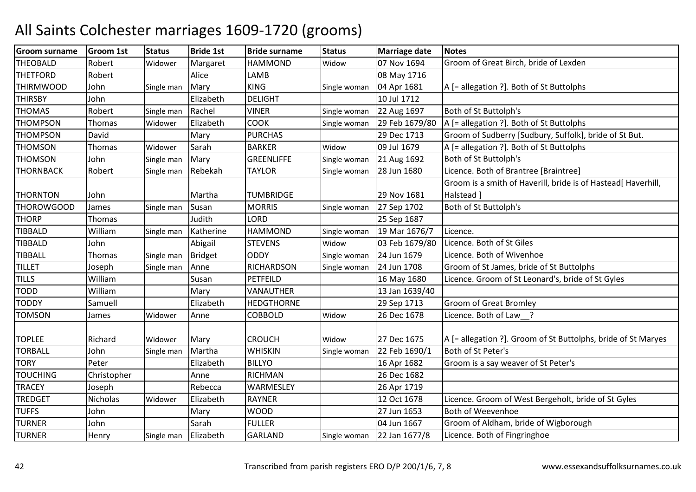| Groom surname    | <b>Groom 1st</b> | <b>Status</b> | <b>Bride 1st</b> | <b>Bride surname</b> | <b>Status</b> | <b>Marriage date</b> | <b>Notes</b>                                                  |
|------------------|------------------|---------------|------------------|----------------------|---------------|----------------------|---------------------------------------------------------------|
| <b>THEOBALD</b>  | Robert           | Widower       | Margaret         | <b>HAMMOND</b>       | Widow         | 07 Nov 1694          | Groom of Great Birch, bride of Lexden                         |
| <b>THETFORD</b>  | Robert           |               | Alice            | LAMB                 |               | 08 May 1716          |                                                               |
| <b>THIRMWOOD</b> | John             | Single man    | Mary             | <b>KING</b>          | Single woman  | 04 Apr 1681          | A [= allegation ?]. Both of St Buttolphs                      |
| <b>THIRSBY</b>   | John             |               | Elizabeth        | <b>DELIGHT</b>       |               | 10 Jul 1712          |                                                               |
| <b>THOMAS</b>    | Robert           | Single man    | Rachel           | <b>VINER</b>         | Single woman  | 22 Aug 1697          | Both of St Buttolph's                                         |
| <b>THOMPSON</b>  | Thomas           | Widower       | Elizabeth        | COOK                 | Single woman  | 29 Feb 1679/80       | A [= allegation ?]. Both of St Buttolphs                      |
| <b>THOMPSON</b>  | David            |               | Mary             | <b>PURCHAS</b>       |               | 29 Dec 1713          | Groom of Sudberry [Sudbury, Suffolk], bride of St But.        |
| <b>THOMSON</b>   | Thomas           | Widower       | Sarah            | <b>BARKER</b>        | Widow         | 09 Jul 1679          | A [= allegation ?]. Both of St Buttolphs                      |
| <b>THOMSON</b>   | John             | Single man    | Mary             | <b>GREENLIFFE</b>    | Single woman  | 21 Aug 1692          | Both of St Buttolph's                                         |
| <b>THORNBACK</b> | Robert           | Single man    | Rebekah          | <b>TAYLOR</b>        | Single woman  | 28 Jun 1680          | Licence. Both of Brantree [Braintree]                         |
|                  |                  |               |                  |                      |               |                      | Groom is a smith of Haverill, bride is of Hastead[ Haverhill, |
| <b>THORNTON</b>  | John             |               | Martha           | <b>TUMBRIDGE</b>     |               | 29 Nov 1681          | Halstead ]                                                    |
| THOROWGOOD       | James            | Single man    | Susan            | <b>MORRIS</b>        | Single woman  | 27 Sep 1702          | Both of St Buttolph's                                         |
| <b>THORP</b>     | Thomas           |               | Judith           | LORD                 |               | 25 Sep 1687          |                                                               |
| <b>TIBBALD</b>   | William          | Single man    | Katherine        | <b>HAMMOND</b>       | Single woman  | 19 Mar 1676/7        | Licence.                                                      |
| <b>TIBBALD</b>   | John             |               | Abigail          | <b>STEVENS</b>       | Widow         | 03 Feb 1679/80       | Licence. Both of St Giles                                     |
| <b>TIBBALL</b>   | Thomas           | Single man    | <b>Bridget</b>   | <b>ODDY</b>          | Single woman  | 24 Jun 1679          | Licence. Both of Wivenhoe                                     |
| <b>TILLET</b>    | Joseph           | Single man    | Anne             | <b>RICHARDSON</b>    | Single woman  | 24 Jun 1708          | Groom of St James, bride of St Buttolphs                      |
| <b>TILLS</b>     | William          |               | Susan            | PETFEILD             |               | 16 May 1680          | Licence. Groom of St Leonard's, bride of St Gyles             |
| <b>TODD</b>      | William          |               | Mary             | VANAUTHER            |               | 13 Jan 1639/40       |                                                               |
| <b>TODDY</b>     | Samuell          |               | Elizabeth        | <b>HEDGTHORNE</b>    |               | 29 Sep 1713          | <b>Groom of Great Bromley</b>                                 |
| <b>TOMSON</b>    | James            | Widower       | Anne             | <b>COBBOLD</b>       | Widow         | 26 Dec 1678          | Licence. Both of Law_?                                        |
|                  |                  |               |                  |                      |               |                      |                                                               |
| <b>TOPLEE</b>    | Richard          | Widower       | Mary             | <b>CROUCH</b>        | Widow         | 27 Dec 1675          | A [= allegation ?]. Groom of St Buttolphs, bride of St Maryes |
| <b>TORBALL</b>   | John             | Single man    | Martha           | <b>WHISKIN</b>       | Single woman  | 22 Feb 1690/1        | Both of St Peter's                                            |
| <b>TORY</b>      | Peter            |               | Elizabeth        | <b>BILLYO</b>        |               | 16 Apr 1682          | Groom is a say weaver of St Peter's                           |
| <b>TOUCHING</b>  | Christopher      |               | Anne             | <b>RICHMAN</b>       |               | 26 Dec 1682          |                                                               |
| <b>TRACEY</b>    | Joseph           |               | Rebecca          | WARMESLEY            |               | 26 Apr 1719          |                                                               |
| <b>TREDGET</b>   | Nicholas         | Widower       | Elizabeth        | <b>RAYNER</b>        |               | 12 Oct 1678          | Licence. Groom of West Bergeholt, bride of St Gyles           |
| <b>TUFFS</b>     | John             |               | Mary             | <b>WOOD</b>          |               | 27 Jun 1653          | <b>Both of Weevenhoe</b>                                      |
| <b>TURNER</b>    | John             |               | Sarah            | <b>FULLER</b>        |               | 04 Jun 1667          | Groom of Aldham, bride of Wigborough                          |
| <b>TURNER</b>    | Henry            | Single man    | Elizabeth        | <b>GARLAND</b>       | Single woman  | 22 Jan 1677/8        | Licence. Both of Fingringhoe                                  |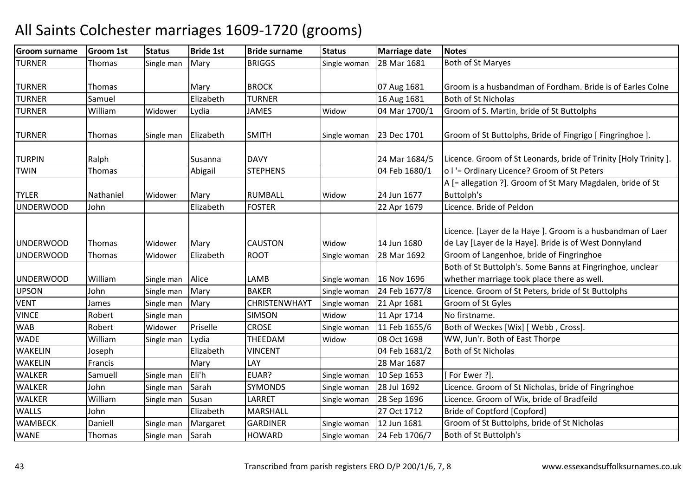| <b>Groom surname</b> | <b>Groom 1st</b> | <b>Status</b> | <b>Bride 1st</b> | <b>Bride surname</b> | <b>Status</b> | <b>Marriage date</b> | <b>Notes</b>                                                                                                        |
|----------------------|------------------|---------------|------------------|----------------------|---------------|----------------------|---------------------------------------------------------------------------------------------------------------------|
| <b>TURNER</b>        | Thomas           | Single man    | Mary             | <b>BRIGGS</b>        | Single woman  | 28 Mar 1681          | Both of St Maryes                                                                                                   |
| <b>TURNER</b>        | Thomas           |               | Mary             | <b>BROCK</b>         |               | 07 Aug 1681          | Groom is a husbandman of Fordham. Bride is of Earles Colne                                                          |
| <b>TURNER</b>        | Samuel           |               | Elizabeth        | <b>TURNER</b>        |               | 16 Aug 1681          | <b>Both of St Nicholas</b>                                                                                          |
| <b>TURNER</b>        | William          | Widower       | Lydia            | <b>JAMES</b>         | Widow         | 04 Mar 1700/1        | Groom of S. Martin, bride of St Buttolphs                                                                           |
| <b>TURNER</b>        | <b>Thomas</b>    | Single man    | Elizabeth        | <b>SMITH</b>         | Single woman  | 23 Dec 1701          | Groom of St Buttolphs, Bride of Fingrigo [ Fingringhoe ].                                                           |
| <b>TURPIN</b>        | Ralph            |               | Susanna          | <b>DAVY</b>          |               | 24 Mar 1684/5        | Licence. Groom of St Leonards, bride of Trinity [Holy Trinity].                                                     |
| <b>TWIN</b>          | <b>Thomas</b>    |               | Abigail          | <b>STEPHENS</b>      |               | 04 Feb 1680/1        | o I'= Ordinary Licence? Groom of St Peters                                                                          |
|                      |                  |               |                  |                      |               |                      | A [= allegation ?]. Groom of St Mary Magdalen, bride of St                                                          |
| <b>TYLER</b>         | Nathaniel        | Widower       | Mary             | <b>RUMBALL</b>       | Widow         | 24 Jun 1677          | Buttolph's                                                                                                          |
| <b>UNDERWOOD</b>     | John             |               | Elizabeth        | <b>FOSTER</b>        |               | 22 Apr 1679          | Licence. Bride of Peldon                                                                                            |
| <b>UNDERWOOD</b>     | Thomas           | Widower       | Mary             | <b>CAUSTON</b>       | Widow         | 14 Jun 1680          | Licence. [Layer de la Haye]. Groom is a husbandman of Laer<br>de Lay [Layer de la Haye]. Bride is of West Donnyland |
| <b>UNDERWOOD</b>     | <b>Thomas</b>    | Widower       | Elizabeth        | <b>ROOT</b>          | Single woman  | 28 Mar 1692          | Groom of Langenhoe, bride of Fingringhoe                                                                            |
|                      |                  |               |                  |                      |               |                      | Both of St Buttolph's. Some Banns at Fingringhoe, unclear                                                           |
| <b>UNDERWOOD</b>     | William          | Single man    | Alice            | LAMB                 | Single woman  | 16 Nov 1696          | whether marriage took place there as well.                                                                          |
| <b>UPSON</b>         | John             | Single man    | Mary             | <b>BAKER</b>         | Single woman  | 24 Feb 1677/8        | Licence. Groom of St Peters, bride of St Buttolphs                                                                  |
| <b>VENT</b>          | James            | Single man    | Mary             | CHRISTENWHAYT        | Single woman  | 21 Apr 1681          | Groom of St Gyles                                                                                                   |
| <b>VINCE</b>         | Robert           | Single man    |                  | <b>SIMSON</b>        | Widow         | 11 Apr 1714          | No firstname.                                                                                                       |
| <b>WAB</b>           | Robert           | Widower       | Priselle         | <b>CROSE</b>         | Single woman  | 11 Feb 1655/6        | Both of Weckes [Wix] [ Webb, Cross]                                                                                 |
| <b>WADE</b>          | William          | Single man    | Lydia            | THEEDAM              | Widow         | 08 Oct 1698          | WW, Jun'r. Both of East Thorpe                                                                                      |
| <b>WAKELIN</b>       | Joseph           |               | Elizabeth        | <b>VINCENT</b>       |               | 04 Feb 1681/2        | <b>Both of St Nicholas</b>                                                                                          |
| <b>WAKELIN</b>       | Francis          |               | Mary             | LAY                  |               | 28 Mar 1687          |                                                                                                                     |
| <b>WALKER</b>        | Samuell          | Single man    | Eli'h            | EUAR?                | Single woman  | 10 Sep 1653          | [For Ewer ?].                                                                                                       |
| <b>WALKER</b>        | John             | Single man    | Sarah            | <b>SYMONDS</b>       | Single woman  | 28 Jul 1692          | Licence. Groom of St Nicholas, bride of Fingringhoe                                                                 |
| <b>WALKER</b>        | William          | Single man    | Susan            | LARRET               | Single woman  | 28 Sep 1696          | Licence. Groom of Wix, bride of Bradfeild                                                                           |
| <b>WALLS</b>         | John             |               | Elizabeth        | MARSHALL             |               | 27 Oct 1712          | Bride of Coptford [Copford]                                                                                         |
| <b>WAMBECK</b>       | Daniell          | Single man    | Margaret         | <b>GARDINER</b>      | Single woman  | 12 Jun 1681          | Groom of St Buttolphs, bride of St Nicholas                                                                         |
| <b>WANE</b>          | Thomas           | Single man    | Sarah            | <b>HOWARD</b>        | Single woman  | 24 Feb 1706/7        | Both of St Buttolph's                                                                                               |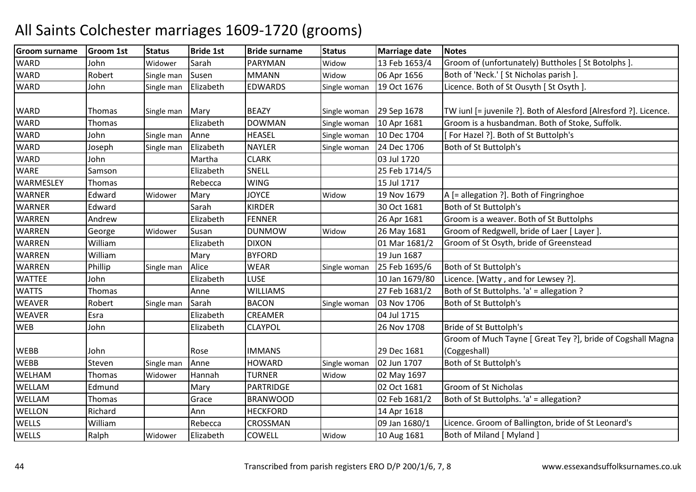#### Groom surnamee Groom 1st Status Bride 1st Bride surname Status Marriage date Notes **WARD**  John Widower Sarah PARYMANPARYMAN Widow 13 Feb 1653/4 Groom of (unfortunately) Buttholes [St Botolphs ].<br>MMANN Widow 06 Apr 1656 Both of 'Neck.' [St Nicholas parish ]. **WARD** Robert Single man Susen MMANN<br>John Single man Elizabeth EDWARDS Widow 1656 Both of 'Neck.' [ St Nicholas parish ].<br>Single woman 19 Oct 1676 Licence. Both of St Ousyth [ St Osyth **WARD** Single man Elizabeth EDWARDS Single woman 19 Oct 1676 Licence. Both of St Ousyth [ St Osyth ]. WARD Thomas Single man Mary BEAZY Single woman 29 Sep 1678 TW iunl [= juvenile ?]. Both of Alesford [Alresford ?]. Licence. **WARD** D Thomas | Elizabeth DOWMAN DOWMAN Single woman 10 Apr 1681 Groom is a husbandman. Both of Stoke, Suffolk.<br>HEASEL Single woman 10 Dec 1704 [For Hazel ?]. Both of St Buttolph's **WARD** John Single man Anne HEASEL Single woman 10 Dec 1704 [ For Hazel ?]. Both of St Buttolph's Joseph Single man Elizabeth NAYLER Single woman 24 Dec 1706 Both of St Buttolph's **WARD** D Joseph Single man Elizabeth NAYLER Single woman 24 Dec 1706 Both of St Buttolph's **WARD** D John Martha CLARK 03 Jul 1720 WARE Samson Elizabeth SNELL 25 Feb 1714/5 **WARMESLEY** Y Thomas Rebecca WING WING 15 Jul 1717<br>JOYCE Widow 19 Nov 1679 WARNERR Edward Widower Mary JOYCE Widow 19 Nov 1679 A [= allegation ?]. Both of Fingringhoe<br>30 Oct 1681 Both of St Buttolph's WARNERR Edward Sarah KIRDER 30 Oct 1681 Both of St Buttolph's WARREN AndrewAndrew | Elizabeth FENNER | 26 Apr 1681 Groom is a weaver. Both of St Buttolphs<br>George Widower Susan DUNMOW Widow | 26 May 1681 Groom of Redgwell, bride of Laer [ Layer WARRENN George Widower Susan DUNMOW 26 May 1681 Groom of Redgwell, bride of Laer [ Layer ].<br>01 Mar 1681/2 Groom of St Osyth, bride of Greenstead WARREN WilliamElizabeth DIXON 01 Mar 1681/2 Groom of St Osyth, bride of Greenstead<br>Mary BYFORD 19 Jun 1687 WARRENWilliam<br>Phillip m Mary BYFORD 19 Jun 1687<br>20 June 19 June 19 June 1687 WARRENN Phillip Single man Alice WEAR Single woman 25 Feb 1695/6 Both of St Buttolph's **WATTFF**  JohnElizabeth LUSE 10 Jan 1679/80 Licence. [Watty , and for Lewsey ?]. **WATTS** Thomas **Anne**  WILLIAMS 27 Feb 1681/2 Both of St Buttolphs. 'a' = allegation ? WEAVERRobert Single man Sarah BACON<br>Esra BElizabeth CREAMER Single woman 03 Nov 1706 Both of St Buttolph's<br>04 Jul 1715 WEAVERR Esra Rizabeth CREAMER 104 Jul 1715 **WEB**  John Elizabeth CLAYPOL 26 Nov 1708 Bride of St Buttolph's WEBB John Rose IMMANS 29 Dec 168102 Jun 1707 Groom of Much Tayne [ Great Tey ?], bride of Cogshall Magna (Coggeshall)**WFBB** Steven Single man Anne HOWARD HOWARD Single woman 02 Jun 1707 Both of St Buttolph's<br>TURNER Widow 02 May 1697 WELHAM Thomas Widower Hannah TURNER Widow 02 May 1697 WELLAMM Edmund Mary PARTRIDGE 02 Oct 1681 Groom of St Nicholas<br>Mary Partners Corresponding Contractor of St Nicholas WELLAMThomas | Grace BRANWOOD | 02 Feb 1681/2 Both of St Buttolphs. 'a' = allegation?<br>Richard | Ann HECKFORD | 14 Apr 1618 **WELLON** N Richard Ann HECKFORD 14 Apr 1618 **WELLS**  WilliamRebecca CROSSMAN 09 Jan 1680/1 Licence. Groom of Ballington, bride of St Leonard's<br>Widower Elizabeth COWELL Widow 10 Aug 1681 Both of Miland [ Myland ] **WELLS**  Ralphh | Widower | Elizabeth | COWELL | Widow Both of Miland [ Myland ]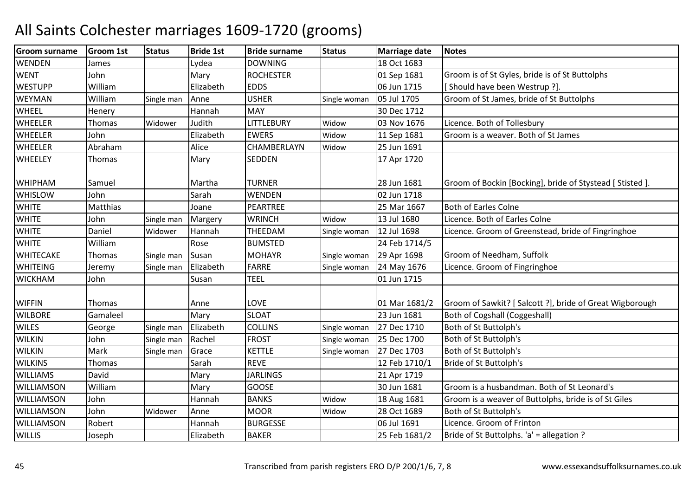| <b>Groom surname</b> | <b>Groom 1st</b> | <b>Status</b> | <b>Bride 1st</b> | <b>Bride surname</b> | <b>Status</b> | <b>Marriage date</b> | <b>Notes</b>                                              |
|----------------------|------------------|---------------|------------------|----------------------|---------------|----------------------|-----------------------------------------------------------|
| <b>WENDEN</b>        | James            |               | Lydea            | <b>DOWNING</b>       |               | 18 Oct 1683          |                                                           |
| <b>WENT</b>          | John             |               | Mary             | <b>ROCHESTER</b>     |               | 01 Sep 1681          | Groom is of St Gyles, bride is of St Buttolphs            |
| <b>WESTUPP</b>       | William          |               | Elizabeth        | <b>EDDS</b>          |               | 06 Jun 1715          | [Should have been Westrup ?].                             |
| <b>WEYMAN</b>        | William          | Single man    | Anne             | <b>USHER</b>         | Single woman  | 05 Jul 1705          | Groom of St James, bride of St Buttolphs                  |
| <b>WHEEL</b>         | Henery           |               | Hannah           | <b>MAY</b>           |               | 30 Dec 1712          |                                                           |
| <b>WHEELER</b>       | <b>Thomas</b>    | Widower       | Judith           | LITTLEBURY           | Widow         | 03 Nov 1676          | Licence. Both of Tollesbury                               |
| <b>WHEELER</b>       | John             |               | Elizabeth        | <b>EWERS</b>         | Widow         | 11 Sep 1681          | Groom is a weaver. Both of St James                       |
| <b>WHEELER</b>       | Abraham          |               | Alice            | CHAMBERLAYN          | Widow         | 25 Jun 1691          |                                                           |
| <b>WHEELEY</b>       | <b>Thomas</b>    |               | Mary             | SEDDEN               |               | 17 Apr 1720          |                                                           |
| <b>WHIPHAM</b>       | Samuel           |               | Martha           | <b>TURNER</b>        |               | 28 Jun 1681          | Groom of Bockin [Bocking], bride of Stystead [ Stisted ]. |
| <b>WHISLOW</b>       | John             |               | Sarah            | WENDEN               |               | 02 Jun 1718          |                                                           |
| <b>WHITE</b>         | Matthias         |               | Joane            | PEARTREE             |               | 25 Mar 1667          | <b>Both of Earles Colne</b>                               |
| <b>WHITE</b>         | John             | Single man    | Margery          | <b>WRINCH</b>        | Widow         | 13 Jul 1680          | Licence. Both of Earles Colne                             |
| <b>WHITE</b>         | Daniel           | Widower       | Hannah           | THEEDAM              | Single woman  | 12 Jul 1698          | Licence. Groom of Greenstead, bride of Fingringhoe        |
| <b>WHITE</b>         | William          |               | Rose             | <b>BUMSTED</b>       |               | 24 Feb 1714/5        |                                                           |
| <b>WHITECAKE</b>     | Thomas           | Single man    | Susan            | <b>MOHAYR</b>        | Single woman  | 29 Apr 1698          | Groom of Needham, Suffolk                                 |
| <b>WHITEING</b>      | Jeremy           | Single man    | Elizabeth        | <b>FARRE</b>         | Single woman  | 24 May 1676          | Licence. Groom of Fingringhoe                             |
| <b>WICKHAM</b>       | John             |               | Susan            | <b>TEEL</b>          |               | 01 Jun 1715          |                                                           |
| <b>WIFFIN</b>        | Thomas           |               | Anne             | LOVE                 |               | 01 Mar 1681/2        | Groom of Sawkit? [Salcott ?], bride of Great Wigborough   |
| <b>WILBORE</b>       | Gamaleel         |               | Mary             | <b>SLOAT</b>         |               | 23 Jun 1681          | <b>Both of Cogshall (Coggeshall)</b>                      |
| <b>WILES</b>         | George           | Single man    | Elizabeth        | <b>COLLINS</b>       | Single woman  | 27 Dec 1710          | Both of St Buttolph's                                     |
| <b>WILKIN</b>        | John             | Single man    | Rachel           | <b>FROST</b>         | Single woman  | 25 Dec 1700          | Both of St Buttolph's                                     |
| <b>WILKIN</b>        | Mark             | Single man    | Grace            | <b>KETTLE</b>        | Single woman  | 27 Dec 1703          | Both of St Buttolph's                                     |
| <b>WILKINS</b>       | <b>Thomas</b>    |               | Sarah            | <b>REVE</b>          |               | 12 Feb 1710/1        | Bride of St Buttolph's                                    |
| <b>WILLIAMS</b>      | David            |               | Mary             | <b>JARLINGS</b>      |               | 21 Apr 1719          |                                                           |
| WILLIAMSON           | William          |               | Mary             | <b>GOOSE</b>         |               | 30 Jun 1681          | Groom is a husbandman. Both of St Leonard's               |
| <b>WILLIAMSON</b>    | John             |               | Hannah           | <b>BANKS</b>         | Widow         | 18 Aug 1681          | Groom is a weaver of Buttolphs, bride is of St Giles      |
| WILLIAMSON           | John             | Widower       | Anne             | <b>MOOR</b>          | Widow         | 28 Oct 1689          | Both of St Buttolph's                                     |
| WILLIAMSON           | Robert           |               | Hannah           | <b>BURGESSE</b>      |               | 06 Jul 1691          | Licence. Groom of Frinton                                 |
| <b>WILLIS</b>        | Joseph           |               | Elizabeth        | <b>BAKER</b>         |               | 25 Feb 1681/2        | Bride of St Buttolphs. 'a' = allegation ?                 |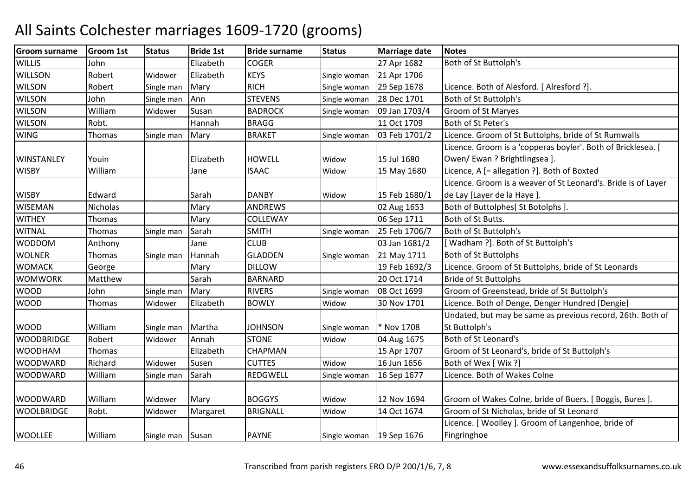| <b>Groom surname</b> | <b>Groom 1st</b> | <b>Status</b> | <b>Bride 1st</b> | <b>Bride surname</b> | <b>Status</b> | <b>Marriage date</b> | <b>Notes</b>                                                  |
|----------------------|------------------|---------------|------------------|----------------------|---------------|----------------------|---------------------------------------------------------------|
| <b>WILLIS</b>        | John             |               | Elizabeth        | <b>COGER</b>         |               | 27 Apr 1682          | Both of St Buttolph's                                         |
| <b>WILLSON</b>       | Robert           | Widower       | Elizabeth        | <b>KEYS</b>          | Single woman  | 21 Apr 1706          |                                                               |
| <b>WILSON</b>        | Robert           | Single man    | Mary             | <b>RICH</b>          | Single woman  | 29 Sep 1678          | Licence. Both of Alesford. [ Alresford ?].                    |
| <b>WILSON</b>        | John             | Single man    | Ann              | <b>STEVENS</b>       | Single woman  | 28 Dec 1701          | Both of St Buttolph's                                         |
| <b>WILSON</b>        | William          | Widower       | Susan            | <b>BADROCK</b>       | Single woman  | 09 Jan 1703/4        | Groom of St Maryes                                            |
| <b>WILSON</b>        | Robt.            |               | Hannah           | <b>BRAGG</b>         |               | 11 Oct 1709          | Both of St Peter's                                            |
| <b>WING</b>          | Thomas           | Single man    | Mary             | <b>BRAKET</b>        | Single woman  | 03 Feb 1701/2        | Licence. Groom of St Buttolphs, bride of St Rumwalls          |
|                      |                  |               |                  |                      |               |                      | Licence. Groom is a 'copperas boyler'. Both of Bricklesea. [  |
| <b>WINSTANLEY</b>    | Youin            |               | Elizabeth        | <b>HOWELL</b>        | Widow         | 15 Jul 1680          | Owen/ Ewan ? Brightlingsea ].                                 |
| <b>WISBY</b>         | William          |               | Jane             | <b>ISAAC</b>         | Widow         | 15 May 1680          | Licence, A [= allegation ?]. Both of Boxted                   |
|                      |                  |               |                  |                      |               |                      | Licence. Groom is a weaver of St Leonard's. Bride is of Layer |
| <b>WISBY</b>         | Edward           |               | Sarah            | <b>DANBY</b>         | Widow         | 15 Feb 1680/1        | de Lay [Layer de la Haye].                                    |
| <b>WISEMAN</b>       | <b>Nicholas</b>  |               | Mary             | <b>ANDREWS</b>       |               | 02 Aug 1653          | Both of Buttolphes[ St Botolphs ]                             |
| <b>WITHEY</b>        | Thomas           |               | Mary             | COLLEWAY             |               | 06 Sep 1711          | Both of St Butts.                                             |
| <b>WITNAL</b>        | Thomas           | Single man    | Sarah            | <b>SMITH</b>         | Single woman  | 25 Feb 1706/7        | Both of St Buttolph's                                         |
| <b>WODDOM</b>        | Anthony          |               | Jane             | <b>CLUB</b>          |               | 03 Jan 1681/2        | [Wadham ?]. Both of St Buttolph's                             |
| <b>WOLNER</b>        | Thomas           | Single man    | Hannah           | <b>GLADDEN</b>       | Single woman  | 21 May 1711          | <b>Both of St Buttolphs</b>                                   |
| <b>WOMACK</b>        | George           |               | Mary             | <b>DILLOW</b>        |               | 19 Feb 1692/3        | Licence. Groom of St Buttolphs, bride of St Leonards          |
| <b>WOMWORK</b>       | Matthew          |               | Sarah            | <b>BARNARD</b>       |               | 20 Oct 1714          | <b>Bride of St Buttolphs</b>                                  |
| <b>WOOD</b>          | John             | Single man    | Mary             | <b>RIVERS</b>        | Single woman  | 08 Oct 1699          | Groom of Greenstead, bride of St Buttolph's                   |
| <b>WOOD</b>          | Thomas           | Widower       | Elizabeth        | <b>BOWLY</b>         | Widow         | 30 Nov 1701          | Licence. Both of Denge, Denger Hundred [Dengie]               |
|                      |                  |               |                  |                      |               |                      | Undated, but may be same as previous record, 26th. Both of    |
| <b>WOOD</b>          | William          | Single man    | Martha           | <b>JOHNSON</b>       | Single woman  | * Nov 1708           | St Buttolph's                                                 |
| <b>WOODBRIDGE</b>    | Robert           | Widower       | Annah            | <b>STONE</b>         | Widow         | 04 Aug 1675          | Both of St Leonard's                                          |
| <b>WOODHAM</b>       | <b>Thomas</b>    |               | Elizabeth        | CHAPMAN              |               | 15 Apr 1707          | Groom of St Leonard's, bride of St Buttolph's                 |
| <b>WOODWARD</b>      | Richard          | Widower       | Susen            | <b>CUTTES</b>        | Widow         | 16 Jun 1656          | Both of Wex [ Wix ?]                                          |
| <b>WOODWARD</b>      | William          | Single man    | Sarah            | REDGWELL             | Single woman  | 16 Sep 1677          | Licence. Both of Wakes Colne                                  |
|                      |                  |               |                  |                      |               |                      |                                                               |
| <b>WOODWARD</b>      | William          | Widower       | Mary             | <b>BOGGYS</b>        | Widow         | 12 Nov 1694          | Groom of Wakes Colne, bride of Buers. [ Boggis, Bures ].      |
| <b>WOOLBRIDGE</b>    | Robt.            | Widower       | Margaret         | <b>BRIGNALL</b>      | Widow         | 14 Oct 1674          | Groom of St Nicholas, bride of St Leonard                     |
|                      |                  |               |                  |                      |               |                      | Licence. [ Woolley ]. Groom of Langenhoe, bride of            |
| <b>WOOLLEE</b>       | William          | Single man    | Susan            | <b>PAYNE</b>         | Single woman  | 19 Sep 1676          | Fingringhoe                                                   |